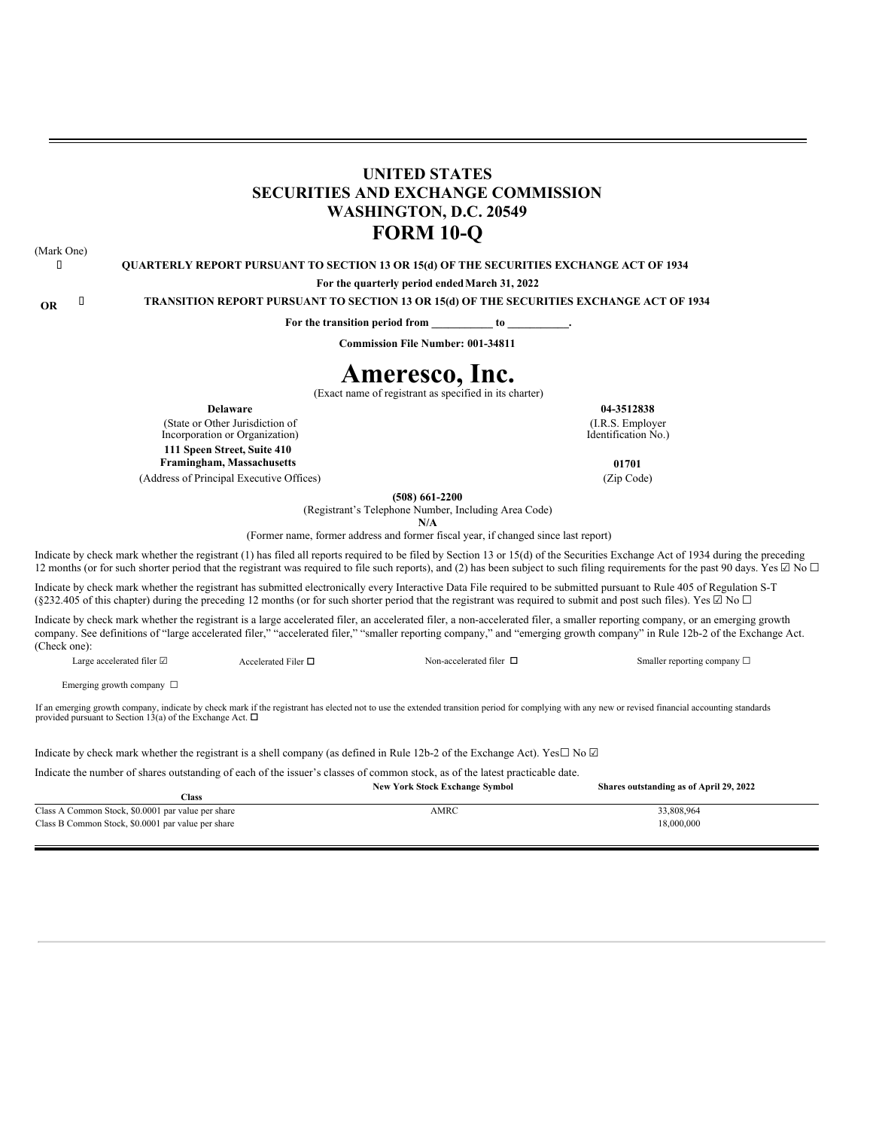# **UNITED STATES SECURITIES AND EXCHANGE COMMISSION WASHINGTON, D.C. 20549 FORM 10-Q**

(Mark One)

**OR**

**QUARTERLY REPORT PURSUANT TO SECTION 13 OR 15(d) OF THE SECURITIES EXCHANGE ACT OF 1934**

**For the quarterly period endedMarch 31, 2022**

**TRANSITION REPORT PURSUANT TO SECTION 13 OR 15(d) OF THE SECURITIES EXCHANGE ACT OF 1934**

**For the transition period from \_\_\_\_\_\_\_\_\_\_\_ to \_\_\_\_\_\_\_\_\_\_\_.**

**Commission File Number: 001-34811**

# **Ameresco, Inc.**

(Exact name of registrant as specified in its charter)

(State or Other Jurisdiction of Incorporation or Organization) **111 Speen Street, Suite 410 Framingham, Massachusetts 01701**

(Address of Principal Executive Offices) (Zip Code)

**(508) 661-2200**

(Registrant's Telephone Number, Including Area Code)

**N/A**

(Former name, former address and former fiscal year, if changed since last report)

Indicate by check mark whether the registrant (1) has filed all reports required to be filed by Section 13 or 15(d) of the Securities Exchange Act of 1934 during the preceding 12 months (or for such shorter period that the registrant was required to file such reports), and (2) has been subject to such filing requirements for the past 90 days. Yes **☑** No **☐**

Indicate by check mark whether the registrant has submitted electronically every Interactive Data File required to be submitted pursuant to Rule 405 of Regulation S-T (§232.405 of this chapter) during the preceding 12 months (or for such shorter period that the registrant was required to submit and post such files). Yes **☑** No **☐**

Indicate by check mark whether the registrant is a large accelerated filer, an accelerated filer, a non-accelerated filer, a smaller reporting company, or an emerging growth company. See definitions of "large accelerated filer," "accelerated filer," "smaller reporting company," and "emerging growth company" in Rule 12b-2 of the Exchange Act. (Check one):

Large accelerated filer **□** Accelerated Filer □ Non-accelerated filer □ Smaller reporting company □

Emerging growth company ☐

If an emerging growth company, indicate by check mark if the registrant has elected not to use the extended transition period for complying with any new or revised financial accounting standards provided pursuant to Section 13(a) of the Exchange Act.  $\Box$ 

Indicate by check mark whether the registrant is a shell company (as defined in Rule 12b-2 of the Exchange Act). Yes**☐** No **☑**

<span id="page-0-0"></span>

| Indicate the number of shares outstanding of each of the issuer's classes of common stock, as of the latest practicable date. |                                       |                                         |  |  |  |  |  |  |  |  |  |
|-------------------------------------------------------------------------------------------------------------------------------|---------------------------------------|-----------------------------------------|--|--|--|--|--|--|--|--|--|
|                                                                                                                               | <b>New York Stock Exchange Symbol</b> | Shares outstanding as of April 29, 2022 |  |  |  |  |  |  |  |  |  |
| Class                                                                                                                         |                                       |                                         |  |  |  |  |  |  |  |  |  |
| Class A Common Stock, \$0,0001 par value per share                                                                            | AMRC                                  | 33,808,964                              |  |  |  |  |  |  |  |  |  |
| Class B Common Stock, \$0,0001 par value per share                                                                            |                                       | 18,000,000                              |  |  |  |  |  |  |  |  |  |

**Delaware 04-3512838** (I.R.S. Employer Identification No.)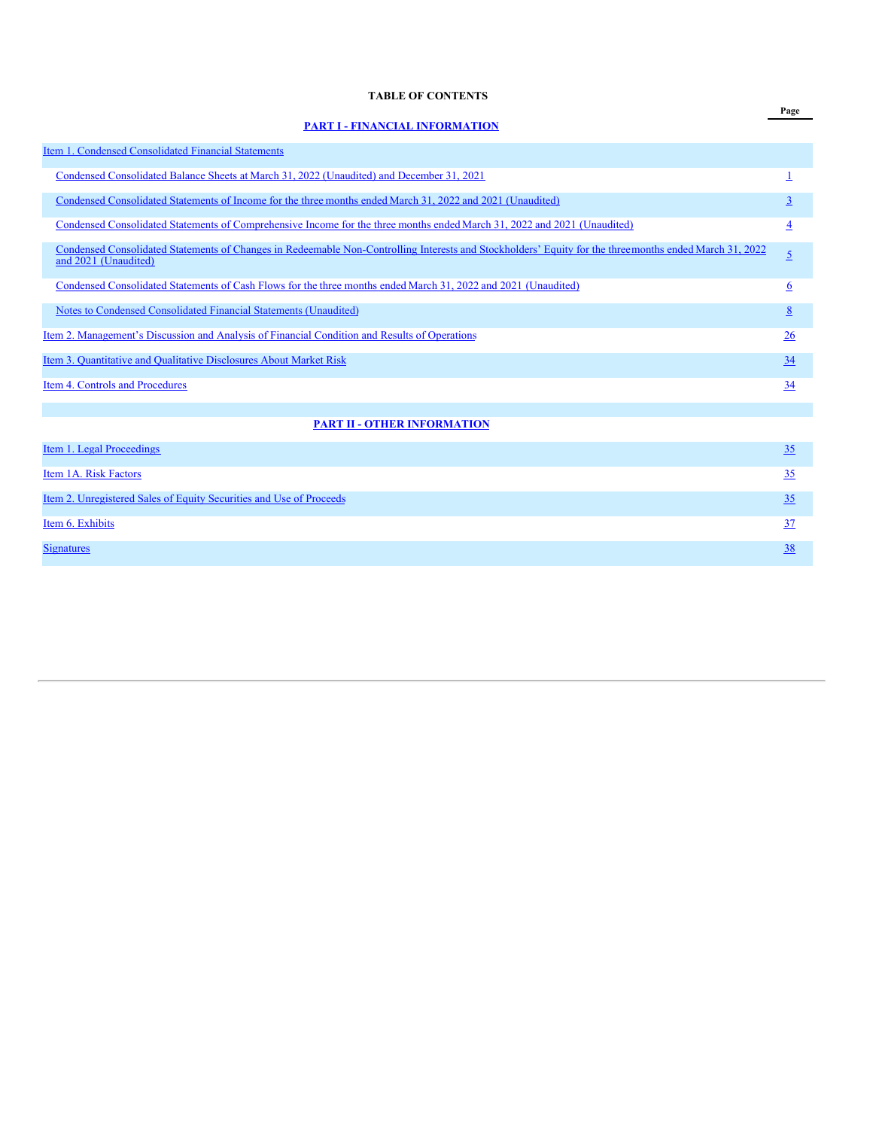## **TABLE OF CONTENTS**

## **PART I - FINANCIAL [INFORMATION](#page-1-0)**

<span id="page-1-0"></span>

| Item 1. Condensed Consolidated Financial Statements                                                                                                                             |                 |
|---------------------------------------------------------------------------------------------------------------------------------------------------------------------------------|-----------------|
| Condensed Consolidated Balance Sheets at March 31, 2022 (Unaudited) and December 31, 2021                                                                                       | ⊥               |
| Condensed Consolidated Statements of Income for the three months ended March 31, 2022 and 2021 (Unaudited)                                                                      | $\overline{3}$  |
| Condensed Consolidated Statements of Comprehensive Income for the three months ended March 31, 2022 and 2021 (Unaudited)                                                        | $\overline{4}$  |
| Condensed Consolidated Statements of Changes in Redeemable Non-Controlling Interests and Stockholders' Equity for the three months ended March 31, 2022<br>and 2021 (Unaudited) | $\overline{2}$  |
| Condensed Consolidated Statements of Cash Flows for the three months ended March 31, 2022 and 2021 (Unaudited)                                                                  | $6\overline{6}$ |
| Notes to Condensed Consolidated Financial Statements (Unaudited)                                                                                                                | 8               |
| Item 2. Management's Discussion and Analysis of Financial Condition and Results of Operations                                                                                   | 26              |
| Item 3. Quantitative and Qualitative Disclosures About Market Risk                                                                                                              | $\overline{34}$ |
| Item 4. Controls and Procedures                                                                                                                                                 | 34              |
|                                                                                                                                                                                 |                 |
| <b>PART II - OTHER INFORMATION</b>                                                                                                                                              |                 |
| Item 1. Legal Proceedings                                                                                                                                                       | 35              |
| Item 1A. Risk Factors                                                                                                                                                           | 35              |
| Item 2. Unregistered Sales of Equity Securities and Use of Proceeds                                                                                                             | 35              |
| Item 6. Exhibits                                                                                                                                                                | $\frac{37}{2}$  |
| <b>Signatures</b>                                                                                                                                                               | <u>38</u>       |
|                                                                                                                                                                                 |                 |

**Page**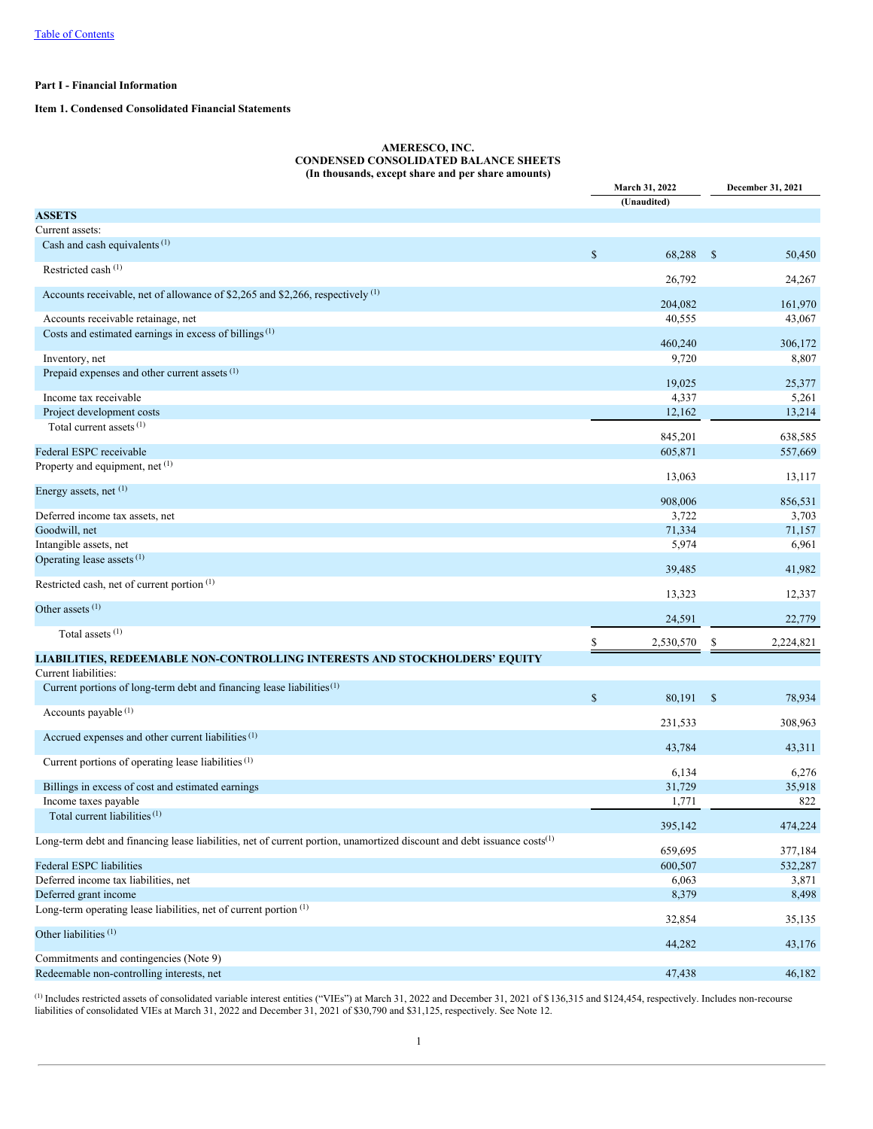## **Part I - Financial Information**

<span id="page-2-0"></span>**Item 1. Condensed Consolidated Financial Statements**

#### **AMERESCO, INC. CONDENSED CONSOLIDATED BALANCE SHEETS (In thousands, except share and per share amounts)**

|                                                                                                                                     |               | March 31, 2022 |     | December 31, 2021 |
|-------------------------------------------------------------------------------------------------------------------------------------|---------------|----------------|-----|-------------------|
|                                                                                                                                     |               | (Unaudited)    |     |                   |
| <b>ASSETS</b>                                                                                                                       |               |                |     |                   |
| Current assets:                                                                                                                     |               |                |     |                   |
| Cash and cash equivalents $(1)$                                                                                                     |               |                |     |                   |
|                                                                                                                                     | $\mathbb{S}$  | 68,288         | -\$ | 50,450            |
| Restricted cash (1)                                                                                                                 |               | 26,792         |     | 24,267            |
| Accounts receivable, net of allowance of \$2,265 and \$2,266, respectively (1)                                                      |               |                |     |                   |
|                                                                                                                                     |               | 204,082        |     | 161,970           |
| Accounts receivable retainage, net                                                                                                  |               | 40,555         |     | 43,067            |
| Costs and estimated earnings in excess of billings $(1)$                                                                            |               | 460,240        |     | 306,172           |
| Inventory, net                                                                                                                      |               | 9,720          |     | 8,807             |
| Prepaid expenses and other current assets (1)                                                                                       |               |                |     |                   |
|                                                                                                                                     |               | 19,025         |     | 25,377            |
| Income tax receivable                                                                                                               |               | 4,337          |     | 5,261             |
| Project development costs                                                                                                           |               | 12,162         |     | 13,214            |
| Total current assets $(1)$                                                                                                          |               |                |     |                   |
|                                                                                                                                     |               | 845,201        |     | 638,585           |
| Federal ESPC receivable                                                                                                             |               | 605,871        |     | 557,669           |
| Property and equipment, net $(1)$                                                                                                   |               | 13,063         |     | 13,117            |
| Energy assets, net <sup>(1)</sup>                                                                                                   |               |                |     |                   |
|                                                                                                                                     |               | 908,006        |     | 856,531           |
| Deferred income tax assets, net                                                                                                     |               | 3,722          |     | 3,703             |
| Goodwill, net                                                                                                                       |               | 71,334         |     | 71,157            |
| Intangible assets, net                                                                                                              |               | 5,974          |     | 6,961             |
| Operating lease assets (1)                                                                                                          |               | 39,485         |     | 41,982            |
| Restricted cash, net of current portion <sup>(1)</sup>                                                                              |               | 13,323         |     | 12,337            |
| Other assets <sup>(1)</sup>                                                                                                         |               | 24,591         |     |                   |
| Total assets <sup>(1)</sup>                                                                                                         |               |                |     | 22,779            |
|                                                                                                                                     | \$            | 2,530,570      | S.  | 2,224,821         |
| LIABILITIES, REDEEMABLE NON-CONTROLLING INTERESTS AND STOCKHOLDERS' EQUITY                                                          |               |                |     |                   |
| Current liabilities:                                                                                                                |               |                |     |                   |
| Current portions of long-term debt and financing lease liabilities $(1)$                                                            | $\mathsf{\$}$ | 80,191         | -S  | 78,934            |
| Accounts payable <sup>(1)</sup>                                                                                                     |               |                |     |                   |
|                                                                                                                                     |               | 231,533        |     | 308,963           |
| Accrued expenses and other current liabilities <sup>(1)</sup>                                                                       |               |                |     |                   |
|                                                                                                                                     |               | 43,784         |     | 43,311            |
| Current portions of operating lease liabilities <sup>(1)</sup>                                                                      |               | 6,134          |     | 6,276             |
| Billings in excess of cost and estimated earnings                                                                                   |               | 31,729         |     | 35,918            |
| Income taxes payable                                                                                                                |               | 1,771          |     | 822               |
| Total current liabilities <sup>(1)</sup>                                                                                            |               |                |     |                   |
|                                                                                                                                     |               | 395,142        |     | 474,224           |
| Long-term debt and financing lease liabilities, net of current portion, unamortized discount and debt issuance costs <sup>(1)</sup> |               | 659,695        |     | 377,184           |
| <b>Federal ESPC liabilities</b>                                                                                                     |               | 600,507        |     | 532,287           |
| Deferred income tax liabilities, net                                                                                                |               | 6,063          |     | 3,871             |
| Deferred grant income                                                                                                               |               | 8,379          |     | 8,498             |
| Long-term operating lease liabilities, net of current portion (1)                                                                   |               |                |     |                   |
|                                                                                                                                     |               | 32,854         |     | 35,135            |
| Other liabilities <sup>(1)</sup>                                                                                                    |               |                |     |                   |
|                                                                                                                                     |               | 44,282         |     | 43,176            |
| Commitments and contingencies (Note 9)                                                                                              |               |                |     |                   |
| Redeemable non-controlling interests, net                                                                                           |               | 47,438         |     | 46,182            |

Includes restricted assets of consolidated variable interest entities ("VIEs") at March 31, 2022 and December 31, 2021 of \$136,315 and \$124,454, respectively. Includes non-recourse liabilities of consolidated VIEs at March 31, 2022 and December 31, 2021 of \$30,790 and \$31,125, respectively. See Note 12. (1)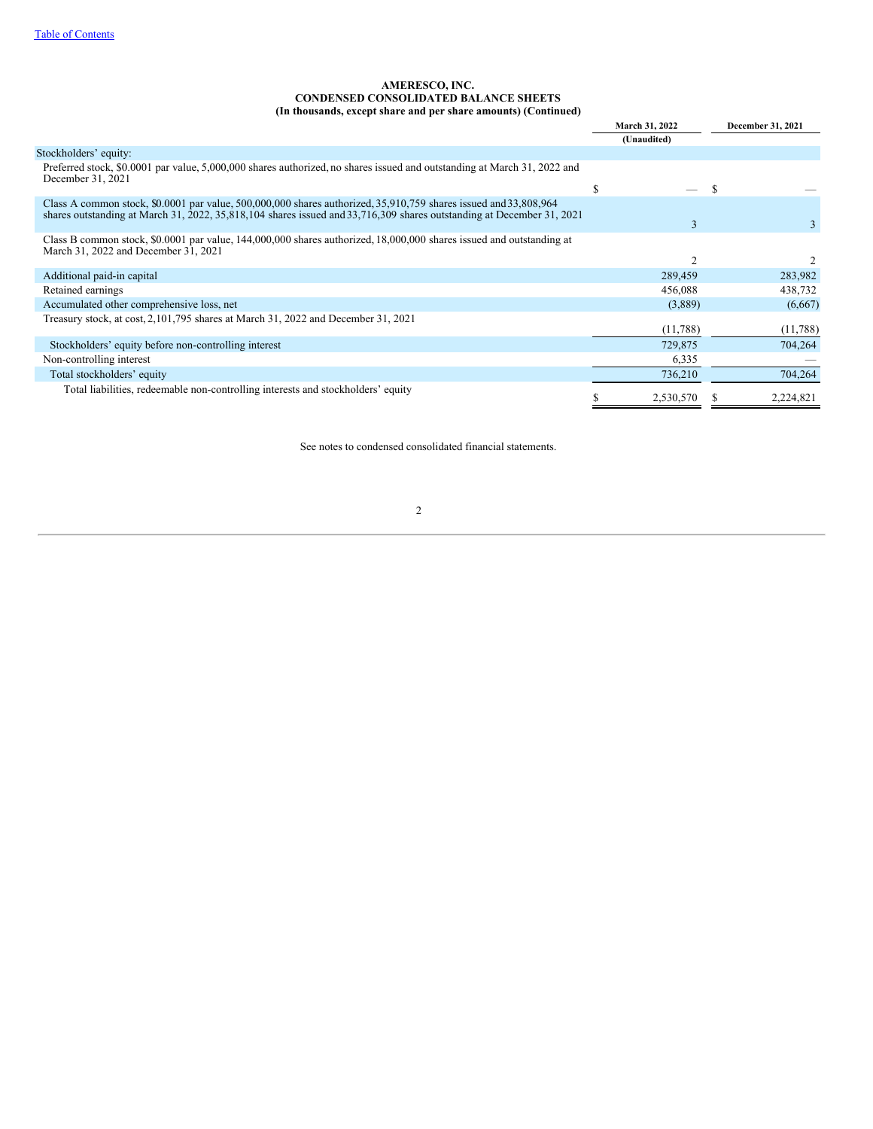#### **AMERESCO, INC. CONDENSED CONSOLIDATED BALANCE SHEETS (In thousands, except share and per share amounts) (Continued)**

|                                                                                                                                                                                                                                                  | March 31, 2022 | December 31, 2021 |
|--------------------------------------------------------------------------------------------------------------------------------------------------------------------------------------------------------------------------------------------------|----------------|-------------------|
|                                                                                                                                                                                                                                                  | (Unaudited)    |                   |
| Stockholders' equity:                                                                                                                                                                                                                            |                |                   |
| Preferred stock, \$0.0001 par value, 5,000,000 shares authorized, no shares issued and outstanding at March 31, 2022 and<br>December 31, 2021                                                                                                    |                |                   |
| Class A common stock, $$0.0001$ par value, $500,000,000$ shares authorized, $35,910,759$ shares issued and $33,808,964$<br>shares outstanding at March 31, 2022, 35,818,104 shares issued and 33,716,309 shares outstanding at December 31, 2021 | 3              | 3.                |
| Class B common stock, \$0.0001 par value, 144,000,000 shares authorized, 18,000,000 shares issued and outstanding at<br>March 31, 2022 and December 31, 2021                                                                                     | $\overline{2}$ |                   |
| Additional paid-in capital                                                                                                                                                                                                                       | 289,459        | 283,982           |
| Retained earnings                                                                                                                                                                                                                                | 456,088        | 438,732           |
| Accumulated other comprehensive loss, net                                                                                                                                                                                                        | (3,889)        | (6,667)           |
| Treasury stock, at cost, 2,101,795 shares at March 31, 2022 and December 31, 2021                                                                                                                                                                | (11,788)       | (11,788)          |
| Stockholders' equity before non-controlling interest                                                                                                                                                                                             | 729,875        | 704,264           |
| Non-controlling interest                                                                                                                                                                                                                         | 6,335          |                   |
| Total stockholders' equity                                                                                                                                                                                                                       | 736,210        | 704,264           |
| Total liabilities, redeemable non-controlling interests and stockholders' equity                                                                                                                                                                 | 2,530,570      | 2,224,821         |

<span id="page-3-0"></span>See notes to condensed consolidated financial statements.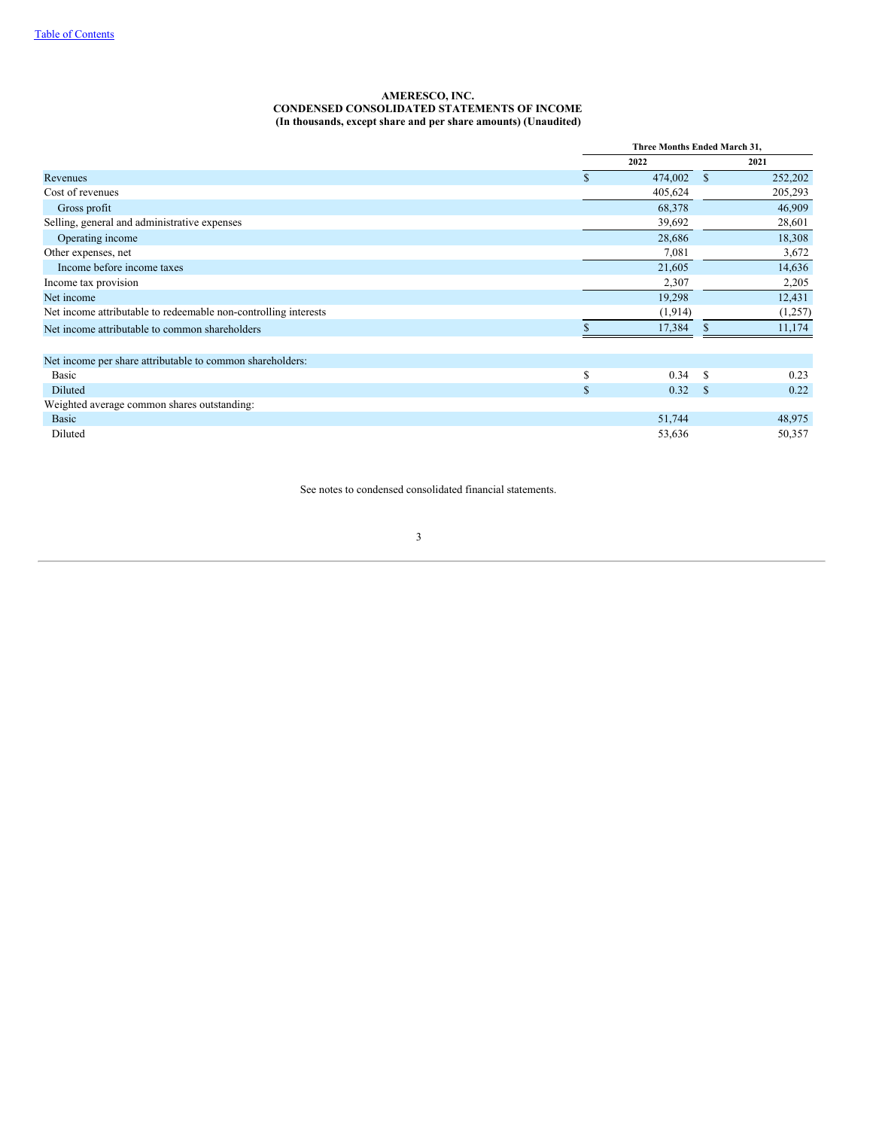#### **AMERESCO, INC. CONDENSED CONSOLIDATED STATEMENTS OF INCOME (In thousands, except share and per share amounts) (Unaudited)**

|                                                                 |              | Three Months Ended March 31, |               |         |  |
|-----------------------------------------------------------------|--------------|------------------------------|---------------|---------|--|
|                                                                 |              | 2022                         |               | 2021    |  |
| Revenues                                                        | $\mathbf{s}$ | 474,002                      | \$.           | 252,202 |  |
| Cost of revenues                                                |              | 405,624                      |               | 205,293 |  |
| Gross profit                                                    |              | 68,378                       |               | 46,909  |  |
| Selling, general and administrative expenses                    |              | 39,692                       |               | 28,601  |  |
| Operating income                                                |              | 28,686                       |               | 18,308  |  |
| Other expenses, net                                             |              | 7,081                        |               | 3,672   |  |
| Income before income taxes                                      |              | 21,605                       |               | 14,636  |  |
| Income tax provision                                            |              | 2,307                        |               | 2,205   |  |
| Net income                                                      |              | 19,298                       |               | 12,431  |  |
| Net income attributable to redeemable non-controlling interests |              | (1,914)                      |               | (1,257) |  |
| Net income attributable to common shareholders                  |              | 17,384                       | ж             | 11,174  |  |
| Net income per share attributable to common shareholders:       |              |                              |               |         |  |
| Basic                                                           | \$           | 0.34                         | S             | 0.23    |  |
| Diluted                                                         | S            | 0.32                         | <sup>\$</sup> | 0.22    |  |
| Weighted average common shares outstanding:                     |              |                              |               |         |  |
| Basic                                                           |              | 51,744                       |               | 48,975  |  |
| Diluted                                                         |              | 53,636                       |               | 50,357  |  |

<span id="page-4-0"></span>See notes to condensed consolidated financial statements.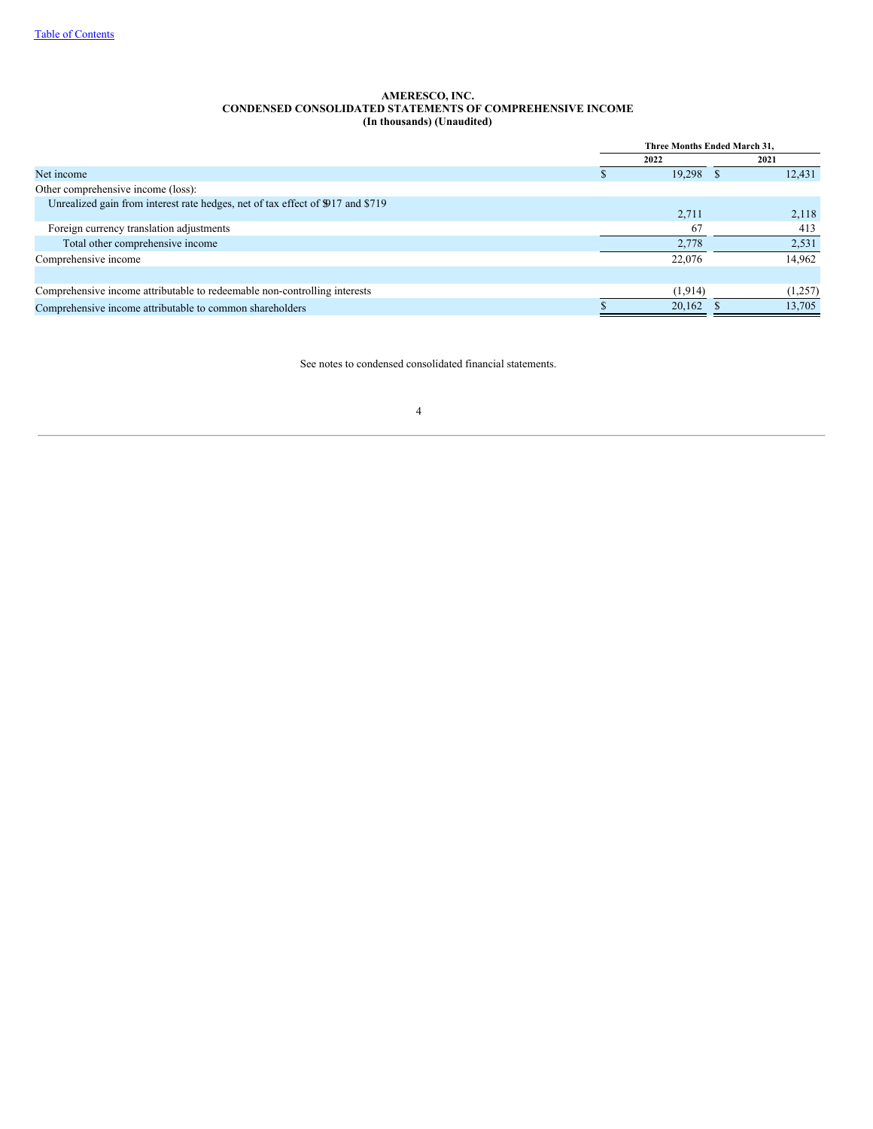#### **AMERESCO, INC. CONDENSED CONSOLIDATED STATEMENTS OF COMPREHENSIVE INCOME (In thousands) (Unaudited)**

|                                                                                 | Three Months Ended March 31. |         |  |
|---------------------------------------------------------------------------------|------------------------------|---------|--|
|                                                                                 | 2022                         | 2021    |  |
| Net income                                                                      | $19,298$ \$                  | 12,431  |  |
| Other comprehensive income (loss):                                              |                              |         |  |
| Unrealized gain from interest rate hedges, net of tax effect of \$917 and \$719 | 2,711                        | 2,118   |  |
| Foreign currency translation adjustments                                        | 67                           | 413     |  |
| Total other comprehensive income                                                | 2,778                        | 2,531   |  |
| Comprehensive income                                                            | 22,076                       | 14.962  |  |
|                                                                                 |                              |         |  |
| Comprehensive income attributable to redeemable non-controlling interests       | (1,914)                      | (1,257) |  |
| Comprehensive income attributable to common shareholders                        | 20,162                       | 13.705  |  |

<span id="page-5-0"></span>See notes to condensed consolidated financial statements.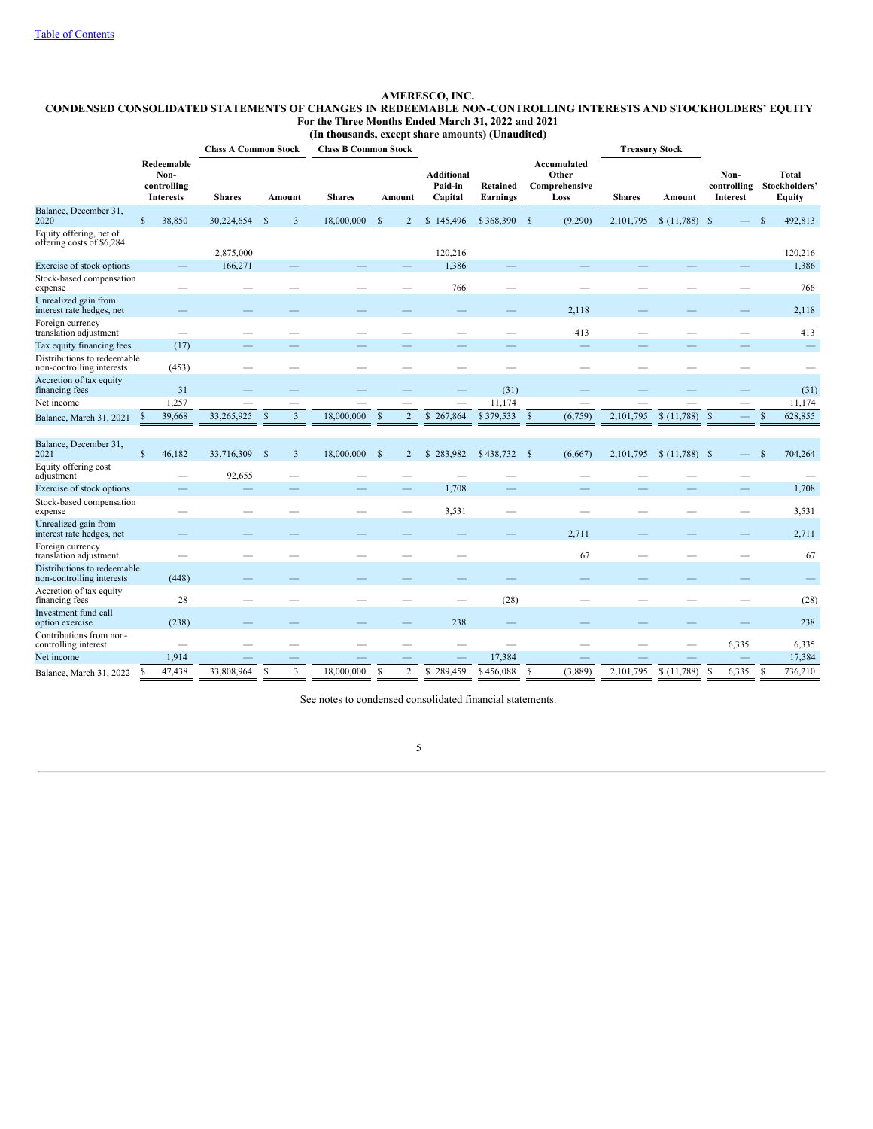#### **AMERESCO, INC. CONDENSED CONSOLIDATED STATEMENTS OF CHANGES IN REDEEMABLE NON-CONTROLLING INTERESTS AND STOCKHOLDERS' EQUITY For the Three Months Ended March 31, 2022 and 2021 (In thousands, except share amounts) (Unaudited)**

|                                                          |              |                                                       |                             |                    |                         | (In thousands, except share amounts) (Unaudited) |             |                |                                         |                                    |                    |                                               |                       |            |               |                                 |             |                                         |
|----------------------------------------------------------|--------------|-------------------------------------------------------|-----------------------------|--------------------|-------------------------|--------------------------------------------------|-------------|----------------|-----------------------------------------|------------------------------------|--------------------|-----------------------------------------------|-----------------------|------------|---------------|---------------------------------|-------------|-----------------------------------------|
|                                                          |              |                                                       | <b>Class A Common Stock</b> |                    |                         | <b>Class B Common Stock</b>                      |             |                |                                         |                                    |                    |                                               | <b>Treasury Stock</b> |            |               |                                 |             |                                         |
|                                                          |              | Redeemable<br>Non-<br>controlling<br><b>Interests</b> | <b>Shares</b>               |                    | Amount                  | <b>Shares</b>                                    |             | Amount         | <b>Additional</b><br>Paid-in<br>Capital | <b>Retained</b><br><b>Earnings</b> |                    | Accumulated<br>Other<br>Comprehensive<br>Loss | <b>Shares</b>         | Amount     |               | Non-<br>controlling<br>Interest |             | Total<br>Stockholders'<br><b>Equity</b> |
| Balance, December 31,<br>2020                            | $\mathbb{S}$ | 38,850                                                | 30,224,654                  | -\$                | 3                       | 18,000,000                                       | -S          | $\overline{2}$ | \$145,496                               | $$368,390$ \$                      |                    | (9,290)                                       | 2,101,795             | \$(11,788) | -S            |                                 | S           | 492,813                                 |
| Equity offering, net of<br>offering costs of \$6,284     |              |                                                       | 2,875,000                   |                    |                         |                                                  |             |                | 120,216                                 |                                    |                    |                                               |                       |            |               |                                 |             | 120,216                                 |
| Exercise of stock options                                |              |                                                       | 166,271                     |                    |                         |                                                  |             |                | 1,386                                   |                                    |                    |                                               |                       |            |               |                                 |             | 1,386                                   |
| Stock-based compensation<br>expense                      |              |                                                       |                             |                    |                         |                                                  |             |                | 766                                     |                                    |                    |                                               |                       |            |               |                                 |             | 766                                     |
| Unrealized gain from<br>interest rate hedges, net        |              |                                                       |                             |                    |                         |                                                  |             |                |                                         |                                    |                    | 2,118                                         |                       |            |               |                                 |             | 2,118                                   |
| Foreign currency<br>translation adjustment               |              |                                                       |                             |                    |                         |                                                  |             |                |                                         |                                    |                    | 413                                           |                       |            |               |                                 |             | 413                                     |
| Tax equity financing fees                                |              | (17)                                                  |                             |                    |                         |                                                  |             |                |                                         |                                    |                    |                                               |                       |            |               |                                 |             |                                         |
| Distributions to redeemable<br>non-controlling interests |              | (453)                                                 |                             |                    |                         |                                                  |             |                |                                         |                                    |                    |                                               |                       |            |               |                                 |             |                                         |
| Accretion of tax equity<br>financing fees                |              | 31                                                    |                             |                    |                         |                                                  |             |                |                                         | (31)                               |                    |                                               |                       |            |               |                                 |             | (31)                                    |
| Net income                                               |              | 1,257                                                 |                             |                    |                         |                                                  |             |                |                                         | 11,174                             |                    |                                               |                       |            |               |                                 |             | 11,174                                  |
| Balance, March 31, 2021                                  |              | 39,668                                                | 33,265,925                  | $\mathbf S$        | $\overline{3}$          | 18,000,000                                       | $\mathbf S$ | $\overline{2}$ | 267,864<br>$\mathbb{S}$                 | \$379,533                          | $\mathbf{\hat{s}}$ | (6,759)                                       | 2,101,795             | \$(11,788) | $\mathcal{S}$ |                                 | $\mathbf S$ | 628,855                                 |
| Balance, December 31,<br>2021                            | \$           | 46,182                                                | 33,716,309                  | $\mathbf{\hat{s}}$ | $\overline{\mathbf{3}}$ | 18,000,000                                       | - \$        | $\overline{2}$ | 283,982<br>$\mathbb{S}$                 | $$438,732$ \ \$                    |                    | (6,667)                                       | 2,101,795             |            |               |                                 | S           | 704,264                                 |
| Equity offering cost<br>adjustment                       |              |                                                       | 92,655                      |                    |                         |                                                  |             |                |                                         |                                    |                    |                                               |                       |            |               |                                 |             |                                         |
| Exercise of stock options                                |              |                                                       |                             |                    |                         |                                                  |             |                | 1,708                                   |                                    |                    |                                               |                       |            |               |                                 |             | 1,708                                   |
| Stock-based compensation<br>expense                      |              |                                                       |                             |                    |                         |                                                  |             |                | 3,531                                   |                                    |                    |                                               |                       |            |               |                                 |             | 3,531                                   |
| Unrealized gain from<br>interest rate hedges, net        |              |                                                       |                             |                    |                         |                                                  |             |                |                                         |                                    |                    | 2,711                                         |                       |            |               |                                 |             | 2,711                                   |
| Foreign currency<br>translation adjustment               |              |                                                       |                             |                    |                         |                                                  |             |                |                                         |                                    |                    | 67                                            |                       |            |               |                                 |             | 67                                      |
| Distributions to redeemable<br>non-controlling interests |              | (448)                                                 |                             |                    |                         |                                                  |             |                |                                         |                                    |                    |                                               |                       |            |               |                                 |             |                                         |
| Accretion of tax equity<br>financing fees                |              | 28                                                    |                             |                    |                         |                                                  |             |                |                                         | (28)                               |                    |                                               |                       |            |               |                                 |             | (28)                                    |
| Investment fund call<br>option exercise                  |              | (238)                                                 |                             |                    |                         |                                                  |             |                | 238                                     |                                    |                    |                                               |                       |            |               |                                 |             | 238                                     |
| Contributions from non-<br>controlling interest          |              |                                                       |                             |                    |                         |                                                  |             |                |                                         |                                    |                    |                                               |                       |            |               | 6,335                           |             | 6,335                                   |
| Net income                                               |              | 1,914                                                 |                             |                    |                         |                                                  |             |                |                                         | 17,384                             |                    |                                               |                       |            |               |                                 |             | 17,384                                  |
| Balance, March 31, 2022                                  | <b>S</b>     | 47.438                                                | 33,808,964                  | $\mathbf S$        | 3                       | 18,000,000                                       | S           | $\overline{c}$ | 289,459<br>$\mathbb{S}$                 | \$456,088                          | <sup>\$</sup>      | (3,889)                                       | 2.101.795             | \$(11,788) | <sup>\$</sup> | 6.335                           | -S          | 736,210                                 |

<span id="page-6-0"></span>See notes to condensed consolidated financial statements.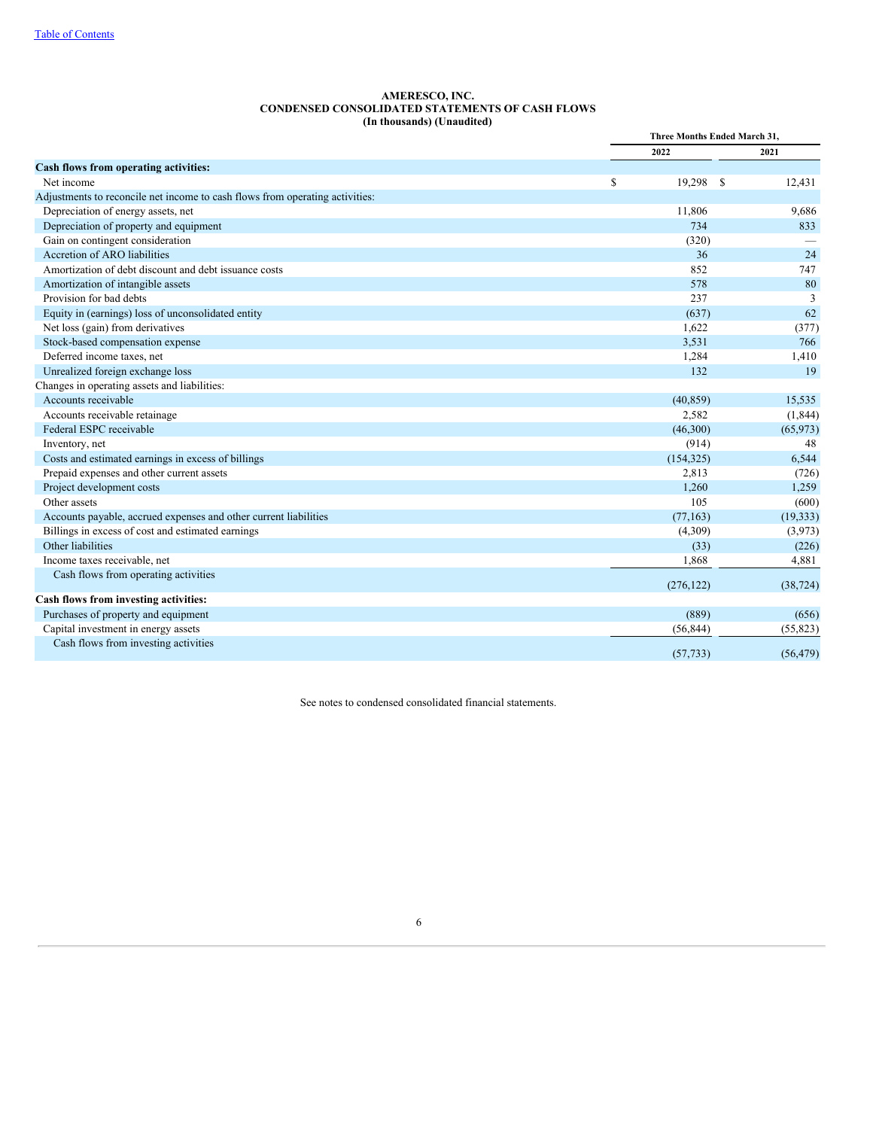#### **AMERESCO, INC. CONDENSED CONSOLIDATED STATEMENTS OF CASH FLOWS (In thousands) (Unaudited)**

|                                                                              | Three Months Ended March 31, |       |           |
|------------------------------------------------------------------------------|------------------------------|-------|-----------|
|                                                                              | 2022                         | 2021  |           |
| Cash flows from operating activities:                                        |                              |       |           |
| Net income                                                                   | $\mathbf S$<br>19,298        | -S    | 12,431    |
| Adjustments to reconcile net income to cash flows from operating activities: |                              |       |           |
| Depreciation of energy assets, net                                           | 11,806                       |       | 9,686     |
| Depreciation of property and equipment                                       |                              | 734   | 833       |
| Gain on contingent consideration                                             |                              | (320) |           |
| Accretion of ARO liabilities                                                 |                              | 36    | 24        |
| Amortization of debt discount and debt issuance costs                        |                              | 852   | 747       |
| Amortization of intangible assets                                            |                              | 578   | 80        |
| Provision for bad debts                                                      |                              | 237   | 3         |
| Equity in (earnings) loss of unconsolidated entity                           |                              | (637) | 62        |
| Net loss (gain) from derivatives                                             | 1,622                        |       | (377)     |
| Stock-based compensation expense                                             | 3,531                        |       | 766       |
| Deferred income taxes, net                                                   | 1,284                        |       | 1,410     |
| Unrealized foreign exchange loss                                             |                              | 132   | 19        |
| Changes in operating assets and liabilities:                                 |                              |       |           |
| Accounts receivable                                                          | (40, 859)                    |       | 15,535    |
| Accounts receivable retainage                                                | 2,582                        |       | (1, 844)  |
| Federal ESPC receivable                                                      | (46,300)                     |       | (65, 973) |
| Inventory, net                                                               |                              | (914) | 48        |
| Costs and estimated earnings in excess of billings                           | (154, 325)                   |       | 6,544     |
| Prepaid expenses and other current assets                                    | 2,813                        |       | (726)     |
| Project development costs                                                    | 1,260                        |       | 1,259     |
| Other assets                                                                 |                              | 105   | (600)     |
| Accounts payable, accrued expenses and other current liabilities             | (77, 163)                    |       | (19, 333) |
| Billings in excess of cost and estimated earnings                            | (4,309)                      |       | (3,973)   |
| Other liabilities                                                            |                              | (33)  | (226)     |
| Income taxes receivable, net                                                 | 1,868                        |       | 4,881     |
| Cash flows from operating activities                                         | (276, 122)                   |       | (38, 724) |
| Cash flows from investing activities:                                        |                              |       |           |
| Purchases of property and equipment                                          |                              | (889) | (656)     |
| Capital investment in energy assets                                          | (56, 844)                    |       | (55, 823) |
| Cash flows from investing activities                                         | (57, 733)                    |       | (56, 479) |

See notes to condensed consolidated financial statements.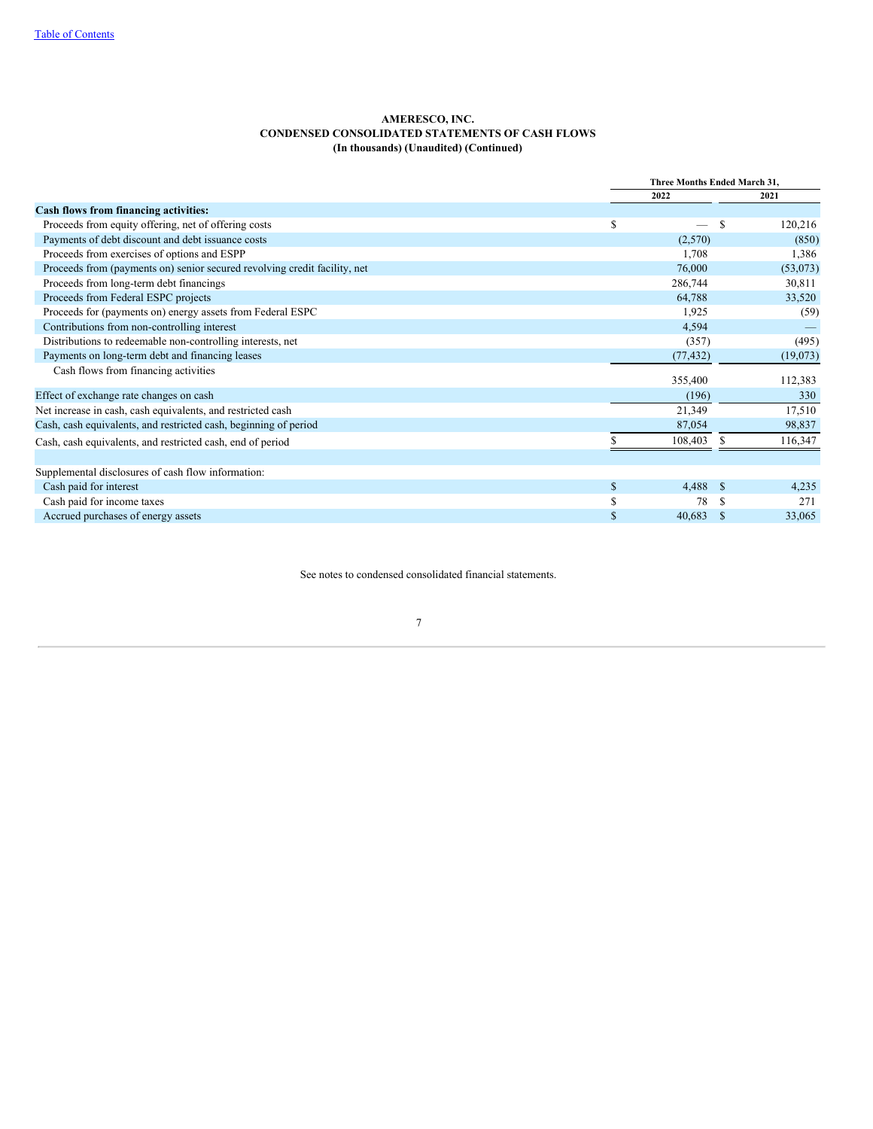## **AMERESCO, INC. CONDENSED CONSOLIDATED STATEMENTS OF CASH FLOWS (In thousands) (Unaudited) (Continued)**

|                                                                           |              | Three Months Ended March 31.  |          |  |
|---------------------------------------------------------------------------|--------------|-------------------------------|----------|--|
|                                                                           | 2022         |                               | 2021     |  |
| <b>Cash flows from financing activities:</b>                              |              |                               |          |  |
| Proceeds from equity offering, net of offering costs                      | \$           | S<br>$\overline{\phantom{0}}$ | 120,216  |  |
| Payments of debt discount and debt issuance costs                         | (2,570)      |                               | (850)    |  |
| Proceeds from exercises of options and ESPP                               | 1,708        |                               | 1,386    |  |
| Proceeds from (payments on) senior secured revolving credit facility, net | 76,000       |                               | (53,073) |  |
| Proceeds from long-term debt financings                                   | 286,744      |                               | 30,811   |  |
| Proceeds from Federal ESPC projects                                       | 64,788       |                               | 33,520   |  |
| Proceeds for (payments on) energy assets from Federal ESPC                | 1,925        |                               | (59)     |  |
| Contributions from non-controlling interest                               | 4,594        |                               |          |  |
| Distributions to redeemable non-controlling interests, net                |              | (357)                         | (495)    |  |
| Payments on long-term debt and financing leases                           | (77, 432)    |                               | (19,073) |  |
| Cash flows from financing activities                                      |              |                               |          |  |
|                                                                           | 355,400      |                               | 112,383  |  |
| Effect of exchange rate changes on cash                                   |              | (196)                         | 330      |  |
| Net increase in cash, cash equivalents, and restricted cash               | 21,349       |                               | 17,510   |  |
| Cash, cash equivalents, and restricted cash, beginning of period          | 87,054       |                               | 98,837   |  |
| Cash, cash equivalents, and restricted cash, end of period                | 108,403      | S                             | 116,347  |  |
|                                                                           |              |                               |          |  |
| Supplemental disclosures of cash flow information:                        |              |                               |          |  |
| Cash paid for interest                                                    | $\mathbb{S}$ | 4,488 \$                      | 4,235    |  |
| Cash paid for income taxes                                                |              | 78<br>-S                      | 271      |  |
| Accrued purchases of energy assets                                        | \$<br>40,683 | <sup>8</sup>                  | 33,065   |  |
|                                                                           |              |                               |          |  |

<span id="page-8-0"></span>See notes to condensed consolidated financial statements.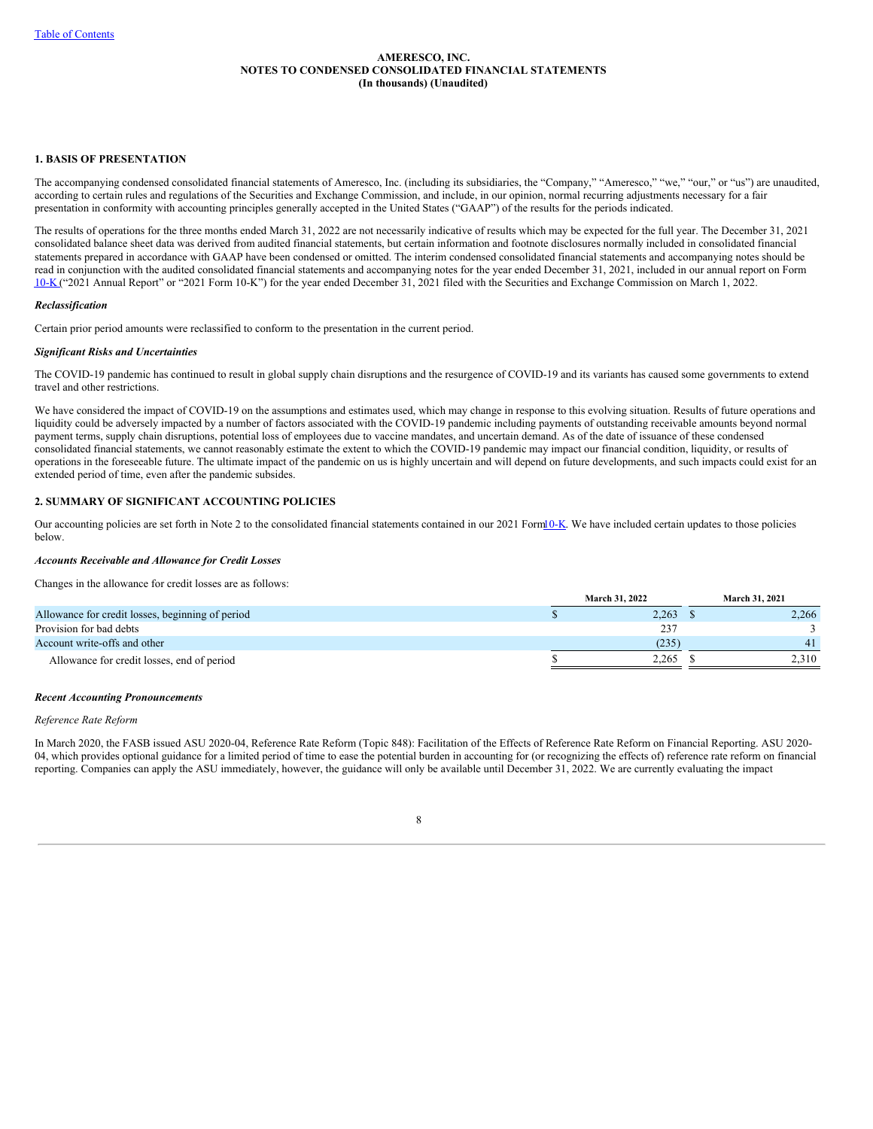### **1. BASIS OF PRESENTATION**

The accompanying condensed consolidated financial statements of Ameresco, Inc. (including its subsidiaries, the "Company," "Ameresco," "we," "our," or "us") are unaudited, according to certain rules and regulations of the Securities and Exchange Commission, and include, in our opinion, normal recurring adjustments necessary for a fair presentation in conformity with accounting principles generally accepted in the United States ("GAAP") of the results for the periods indicated.

The results of operations for the three months ended March 31, 2022 are not necessarily indicative of results which may be expected for the full year. The December 31, 2021 consolidated balance sheet data was derived from audited financial statements, but certain information and footnote disclosures normally included in consolidated financial statements prepared in accordance with GAAP have been condensed or omitted. The interim condensed consolidated financial statements and accompanying notes should be read in conjunction with the audited consolidated financial statements and accompanying notes for the year ended December 31, 2021, included in our annual report on Form [10-K](https://www.sec.gov/ix?doc=/Archives/edgar/data/1488139/000148813922000014/amrc-20211231.htm) ("2021 Annual Report" or "2021 Form 10-K") for the year ended December 31, 2021 filed with the Securities and Exchange Commission on March 1, 2022.

#### *Reclassification*

Certain prior period amounts were reclassified to conform to the presentation in the current period.

#### *Significant Risks and Uncertainties*

The COVID-19 pandemic has continued to result in global supply chain disruptions and the resurgence of COVID-19 and its variants has caused some governments to extend travel and other restrictions.

We have considered the impact of COVID-19 on the assumptions and estimates used, which may change in response to this evolving situation. Results of future operations and liquidity could be adversely impacted by a number of factors associated with the COVID-19 pandemic including payments of outstanding receivable amounts beyond normal payment terms, supply chain disruptions, potential loss of employees due to vaccine mandates, and uncertain demand. As of the date of issuance of these condensed consolidated financial statements, we cannot reasonably estimate the extent to which the COVID-19 pandemic may impact our financial condition, liquidity, or results of operations in the foreseeable future. The ultimate impact of the pandemic on us is highly uncertain and will depend on future developments, and such impacts could exist for an extended period of time, even after the pandemic subsides.

## **2. SUMMARY OF SIGNIFICANT ACCOUNTING POLICIES**

Our accounting policies are set forth in Note 2 to the consolidated financial statements contained in our 2021 Form<sup>10-K</sup>. We have included certain updates to those policies below.

#### *Accounts Receivable and Allowance for Credit Losses*

Changes in the allowance for credit losses are as follows:

|                                                  | <b>March 31, 2022</b> | March 31, 2021 |
|--------------------------------------------------|-----------------------|----------------|
| Allowance for credit losses, beginning of period | 2,263                 | 2,266          |
| Provision for bad debts                          | 237                   |                |
| Account write-offs and other                     | (235)                 | 41             |
| Allowance for credit losses, end of period       | 2.265                 | 2.310          |

#### *Recent Accounting Pronouncements*

#### *Reference Rate Reform*

In March 2020, the FASB issued ASU 2020-04, Reference Rate Reform (Topic 848): Facilitation of the Effects of Reference Rate Reform on Financial Reporting. ASU 2020- 04, which provides optional guidance for a limited period of time to ease the potential burden in accounting for (or recognizing the effects of) reference rate reform on financial reporting. Companies can apply the ASU immediately, however, the guidance will only be available until December 31, 2022. We are currently evaluating the impact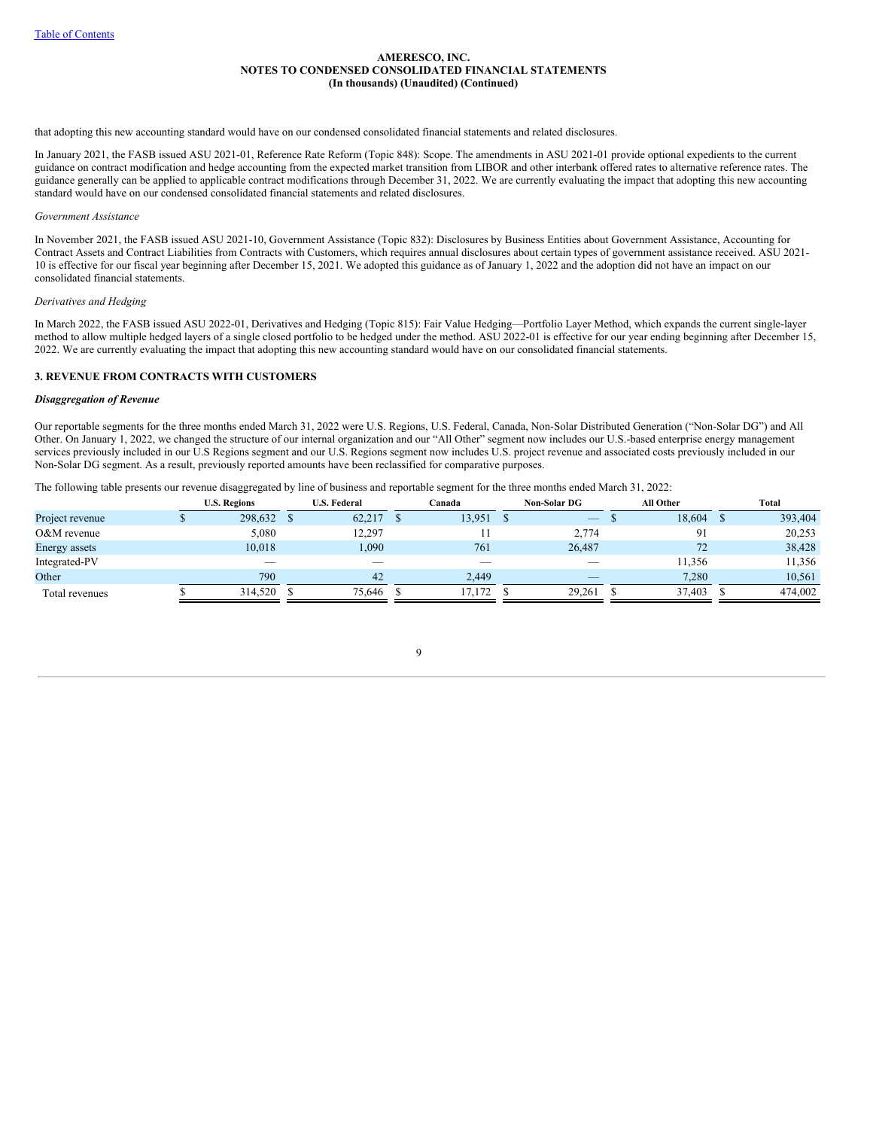that adopting this new accounting standard would have on our condensed consolidated financial statements and related disclosures.

In January 2021, the FASB issued ASU 2021-01, Reference Rate Reform (Topic 848): Scope. The amendments in ASU 2021-01 provide optional expedients to the current guidance on contract modification and hedge accounting from the expected market transition from LIBOR and other interbank offered rates to alternative reference rates. The guidance generally can be applied to applicable contract modifications through December 31, 2022. We are currently evaluating the impact that adopting this new accounting standard would have on our condensed consolidated financial statements and related disclosures.

#### *Government Assistance*

In November 2021, the FASB issued ASU 2021-10, Government Assistance (Topic 832): Disclosures by Business Entities about Government Assistance, Accounting for Contract Assets and Contract Liabilities from Contracts with Customers, which requires annual disclosures about certain types of government assistance received. ASU 2021- 10 is effective for our fiscal year beginning after December 15, 2021. We adopted this guidance as of January 1, 2022 and the adoption did not have an impact on our consolidated financial statements.

#### *Derivatives and Hedging*

In March 2022, the FASB issued ASU 2022-01, Derivatives and Hedging (Topic 815): Fair Value Hedging—Portfolio Layer Method, which expands the current single-layer method to allow multiple hedged layers of a single closed portfolio to be hedged under the method. ASU 2022-01 is effective for our year ending beginning after December 15, 2022. We are currently evaluating the impact that adopting this new accounting standard would have on our consolidated financial statements.

### **3. REVENUE FROM CONTRACTS WITH CUSTOMERS**

### *Disaggregation of Revenue*

Our reportable segments for the three months ended March 31, 2022 were U.S. Regions, U.S. Federal, Canada, Non-Solar Distributed Generation ("Non-Solar DG") and All Other. On January 1, 2022, we changed the structure of our internal organization and our "All Other" segment now includes our U.S.-based enterprise energy management services previously included in our U.S Regions segment and our U.S. Regions segment now includes U.S. project revenue and associated costs previously included in our Non-Solar DG segment. As a result, previously reported amounts have been reclassified for comparative purposes.

The following table presents our revenue disaggregated by line of business and reportable segment for the three months ended March 31, 2022:

|                 | <b>U.S. Regions</b> | <b>U.S. Federal</b>      | Canada | Non-Solar DG                    | All Other |    | Total   |
|-----------------|---------------------|--------------------------|--------|---------------------------------|-----------|----|---------|
| Project revenue | 298,632 \$          | 62.217                   | 13,951 | $\hspace{0.1mm}-\hspace{0.1mm}$ | 18,604    | -8 | 393,404 |
| $O&M$ revenue   | 5,080               | 12.297                   |        | 2,774                           | 91        |    | 20,253  |
| Energy assets   | 10.018              | 1,090                    | 761    | 26,487                          | 72        |    | 38,428  |
| Integrated-PV   | $\qquad \qquad$     | $\overline{\phantom{a}}$ |        |                                 | 11.356    |    | 11,356  |
| Other           | 790                 | 42                       | 2.449  |                                 | 7.280     |    | 10,561  |
| Total revenues  | 314.520             | 75.646                   | 17.172 | 29.261                          | 37,403    |    | 474,002 |

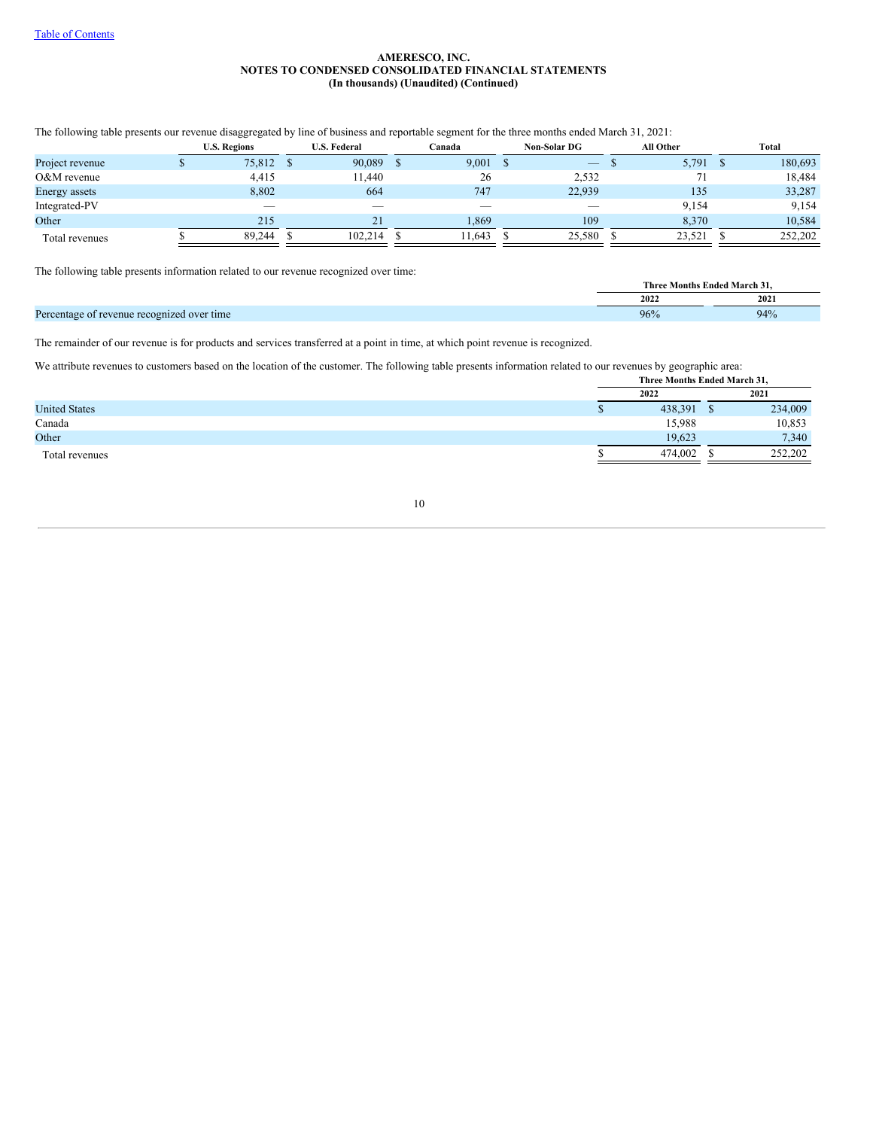| The following table presents our revenue disaggregated by line of business and reportable segment for the three months ended March 31, 2021: |  |  |
|----------------------------------------------------------------------------------------------------------------------------------------------|--|--|
|                                                                                                                                              |  |  |

|                 | <b>U.S. Regions</b> | <b>U.S. Federal</b>      | Canada | <b>Non-Solar DG</b>             | All Other | Total   |
|-----------------|---------------------|--------------------------|--------|---------------------------------|-----------|---------|
| Project revenue | 75,812              | 90,089                   | 9,001  | $\hspace{0.1mm}-\hspace{0.1mm}$ | 5,791     | 180,693 |
| $O&M$ revenue   | 4,415               | 11.440                   | 26     | 2,532                           |           | 18,484  |
| Energy assets   | 8,802               | 664                      | 747    | 22,939                          | 135       | 33,287  |
| Integrated-PV   |                     | $\overline{\phantom{a}}$ |        |                                 | 9,154     | 9,154   |
| Other           | 215                 | 21                       | 1.869  | 109                             | 8.370     | 10.584  |
| Total revenues  | 89.244              | 102.214                  | 1.643  | 25,580                          | 23,521    | 252,202 |

The following table presents information related to our revenue recognized over time:

|                                            | Three Months Ended March 31. |      |
|--------------------------------------------|------------------------------|------|
|                                            | 2022                         | 2021 |
| Percentage of revenue recognized over time | 96%                          | 94%  |

The remainder of our revenue is for products and services transferred at a point in time, at which point revenue is recognized.

We attribute revenues to customers based on the location of the customer. The following table presents information related to our revenues by geographic area:

|                      |      | Three Months Ended March 31, |  |  |  |  |
|----------------------|------|------------------------------|--|--|--|--|
|                      | 2022 | 2021                         |  |  |  |  |
| <b>United States</b> |      | 234,009<br>438,391           |  |  |  |  |
| Canada               |      | 15,988<br>10,853             |  |  |  |  |
| Other                |      | 19.623<br>7,340              |  |  |  |  |
| Total revenues       |      | 252,202<br>474,002           |  |  |  |  |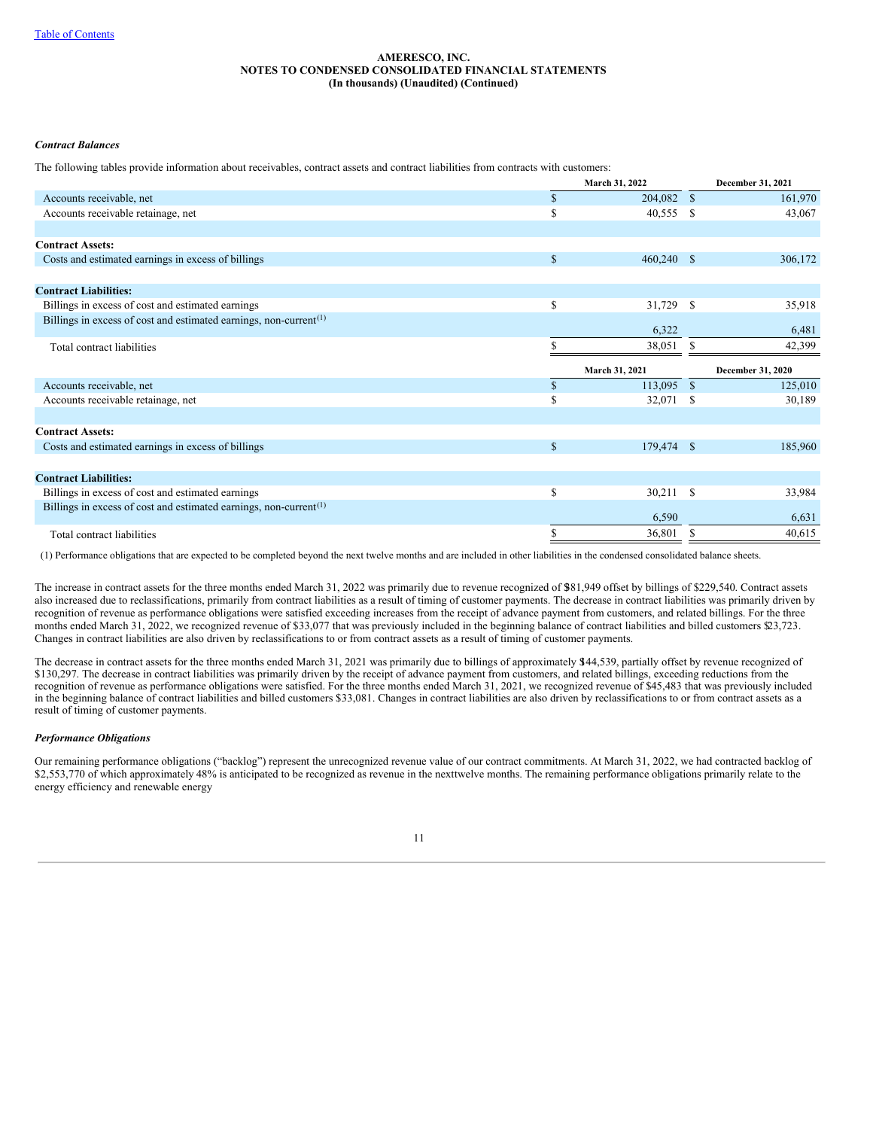#### *Contract Balances*

The following tables provide information about receivables, contract assets and contract liabilities from contracts with customers:

|                                                                                            |              | March 31, 2022  | December 31, 2021 |                   |  |
|--------------------------------------------------------------------------------------------|--------------|-----------------|-------------------|-------------------|--|
| Accounts receivable, net                                                                   | S            | 204,082         | $\mathbf{s}$      | 161,970           |  |
| Accounts receivable retainage, net                                                         | \$           | 40,555          | -S                | 43,067            |  |
|                                                                                            |              |                 |                   |                   |  |
| <b>Contract Assets:</b>                                                                    |              |                 |                   |                   |  |
| Costs and estimated earnings in excess of billings                                         | $\mathbb{S}$ | $460,240$ \$    |                   | 306,172           |  |
|                                                                                            |              |                 |                   |                   |  |
| <b>Contract Liabilities:</b>                                                               |              |                 |                   |                   |  |
| Billings in excess of cost and estimated earnings                                          | \$           | 31,729          | <sup>\$</sup>     | 35,918            |  |
| Billings in excess of cost and estimated earnings, non-current <sup><math>(1)</math></sup> |              |                 |                   |                   |  |
|                                                                                            |              | 6,322           |                   | 6,481             |  |
| Total contract liabilities                                                                 |              | 38,051          | S                 | 42,399            |  |
|                                                                                            |              |                 |                   |                   |  |
|                                                                                            |              | March 31, 2021  |                   | December 31, 2020 |  |
| Accounts receivable, net                                                                   | \$           | 113,095 \$      |                   | 125,010           |  |
| Accounts receivable retainage, net                                                         | S            | 32,071          | <sup>\$</sup>     | 30,189            |  |
|                                                                                            |              |                 |                   |                   |  |
| <b>Contract Assets:</b>                                                                    |              |                 |                   |                   |  |
| Costs and estimated earnings in excess of billings                                         | $\mathbf S$  | 179,474 \$      |                   | 185,960           |  |
|                                                                                            |              |                 |                   |                   |  |
| <b>Contract Liabilities:</b>                                                               |              |                 |                   |                   |  |
| Billings in excess of cost and estimated earnings                                          | \$           | $30,211$ \$     |                   | 33,984            |  |
| Billings in excess of cost and estimated earnings, non-current <sup><math>(1)</math></sup> |              |                 |                   |                   |  |
|                                                                                            | \$           | 6,590<br>36,801 | <sup>\$</sup>     | 6,631<br>40,615   |  |

(1) Performance obligations that are expected to be completed beyond the next twelve months and are included in other liabilities in the condensed consolidated balance sheets.

The increase in contract assets for the three months ended March 31, 2022 was primarily due to revenue recognized of \$381,949 offset by billings of \$229,540. Contract assets also increased due to reclassifications, primarily from contract liabilities as a result of timing of customer payments. The decrease in contract liabilities was primarily driven by recognition of revenue as performance obligations were satisfied exceeding increases from the receipt of advance payment from customers, and related billings. For the three months ended March 31, 2022, we recognized revenue of \$33,077 that was previously included in the beginning balance of contract liabilities and billed customers \$23,723. Changes in contract liabilities are also driven by reclassifications to or from contract assets as a result of timing of customer payments.

The decrease in contract assets for the three months ended March 31, 2021 was primarily due to billings of approximately \$144,539, partially offset by revenue recognized of \$130,297. The decrease in contract liabilities was primarily driven by the receipt of advance payment from customers, and related billings, exceeding reductions from the recognition of revenue as performance obligations were satisfied. For the three months ended March 31, 2021, we recognized revenue of \$45,483 that was previously included in the beginning balance of contract liabilities and billed customers \$33,081. Changes in contract liabilities are also driven by reclassifications to or from contract assets as a result of timing of customer payments.

#### *Performance Obligations*

Our remaining performance obligations ("backlog") represent the unrecognized revenue value of our contract commitments. At March 31, 2022, we had contracted backlog of \$2,553,770 of which approximately 48% is anticipated to be recognized as revenue in the nexttwelve months. The remaining performance obligations primarily relate to the energy efficiency and renewable energy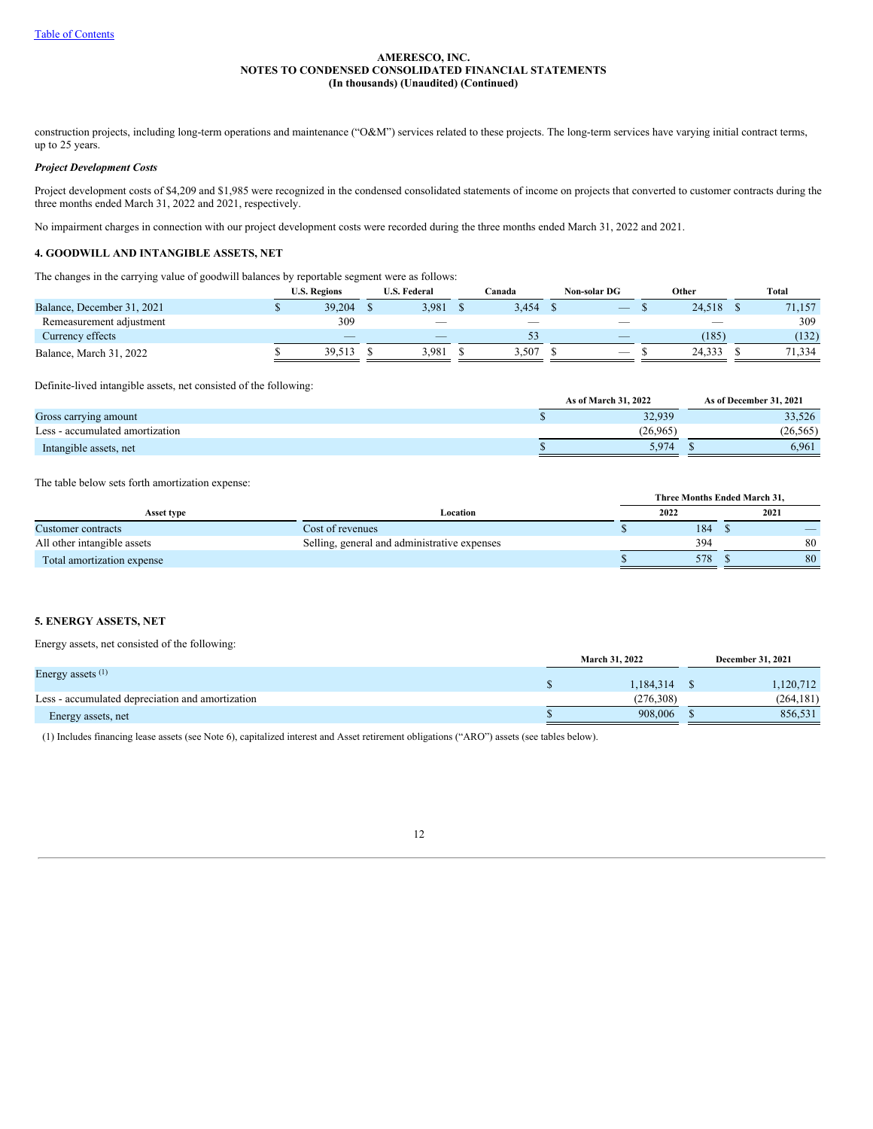construction projects, including long-term operations and maintenance ("O&M") services related to these projects. The long-term services have varying initial contract terms, up to 25 years.

### *Project Development Costs*

Project development costs of \$4,209 and \$1,985 were recognized in the condensed consolidated statements of income on projects that converted to customer contracts during the three months ended March 31, 2022 and 2021, respectively.

No impairment charges in connection with our project development costs were recorded during the three months ended March 31, 2022 and 2021.

## **4. GOODWILL AND INTANGIBLE ASSETS, NET**

The changes in the carrying value of goodwill balances by reportable segment were as follows:

|                            | <b>U.S. Regions</b> |                          | <b>U.S. Federal</b>             | Canada          | Non-solar DG             | Other  | Total  |
|----------------------------|---------------------|--------------------------|---------------------------------|-----------------|--------------------------|--------|--------|
| Balance, December 31, 2021 |                     | 39,204                   | 3.981                           | 3.454           |                          | 24.518 | 71,157 |
| Remeasurement adjustment   |                     | 309                      | $\hspace{0.1mm}-\hspace{0.1mm}$ | $\qquad \qquad$ |                          |        | 309    |
| Currency effects           |                     | $\overline{\phantom{a}}$ | $\overline{\phantom{a}}$        |                 | $-$                      | (185)  | (132)  |
| Balance, March 31, 2022    |                     | 39.513                   | 3.981                           | 3,507           | $\overline{\phantom{a}}$ | 24.333 | 71.334 |

Definite-lived intangible assets, net consisted of the following:

|                                 | As of March 31, 2022 |         | As of December 31, 2021 |
|---------------------------------|----------------------|---------|-------------------------|
| Gross carrying amount           |                      | 32,939  | 33,526                  |
| Less - accumulated amortization |                      | (26.965 | (26, 565)               |
| Intangible assets, net          |                      | 5.974   | 6.961                   |

The table below sets forth amortization expense:

|                             |                                              |      | Three Months Ended March 31. |
|-----------------------------|----------------------------------------------|------|------------------------------|
| Asset type                  | Location                                     | 2022 | 2021                         |
| Customer contracts          | Cost of revenues                             | 184  | $\overline{\phantom{a}}$     |
| All other intangible assets | Selling, general and administrative expenses | 394  | 80                           |
| Total amortization expense  |                                              | 578  | 80                           |

### **5. ENERGY ASSETS, NET**

Energy assets, net consisted of the following:

|                                                  | March 31, 2022 | December 31, 2021 |            |  |
|--------------------------------------------------|----------------|-------------------|------------|--|
| Energy assets $(1)$                              | 1.184.314      |                   | 1.120.712  |  |
| Less - accumulated depreciation and amortization | (276.308)      |                   | (264, 181) |  |
| Energy assets, net                               | 908,006        |                   | 856.531    |  |

(1) Includes financing lease assets (see Note 6), capitalized interest and Asset retirement obligations ("ARO") assets (see tables below).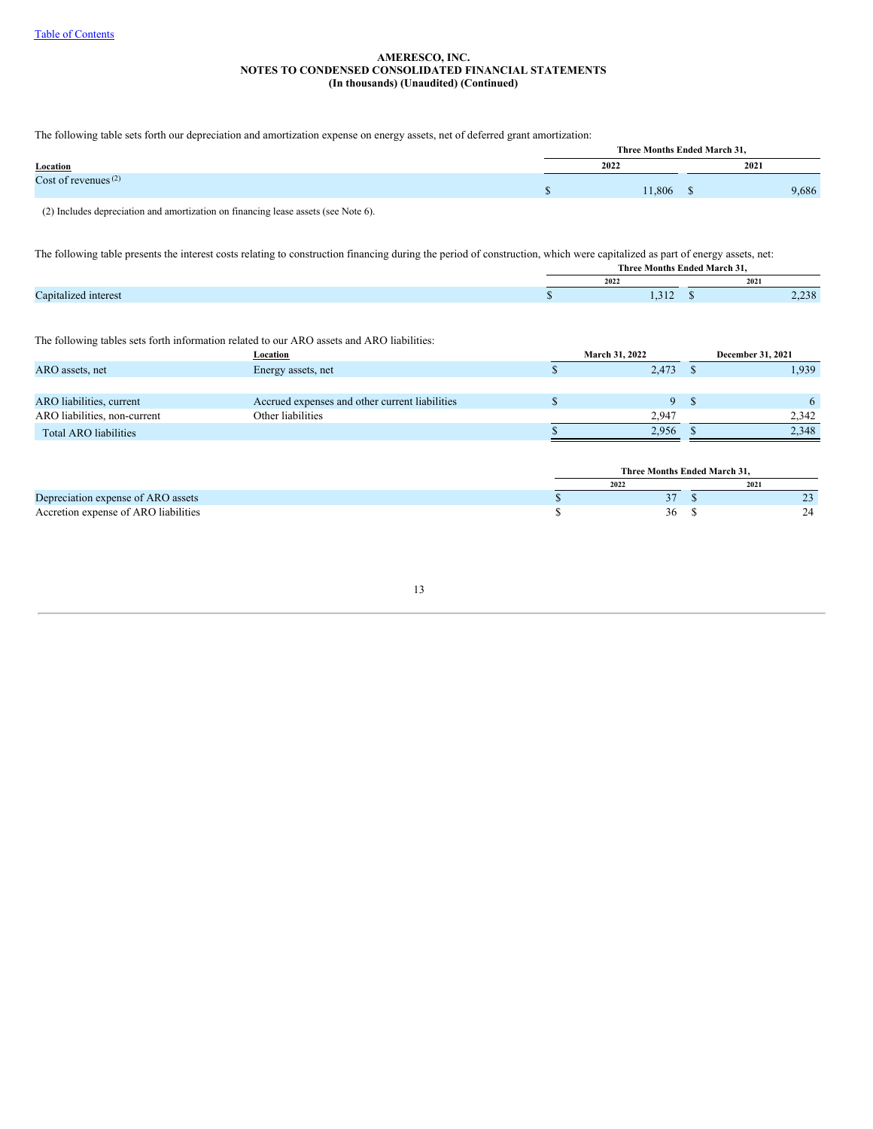The following table sets forth our depreciation and amortization expense on energy assets, net of deferred grant amortization:

|                                                                                    | Three Months Ended March 31. |        |  |       |  |  |  |  |
|------------------------------------------------------------------------------------|------------------------------|--------|--|-------|--|--|--|--|
| <b>Location</b>                                                                    |                              | 2022   |  | 2021  |  |  |  |  |
| Cost of revenues $(2)$                                                             |                              | 11,806 |  | 9,686 |  |  |  |  |
| $(2)$ Includes democration and emergination on financina losse second (see Note 6) |                              |        |  |       |  |  |  |  |

(2) Includes depreciation and amortization on financing lease assets (see Note 6).

The following table presents the interest costs relating to construction financing during the period of construction, which were capitalized as part of energy assets, net: **Three Months Ended March 31,**

|                         | Three Months Ended March 31. |      |                           |  |  |
|-------------------------|------------------------------|------|---------------------------|--|--|
|                         | 2022                         | 2021 |                           |  |  |
| Capitalized<br>interest | 212<br>1.714                 |      | .22c<br>^^<br>ا ت سە بىلە |  |  |

The following tables sets forth information related to our ARO assets and ARO liabilities:

|                              | <b>Location</b>                                | <b>March 31, 2022</b> | <b>December 31, 2021</b> |
|------------------------------|------------------------------------------------|-----------------------|--------------------------|
| ARO assets, net              | Energy assets, net                             | 2.473                 | 1,939                    |
|                              |                                                |                       |                          |
| ARO liabilities, current     | Accrued expenses and other current liabilities |                       | -6                       |
| ARO liabilities, non-current | Other liabilities                              | 2.947                 | 2.342                    |
| Total ARO liabilities        |                                                | 2,956                 | 2,348                    |

|                                      | Three Months Ended March 31. |      |     |  |  |
|--------------------------------------|------------------------------|------|-----|--|--|
|                                      | 2022                         | 2021 |     |  |  |
| Depreciation expense of ARO assets   | $\sim$                       |      | n n |  |  |
| Accretion expense of ARO liabilities | 36                           |      | ∸   |  |  |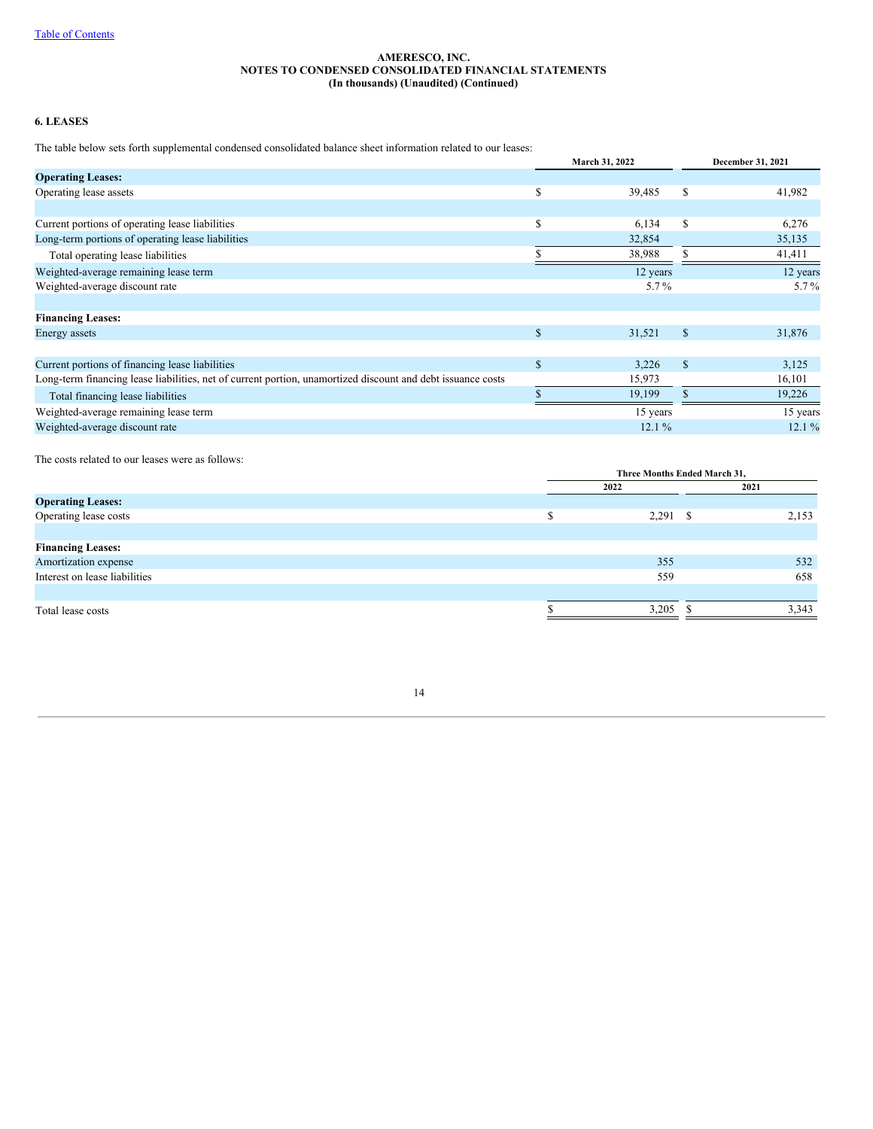## **6. LEASES**

The table below sets forth supplemental condensed consolidated balance sheet information related to our leases:

|                                                                                                             |               | March 31, 2022 |    | December 31, 2021 |  |  |
|-------------------------------------------------------------------------------------------------------------|---------------|----------------|----|-------------------|--|--|
| <b>Operating Leases:</b>                                                                                    |               |                |    |                   |  |  |
| Operating lease assets                                                                                      | $\mathbb{S}$  | 39,485         | \$ | 41,982            |  |  |
|                                                                                                             |               |                |    |                   |  |  |
| Current portions of operating lease liabilities                                                             | \$            | 6,134          | \$ | 6,276             |  |  |
| Long-term portions of operating lease liabilities                                                           |               | 32,854         |    | 35,135            |  |  |
| Total operating lease liabilities                                                                           |               | 38,988         |    | 41,411            |  |  |
| Weighted-average remaining lease term                                                                       |               | 12 years       |    | 12 years          |  |  |
| Weighted-average discount rate                                                                              |               | $5.7\%$        |    | $5.7\%$           |  |  |
|                                                                                                             |               |                |    |                   |  |  |
| <b>Financing Leases:</b>                                                                                    |               |                |    |                   |  |  |
| Energy assets                                                                                               | $\mathcal{S}$ | 31,521         | \$ | 31,876            |  |  |
|                                                                                                             |               |                |    |                   |  |  |
| Current portions of financing lease liabilities                                                             | $\mathcal{S}$ | 3,226          | \$ | 3,125             |  |  |
| Long-term financing lease liabilities, net of current portion, unamortized discount and debt issuance costs |               | 15,973         |    | 16,101            |  |  |
| Total financing lease liabilities                                                                           |               | 19,199         |    | 19,226            |  |  |
| Weighted-average remaining lease term                                                                       |               | 15 years       |    | 15 years          |  |  |
| Weighted-average discount rate                                                                              |               | $12.1\%$       |    | 12.1%             |  |  |

The costs related to our leases were as follows:

|                               | Three Months Ended March 31, |       |  |  |
|-------------------------------|------------------------------|-------|--|--|
|                               | 2022                         | 2021  |  |  |
| <b>Operating Leases:</b>      |                              |       |  |  |
| Operating lease costs         | $2,291$ \$                   | 2,153 |  |  |
|                               |                              |       |  |  |
| <b>Financing Leases:</b>      |                              |       |  |  |
| Amortization expense          | 355                          | 532   |  |  |
| Interest on lease liabilities | 559                          | 658   |  |  |
|                               |                              |       |  |  |
| Total lease costs             | 3.205                        | 3,343 |  |  |
|                               |                              |       |  |  |

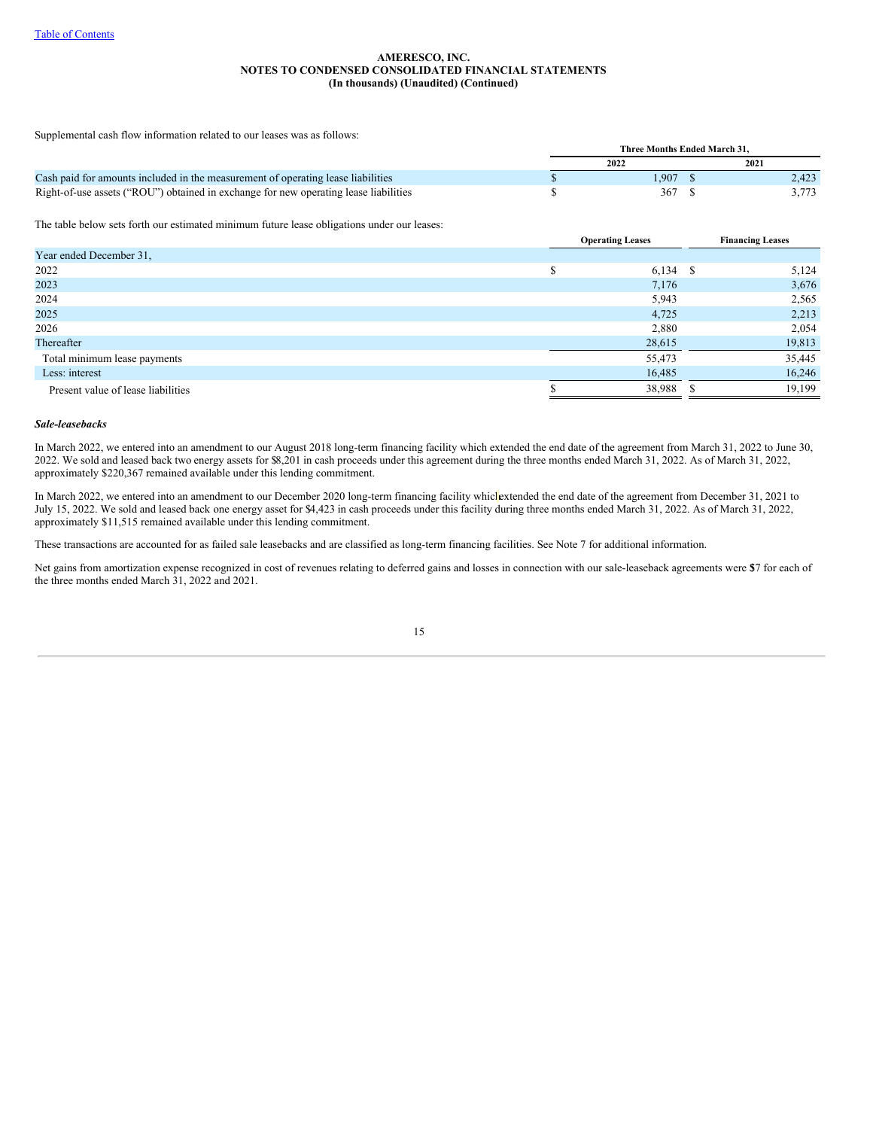Supplemental cash flow information related to our leases was as follows:

|                                                                                      | <b>Three Months Ended March 31.</b> |       |  |  |
|--------------------------------------------------------------------------------------|-------------------------------------|-------|--|--|
|                                                                                      | 2022                                | 2021  |  |  |
| Cash paid for amounts included in the measurement of operating lease liabilities     | 0.907                               | 2.423 |  |  |
| Right-of-use assets ("ROU") obtained in exchange for new operating lease liabilities | 367                                 | 3.773 |  |  |

The table below sets forth our estimated minimum future lease obligations under our leases:

|                                    |   | <b>Operating Leases</b> |    | <b>Financing Leases</b> |  |
|------------------------------------|---|-------------------------|----|-------------------------|--|
| Year ended December 31,            |   |                         |    |                         |  |
| 2022                               | ጣ | 6,134                   | -S | 5,124                   |  |
| 2023                               |   | 7,176                   |    | 3,676                   |  |
| 2024                               |   | 5,943                   |    | 2,565                   |  |
| 2025                               |   | 4,725                   |    | 2,213                   |  |
| 2026                               |   | 2,880                   |    | 2,054                   |  |
| Thereafter                         |   | 28,615                  |    | 19,813                  |  |
| Total minimum lease payments       |   | 55,473                  |    | 35,445                  |  |
| Less: interest                     |   | 16,485                  |    | 16,246                  |  |
| Present value of lease liabilities |   | 38,988                  |    | 19,199                  |  |
|                                    |   |                         |    |                         |  |

#### *Sale-leasebacks*

In March 2022, we entered into an amendment to our August 2018 long-term financing facility which extended the end date of the agreement from March 31, 2022 to June 30, 2022. We sold and leased back two energy assets for \$8,201 in cash proceeds under this agreement during the three months ended March 31, 2022. As of March 31, 2022, approximately \$220,367 remained available under this lending commitment.

In March 2022, we entered into an amendment to our December 2020 long-term financing facility which extended the end date of the agreement from December 31, 2021 to July 15, 2022. We sold and leased back one energy asset for \$4,423 in cash proceeds under this facility during three months ended March 31, 2022. As of March 31, 2022, approximately \$11,515 remained available under this lending commitment.

These transactions are accounted for as failed sale leasebacks and are classified as long-term financing facilities. See Note 7 for additional information.

Net gains from amortization expense recognized in cost of revenues relating to deferred gains and losses in connection with our sale-leaseback agreements were \$7 for each of the three months ended March 31, 2022 and 2021.

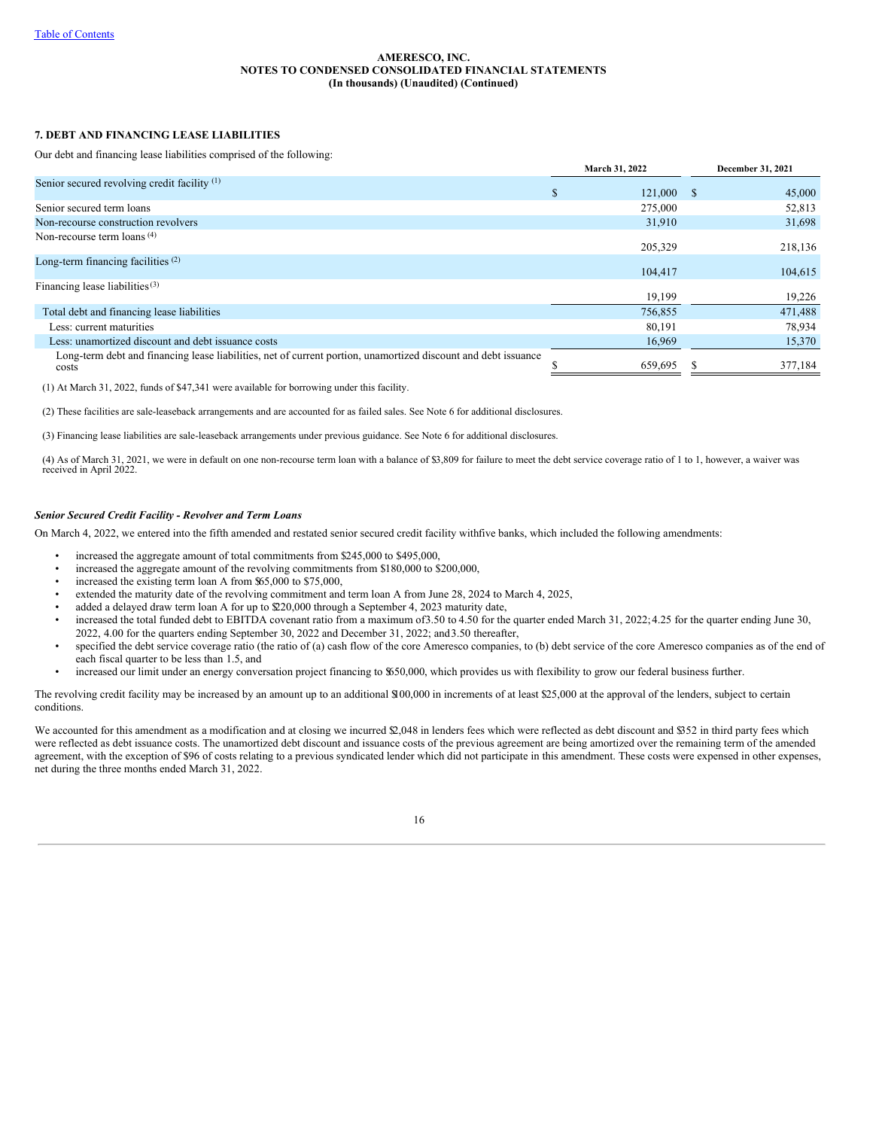## **7. DEBT AND FINANCING LEASE LIABILITIES**

Our debt and financing lease liabilities comprised of the following:

|                                                                                                                         |     | March 31, 2022 |  | December 31, 2021 |  |
|-------------------------------------------------------------------------------------------------------------------------|-----|----------------|--|-------------------|--|
| Senior secured revolving credit facility <sup>(1)</sup>                                                                 | \$. | $121,000$ \$   |  | 45,000            |  |
| Senior secured term loans                                                                                               |     | 275,000        |  | 52,813            |  |
| Non-recourse construction revolvers                                                                                     |     | 31,910         |  | 31,698            |  |
| Non-recourse term loans $(4)$                                                                                           |     | 205,329        |  | 218,136           |  |
| Long-term financing facilities $(2)$                                                                                    |     | 104,417        |  | 104,615           |  |
| Financing lease liabilities $(3)$                                                                                       |     | 19,199         |  | 19,226            |  |
| Total debt and financing lease liabilities                                                                              |     | 756,855        |  | 471,488           |  |
| Less: current maturities                                                                                                |     | 80,191         |  | 78,934            |  |
| Less: unamortized discount and debt issuance costs                                                                      |     | 16,969         |  | 15,370            |  |
| Long-term debt and financing lease liabilities, net of current portion, unamortized discount and debt issuance<br>costs |     | 659,695        |  | 377,184           |  |

(1) At March 31, 2022, funds of \$47,341 were available for borrowing under this facility.

(2) These facilities are sale-leaseback arrangements and are accounted for as failed sales. See Note 6 for additional disclosures.

(3) Financing lease liabilities are sale-leaseback arrangements under previous guidance. See Note 6 for additional disclosures.

(4) As of March 31, 2021, we were in default on one non-recourse term loan with a balance of \$3,809 for failure to meet the debt service coverage ratio of 1 to 1, however, a waiver was received in April 2022.

## *Senior Secured Credit Facility - Revolver and Term Loans*

On March 4, 2022, we entered into the fifth amended and restated senior secured credit facility withfive banks, which included the following amendments:

- increased the aggregate amount of total commitments from \$245,000 to \$495,000,
- increased the aggregate amount of the revolving commitments from \$180,000 to \$200,000,
- increased the existing term loan A from \$65,000 to \$75,000,
- extended the maturity date of the revolving commitment and term loan A from June 28, 2024 to March 4, 2025,
- added a delayed draw term loan A for up to \$220,000 through a September 4, 2023 maturity date,
- increased the total funded debt to EBITDA covenant ratio from a maximum of3.50 to 4.50 for the quarter ended March 31, 2022; 4.25 for the quarter ending June 30, 2022, 4.00 for the quarters ending September 30, 2022 and December 31, 2022; and3.50 thereafter,
- specified the debt service coverage ratio (the ratio of (a) cash flow of the core Ameresco companies, to (b) debt service of the core Ameresco companies as of the end of each fiscal quarter to be less than 1.5, and
- increased our limit under an energy conversation project financing to \$650,000, which provides us with flexibility to grow our federal business further.

The revolving credit facility may be increased by an amount up to an additional \$100,000 in increments of at least \$25,000 at the approval of the lenders, subject to certain conditions.

We accounted for this amendment as a modification and at closing we incurred \$2,048 in lenders fees which were reflected as debt discount and \$352 in third party fees which were reflected as debt issuance costs. The unamortized debt discount and issuance costs of the previous agreement are being amortized over the remaining term of the amended agreement, with the exception of \$96 of costs relating to a previous syndicated lender which did not participate in this amendment. These costs were expensed in other expenses, net during the three months ended March 31, 2022.

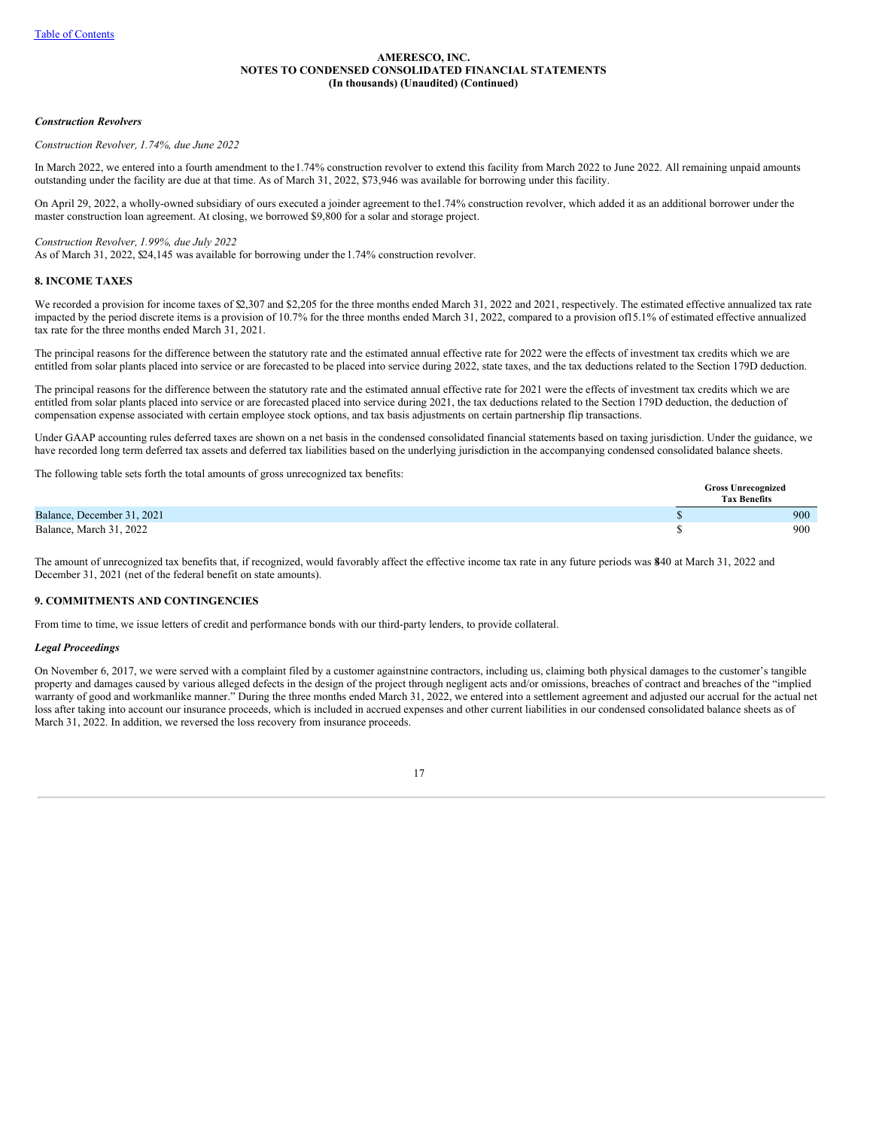#### *Construction Revolvers*

#### *Construction Revolver, 1.74%, due June 2022*

In March 2022, we entered into a fourth amendment to the1.74% construction revolver to extend this facility from March 2022 to June 2022. All remaining unpaid amounts outstanding under the facility are due at that time. As of March 31, 2022, \$73,946 was available for borrowing under this facility.

On April 29, 2022, a wholly-owned subsidiary of ours executed a joinder agreement to the1.74% construction revolver, which added it as an additional borrower under the master construction loan agreement. At closing, we borrowed \$9,800 for a solar and storage project.

## *Construction Revolver, 1.99%, due July 2022*

As of March 31, 2022, \$24,145 was available for borrowing under the 1.74% construction revolver.

#### **8. INCOME TAXES**

We recorded a provision for income taxes of \$2,307 and \$2,205 for the three months ended March 31, 2022 and 2021, respectively. The estimated effective annualized tax rate impacted by the period discrete items is a provision of 10.7% for the three months ended March 31, 2022, compared to a provision of15.1% of estimated effective annualized tax rate for the three months ended March 31, 2021.

The principal reasons for the difference between the statutory rate and the estimated annual effective rate for 2022 were the effects of investment tax credits which we are entitled from solar plants placed into service or are forecasted to be placed into service during 2022, state taxes, and the tax deductions related to the Section 179D deduction.

The principal reasons for the difference between the statutory rate and the estimated annual effective rate for 2021 were the effects of investment tax credits which we are entitled from solar plants placed into service or are forecasted placed into service during 2021, the tax deductions related to the Section 179D deduction, the deduction of compensation expense associated with certain employee stock options, and tax basis adjustments on certain partnership flip transactions.

Under GAAP accounting rules deferred taxes are shown on a net basis in the condensed consolidated financial statements based on taxing jurisdiction. Under the guidance, we have recorded long term deferred tax assets and deferred tax liabilities based on the underlying jurisdiction in the accompanying condensed consolidated balance sheets.

The following table sets forth the total amounts of gross unrecognized tax benefits:

|                            | <b>Gross Unrecognized</b><br><b>Tax Benefits</b> |
|----------------------------|--------------------------------------------------|
| Balance, December 31, 2021 | 900                                              |
| Balance, March 31, 2022    | 900                                              |

The amount of unrecognized tax benefits that, if recognized, would favorably affect the effective income tax rate in any future periods was \$440 at March 31, 2022 and December 31, 2021 (net of the federal benefit on state amounts).

## **9. COMMITMENTS AND CONTINGENCIES**

From time to time, we issue letters of credit and performance bonds with our third-party lenders, to provide collateral.

#### *Legal Proceedings*

On November 6, 2017, we were served with a complaint filed by a customer againstnine contractors, including us, claiming both physical damages to the customer's tangible property and damages caused by various alleged defects in the design of the project through negligent acts and/or omissions, breaches of contract and breaches of the "implied warranty of good and workmanlike manner." During the three months ended March 31, 2022, we entered into a settlement agreement and adjusted our accrual for the actual net loss after taking into account our insurance proceeds, which is included in accrued expenses and other current liabilities in our condensed consolidated balance sheets as of March 31, 2022. In addition, we reversed the loss recovery from insurance proceeds.

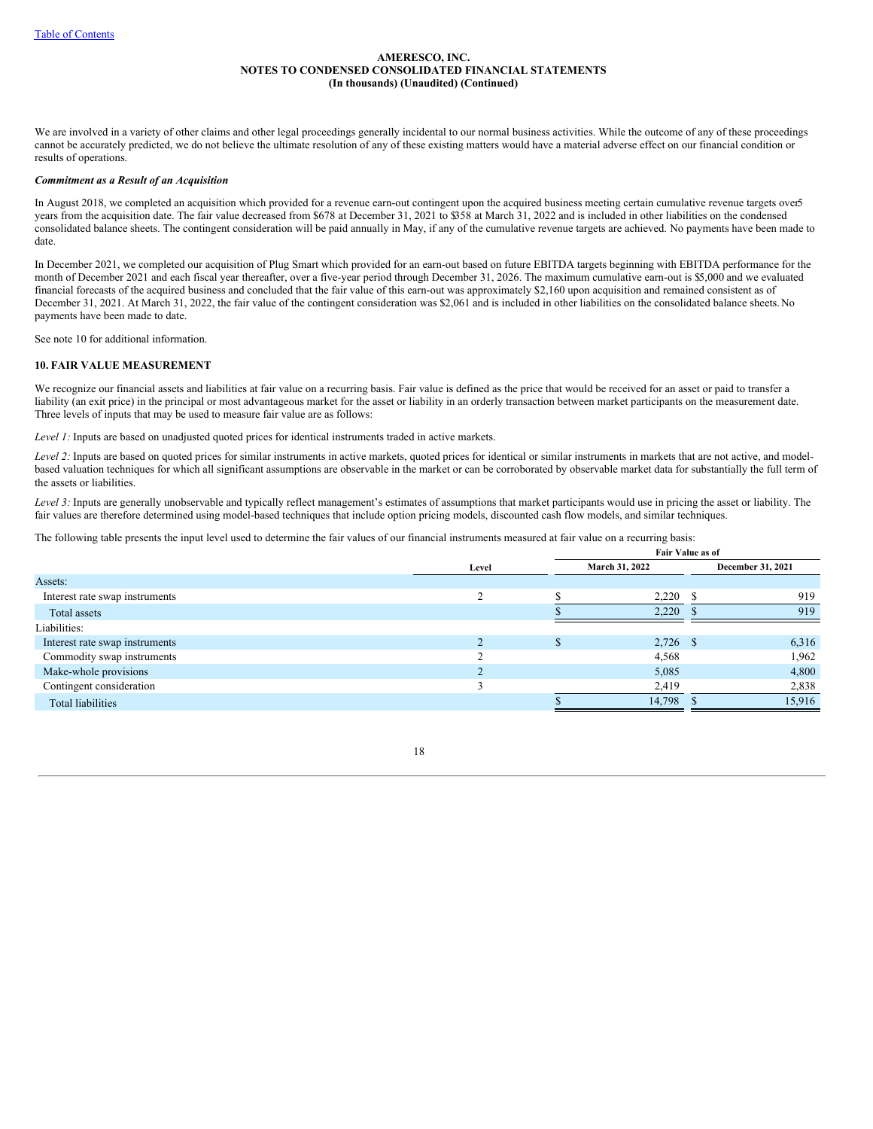We are involved in a variety of other claims and other legal proceedings generally incidental to our normal business activities. While the outcome of any of these proceedings cannot be accurately predicted, we do not believe the ultimate resolution of any of these existing matters would have a material adverse effect on our financial condition or results of operations.

#### *Commitment as a Result of an Acquisition*

In August 2018, we completed an acquisition which provided for a revenue earn-out contingent upon the acquired business meeting certain cumulative revenue targets over5 years from the acquisition date. The fair value decreased from \$678 at December 31, 2021 to \$358 at March 31, 2022 and is included in other liabilities on the condensed consolidated balance sheets. The contingent consideration will be paid annually in May, if any of the cumulative revenue targets are achieved. No payments have been made to date.

In December 2021, we completed our acquisition of Plug Smart which provided for an earn-out based on future EBITDA targets beginning with EBITDA performance for the month of December 2021 and each fiscal year thereafter, over a five-year period through December 31, 2026. The maximum cumulative earn-out is \$5,000 and we evaluated financial forecasts of the acquired business and concluded that the fair value of this earn-out was approximately \$2,160 upon acquisition and remained consistent as of December 31, 2021. At March 31, 2022, the fair value of the contingent consideration was \$2,061 and is included in other liabilities on the consolidated balance sheets.No payments have been made to date.

See note 10 for additional information.

#### **10. FAIR VALUE MEASUREMENT**

We recognize our financial assets and liabilities at fair value on a recurring basis. Fair value is defined as the price that would be received for an asset or paid to transfer a liability (an exit price) in the principal or most advantageous market for the asset or liability in an orderly transaction between market participants on the measurement date. Three levels of inputs that may be used to measure fair value are as follows:

*Level 1:* Inputs are based on unadjusted quoted prices for identical instruments traded in active markets.

*Level 2:* Inputs are based on quoted prices for similar instruments in active markets, quoted prices for identical or similar instruments in markets that are not active, and modelbased valuation techniques for which all significant assumptions are observable in the market or can be corroborated by observable market data for substantially the full term of the assets or liabilities.

*Level 3:* Inputs are generally unobservable and typically reflect management's estimates of assumptions that market participants would use in pricing the asset or liability. The fair values are therefore determined using model-based techniques that include option pricing models, discounted cash flow models, and similar techniques.

The following table presents the input level used to determine the fair values of our financial instruments measured at fair value on a recurring basis:

| Level     |  |       |                | December 31, 2021                                         |  |
|-----------|--|-------|----------------|-----------------------------------------------------------|--|
|           |  |       |                |                                                           |  |
| $\bigcap$ |  |       |                | 919                                                       |  |
|           |  | 2.220 |                | 919                                                       |  |
|           |  |       |                |                                                           |  |
| $\bigcap$ |  |       |                | 6,316                                                     |  |
| $\sim$    |  | 4,568 |                | 1,962                                                     |  |
|           |  | 5,085 |                | 4,800                                                     |  |
|           |  | 2,419 |                | 2,838                                                     |  |
|           |  |       |                | 15,916                                                    |  |
|           |  |       | March 31, 2022 | Fair Value as of<br>$2,220$ \$<br>$2,726$ \$<br>14,798 \$ |  |

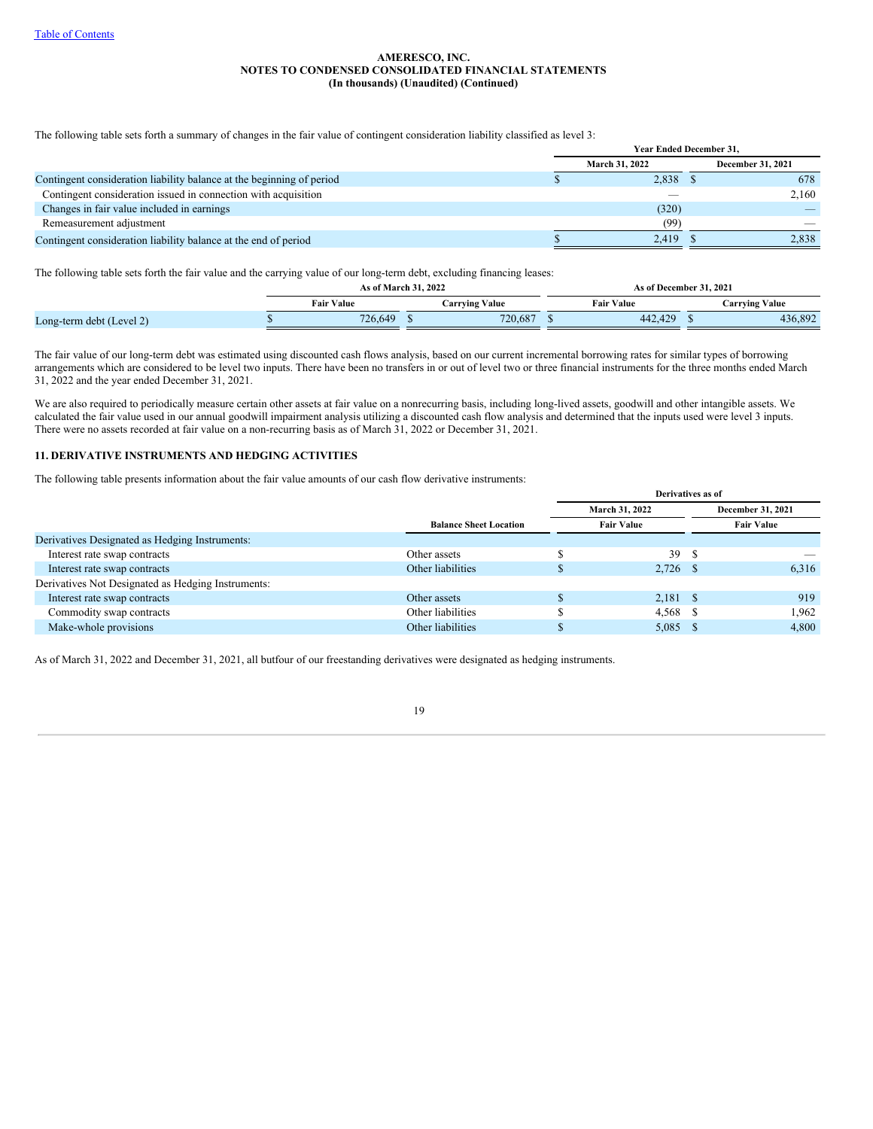The following table sets forth a summary of changes in the fair value of contingent consideration liability classified as level 3:

|                                                                       | Year Ended December 31, |       |  |                   |
|-----------------------------------------------------------------------|-------------------------|-------|--|-------------------|
|                                                                       | <b>March 31, 2022</b>   |       |  | December 31, 2021 |
| Contingent consideration liability balance at the beginning of period |                         | 2,838 |  | 678               |
| Contingent consideration issued in connection with acquisition        |                         |       |  | 2,160             |
| Changes in fair value included in earnings                            |                         | (320) |  |                   |
| Remeasurement adjustment                                              |                         | (99)  |  |                   |
| Contingent consideration liability balance at the end of period       |                         | 2.419 |  | 2,838             |

The following table sets forth the fair value and the carrying value of our long-term debt, excluding financing leases:

|                          | As of March 31, 2022 |  |                | <b>As of December 31, 2021</b> |  |                       |  |
|--------------------------|----------------------|--|----------------|--------------------------------|--|-----------------------|--|
|                          | <b>Fair Value</b>    |  | Carrving Value | <b>Fair Value</b>              |  | <b>Carrying Value</b> |  |
| Long-term debt (Level 2) | 726,649              |  | 720,687        | 442,429                        |  | 436,892               |  |

The fair value of our long-term debt was estimated using discounted cash flows analysis, based on our current incremental borrowing rates for similar types of borrowing arrangements which are considered to be level two inputs. There have been no transfers in or out of level two or three financial instruments for the three months ended March 31, 2022 and the year ended December 31, 2021.

We are also required to periodically measure certain other assets at fair value on a nonrecurring basis, including long-lived assets, goodwill and other intangible assets. We calculated the fair value used in our annual goodwill impairment analysis utilizing a discounted cash flow analysis and determined that the inputs used were level 3 inputs. There were no assets recorded at fair value on a non-recurring basis as of March 31, 2022 or December 31, 2021.

## **11. DERIVATIVE INSTRUMENTS AND HEDGING ACTIVITIES**

The following table presents information about the fair value amounts of our cash flow derivative instruments:

|                                                    |                               |  | Derivatives as 01 |     |                   |
|----------------------------------------------------|-------------------------------|--|-------------------|-----|-------------------|
|                                                    |                               |  | March 31, 2022    |     | December 31, 2021 |
|                                                    | <b>Balance Sheet Location</b> |  | <b>Fair Value</b> |     | <b>Fair Value</b> |
| Derivatives Designated as Hedging Instruments:     |                               |  |                   |     |                   |
| Interest rate swap contracts                       | Other assets                  |  | 39                | - S |                   |
| Interest rate swap contracts                       | Other liabilities             |  | $2,726$ \$        |     | 6,316             |
| Derivatives Not Designated as Hedging Instruments: |                               |  |                   |     |                   |
| Interest rate swap contracts                       | Other assets                  |  | $2,181$ \$        |     | 919               |
| Commodity swap contracts                           | Other liabilities             |  | 4,568 \$          |     | 1.962             |
| Make-whole provisions                              | Other liabilities             |  | 5,085 \$          |     | 4,800             |

**Derivatives as of**

As of March 31, 2022 and December 31, 2021, all butfour of our freestanding derivatives were designated as hedging instruments.

| ¢<br>۰.       |
|---------------|
| ۰.<br>۰,<br>٧ |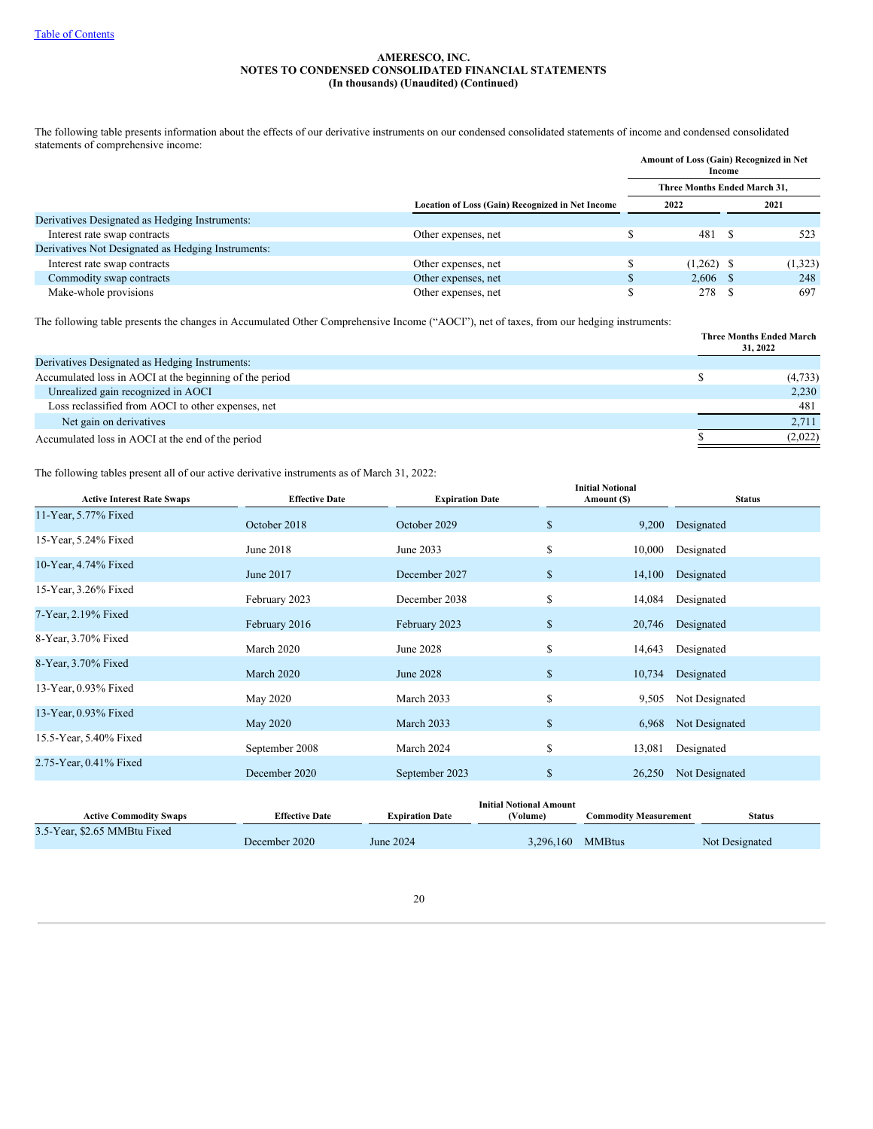The following table presents information about the effects of our derivative instruments on our condensed consolidated statements of income and condensed consolidated statements of comprehensive income:

|                                                    |                                                         |     |              | Amount of Loss (Gain) Recognized in Net<br>Income<br>Three Months Ended March 31. |         |  |
|----------------------------------------------------|---------------------------------------------------------|-----|--------------|-----------------------------------------------------------------------------------|---------|--|
|                                                    |                                                         |     |              |                                                                                   |         |  |
|                                                    | <b>Location of Loss (Gain) Recognized in Net Income</b> |     | 2022         |                                                                                   | 2021    |  |
| Derivatives Designated as Hedging Instruments:     |                                                         |     |              |                                                                                   |         |  |
| Interest rate swap contracts                       | Other expenses, net                                     |     | 481          | -S                                                                                | 523     |  |
| Derivatives Not Designated as Hedging Instruments: |                                                         |     |              |                                                                                   |         |  |
| Interest rate swap contracts                       | Other expenses, net                                     |     | $(1,262)$ \$ |                                                                                   | (1,323) |  |
| Commodity swap contracts                           | Other expenses, net                                     | - 6 | $2,606$ \$   |                                                                                   | 248     |  |
| Make-whole provisions                              | Other expenses, net                                     |     | 278          |                                                                                   | 697     |  |

The following table presents the changes in Accumulated Other Comprehensive Income ("AOCI"), net of taxes, from our hedging instruments:

|                                                         |  | <b>Three Months Ended March</b><br>31, 2022 |
|---------------------------------------------------------|--|---------------------------------------------|
| Derivatives Designated as Hedging Instruments:          |  |                                             |
| Accumulated loss in AOCI at the beginning of the period |  | (4,733)                                     |
| Unrealized gain recognized in AOCI                      |  | 2,230                                       |
| Loss reclassified from AOCI to other expenses, net      |  | 481                                         |
| Net gain on derivatives                                 |  | 2,711                                       |
| Accumulated loss in AOCI at the end of the period       |  | (2,022)                                     |

The following tables present all of our active derivative instruments as of March 31, 2022:

| <b>Active Interest Rate Swaps</b> | <b>Effective Date</b> | <b>Expiration Date</b> |              | <b>Initial Notional</b><br>Amount (\$) | <b>Status</b>  |
|-----------------------------------|-----------------------|------------------------|--------------|----------------------------------------|----------------|
| 11-Year, 5.77% Fixed              |                       |                        |              |                                        |                |
|                                   | October 2018          | October 2029           | $\mathbb{S}$ | 9,200                                  | Designated     |
| 15-Year, 5.24% Fixed              | June 2018             | June 2033              | \$           | 10,000                                 | Designated     |
| 10-Year, 4.74% Fixed              | June 2017             | December 2027          | $\mathbb{S}$ | 14,100                                 | Designated     |
| 15-Year, 3.26% Fixed              | February 2023         | December 2038          | \$           | 14,084                                 | Designated     |
| 7-Year, 2.19% Fixed               | February 2016         | February 2023          | \$           | 20,746                                 | Designated     |
| 8-Year, 3.70% Fixed               | March 2020            | June 2028              | S            | 14,643                                 | Designated     |
| 8-Year, 3.70% Fixed               | March 2020            | June 2028              | $\mathbb{S}$ | 10,734                                 | Designated     |
| 13-Year, 0.93% Fixed              | May 2020              | March 2033             | \$           | 9,505                                  | Not Designated |
| 13-Year, 0.93% Fixed              | May 2020              | March 2033             | $\mathbb{S}$ | 6,968                                  | Not Designated |
| 15.5-Year, 5.40% Fixed            | September 2008        | March 2024             | S            | 13,081                                 | Designated     |
| 2.75-Year, 0.41% Fixed            | December 2020         | September 2023         | $\mathbb{S}$ | 26,250                                 | Not Designated |
|                                   |                       |                        |              |                                        |                |

| <b>Active Commodity Swaps</b> | <b>Effective Date</b> | <b>Expiration Date</b> | <b>Initial Notional Amount</b><br>(Volume) | <b>Commodity Measurement</b> | <b>Status</b>  |
|-------------------------------|-----------------------|------------------------|--------------------------------------------|------------------------------|----------------|
| 3.5-Year, \$2.65 MMBtu Fixed  | December 2020         | June 2024              | 3.296.160                                  | <b>MMBtus</b>                | Not Designated |

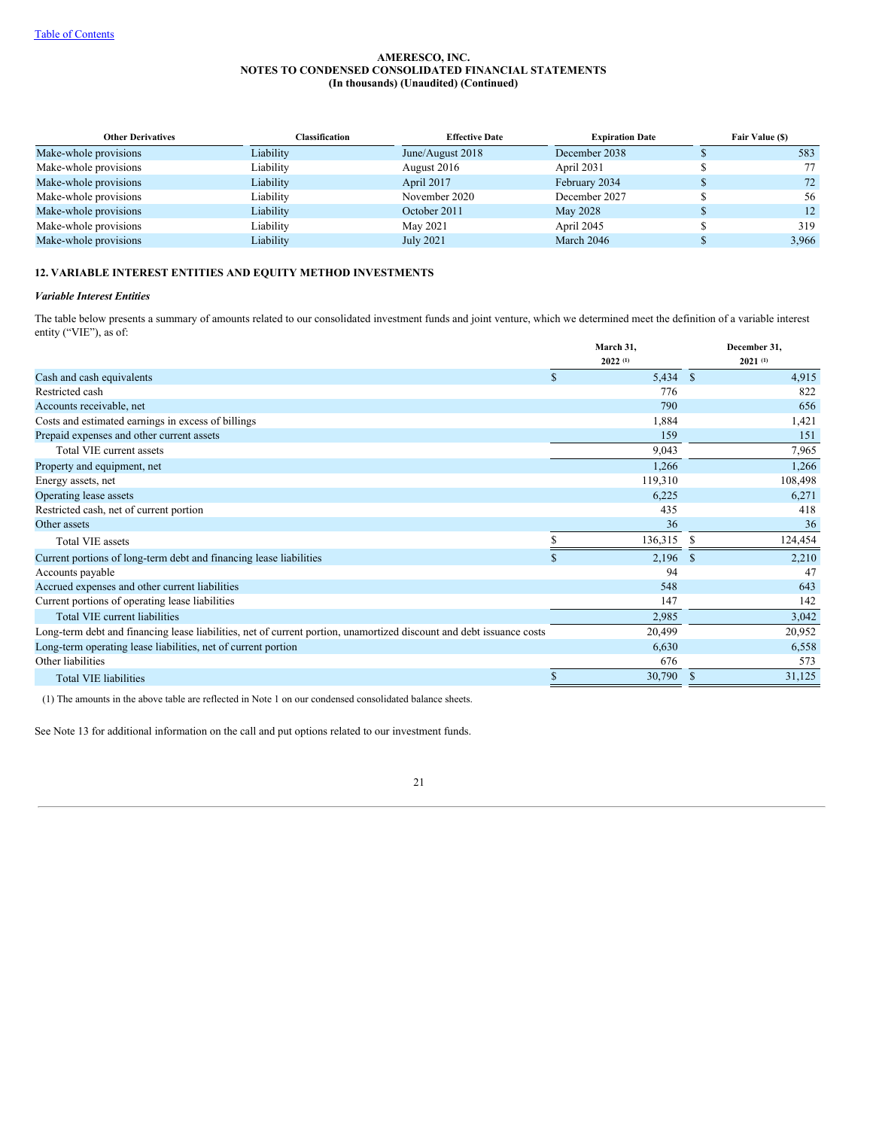| <b>Other Derivatives</b> | Classification | <b>Effective Date</b> | <b>Expiration Date</b> | Fair Value (\$) |
|--------------------------|----------------|-----------------------|------------------------|-----------------|
| Make-whole provisions    | Liability      | June/August 2018      | December 2038          | 583             |
| Make-whole provisions    | Liability      | August 2016           | April 2031             | 77              |
| Make-whole provisions    | Liability      | April 2017            | February 2034          | 72              |
| Make-whole provisions    | Liability      | November 2020         | December 2027          | 56              |
| Make-whole provisions    | Liability      | October 2011          | May 2028               | 12              |
| Make-whole provisions    | Liability      | May 2021              | April 2045             | 319             |
| Make-whole provisions    | Liability      | <b>July 2021</b>      | March 2046             | 3,966           |

## **12. VARIABLE INTEREST ENTITIES AND EQUITY METHOD INVESTMENTS**

#### *Variable Interest Entities*

The table below presents a summary of amounts related to our consolidated investment funds and joint venture, which we determined meet the definition of a variable interest entity ("VIE"), as of:

|                                                                                                                      |              | March 31, |      | December 31, |
|----------------------------------------------------------------------------------------------------------------------|--------------|-----------|------|--------------|
|                                                                                                                      |              | 2022(1)   |      | 2021(1)      |
| Cash and cash equivalents                                                                                            | S            | 5,434 \$  |      | 4,915        |
| Restricted cash                                                                                                      |              | 776       |      | 822          |
| Accounts receivable, net                                                                                             |              | 790       |      | 656          |
| Costs and estimated earnings in excess of billings                                                                   |              | 1,884     |      | 1,421        |
| Prepaid expenses and other current assets                                                                            |              | 159       |      | 151          |
| Total VIE current assets                                                                                             |              | 9,043     |      | 7,965        |
| Property and equipment, net                                                                                          |              | 1,266     |      | 1,266        |
| Energy assets, net                                                                                                   |              | 119,310   |      | 108,498      |
| Operating lease assets                                                                                               |              | 6,225     |      | 6,271        |
| Restricted cash, net of current portion                                                                              |              | 435       |      | 418          |
| Other assets                                                                                                         |              | 36        |      | 36           |
| Total VIE assets                                                                                                     |              | 136,315   |      | 124,454      |
| Current portions of long-term debt and financing lease liabilities                                                   | $\mathbf{s}$ | 2,196     | - \$ | 2,210        |
| Accounts payable                                                                                                     |              | 94        |      | 47           |
| Accrued expenses and other current liabilities                                                                       |              | 548       |      | 643          |
| Current portions of operating lease liabilities                                                                      |              | 147       |      | 142          |
| Total VIE current liabilities                                                                                        |              | 2,985     |      | 3,042        |
| Long-term debt and financing lease liabilities, net of current portion, unamortized discount and debt issuance costs |              | 20,499    |      | 20,952       |
| Long-term operating lease liabilities, net of current portion                                                        |              | 6,630     |      | 6,558        |
| Other liabilities                                                                                                    |              | 676       |      | 573          |
| <b>Total VIE liabilities</b>                                                                                         |              | 30,790    |      | 31,125       |

(1) The amounts in the above table are reflected in Note 1 on our condensed consolidated balance sheets.

See Note 13 for additional information on the call and put options related to our investment funds.

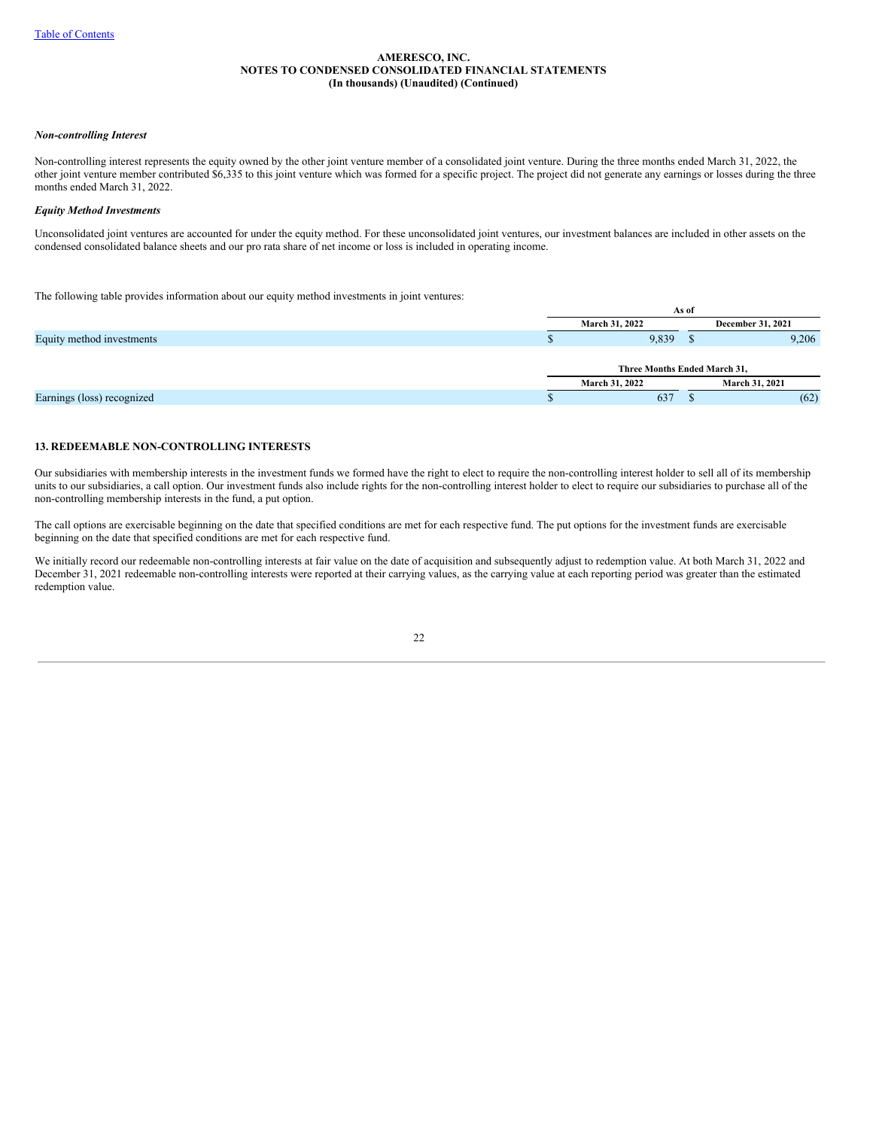#### *Non-controlling Interest*

Non-controlling interest represents the equity owned by the other joint venture member of a consolidated joint venture. During the three months ended March 31, 2022, the other joint venture member contributed \$6,335 to this joint venture which was formed for a specific project. The project did not generate any earnings or losses during the three months ended March 31, 2022.

## *Equity Method Investments*

Unconsolidated joint ventures are accounted for under the equity method. For these unconsolidated joint ventures, our investment balances are included in other assets on the condensed consolidated balance sheets and our pro rata share of net income or loss is included in operating income.

The following table provides information about our equity method investments in joint ventures:

|                            | As of                        |  |                   |  |
|----------------------------|------------------------------|--|-------------------|--|
|                            | <b>March 31, 2022</b>        |  | December 31, 2021 |  |
| Equity method investments  | 9,839                        |  | 9,206             |  |
|                            | Three Months Ended March 31, |  |                   |  |
|                            | March 31, 2022               |  | March 31, 2021    |  |
| Earnings (loss) recognized | 637                          |  | (62)              |  |

## **13. REDEEMABLE NON-CONTROLLING INTERESTS**

Our subsidiaries with membership interests in the investment funds we formed have the right to elect to require the non-controlling interest holder to sell all of its membership units to our subsidiaries, a call option. Our investment funds also include rights for the non-controlling interest holder to elect to require our subsidiaries to purchase all of the non-controlling membership interests in the fund, a put option.

The call options are exercisable beginning on the date that specified conditions are met for each respective fund. The put options for the investment funds are exercisable beginning on the date that specified conditions are met for each respective fund.

We initially record our redeemable non-controlling interests at fair value on the date of acquisition and subsequently adjust to redemption value. At both March 31, 2022 and December 31, 2021 redeemable non-controlling interests were reported at their carrying values, as the carrying value at each reporting period was greater than the estimated redemption value.

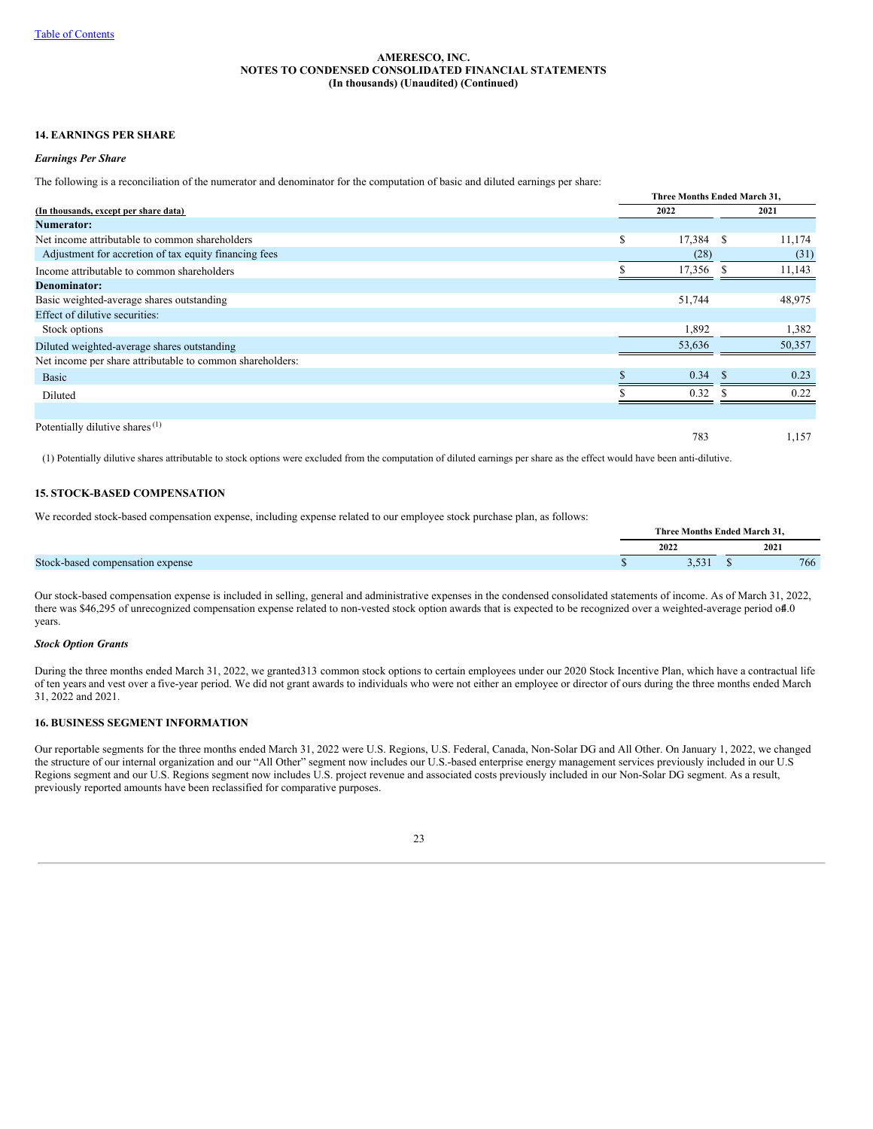## **14. EARNINGS PER SHARE**

## *Earnings Per Share*

The following is a reconciliation of the numerator and denominator for the computation of basic and diluted earnings per share:

|                                                           | Three Months Ended March 31, |           |    |        |  |  |
|-----------------------------------------------------------|------------------------------|-----------|----|--------|--|--|
| (In thousands, except per share data)                     |                              | 2022      |    | 2021   |  |  |
| <b>Numerator:</b>                                         |                              |           |    |        |  |  |
| Net income attributable to common shareholders            | S                            | 17,384 \$ |    | 11,174 |  |  |
| Adjustment for accretion of tax equity financing fees     |                              | (28)      |    | (31)   |  |  |
| Income attributable to common shareholders                |                              | 17,356    |    | 11,143 |  |  |
| Denominator:                                              |                              |           |    |        |  |  |
| Basic weighted-average shares outstanding                 |                              | 51,744    |    | 48,975 |  |  |
| Effect of dilutive securities:                            |                              |           |    |        |  |  |
| Stock options                                             |                              | 1,892     |    | 1,382  |  |  |
| Diluted weighted-average shares outstanding               |                              | 53,636    |    | 50,357 |  |  |
| Net income per share attributable to common shareholders: |                              |           |    |        |  |  |
| <b>Basic</b>                                              |                              | 0.34      | -S | 0.23   |  |  |
| Diluted                                                   |                              | 0.32      |    | 0.22   |  |  |
|                                                           |                              |           |    |        |  |  |
| Potentially dilutive shares <sup>(1)</sup>                |                              | 783       |    | 1,157  |  |  |

(1) Potentially dilutive shares attributable to stock options were excluded from the computation of diluted earnings per share as the effect would have been anti-dilutive.

## **15. STOCK-BASED COMPENSATION**

We recorded stock-based compensation expense, including expense related to our employee stock purchase plan, as follows:

|                                  |  |  | Three Months Ended March 31. |      |
|----------------------------------|--|--|------------------------------|------|
|                                  |  |  | 2022                         | 2021 |
| Stock-based compensation expense |  |  | J.JJI                        | 766  |

Our stock-based compensation expense is included in selling, general and administrative expenses in the condensed consolidated statements of income. As of March 31, 2022, there was \$46,295 of unrecognized compensation expense related to non-vested stock option awards that is expected to be recognized over a weighted-average period of 0.0 years.

### *Stock Option Grants*

During the three months ended March 31, 2022, we granted313 common stock options to certain employees under our 2020 Stock Incentive Plan, which have a contractual life of ten years and vest over a five-year period. We did not grant awards to individuals who were not either an employee or director of ours during the three months ended March 31, 2022 and 2021.

## **16. BUSINESS SEGMENT INFORMATION**

Our reportable segments for the three months ended March 31, 2022 were U.S. Regions, U.S. Federal, Canada, Non-Solar DG and All Other. On January 1, 2022, we changed the structure of our internal organization and our "All Other" segment now includes our U.S.-based enterprise energy management services previously included in our U.S Regions segment and our U.S. Regions segment now includes U.S. project revenue and associated costs previously included in our Non-Solar DG segment. As a result, previously reported amounts have been reclassified for comparative purposes.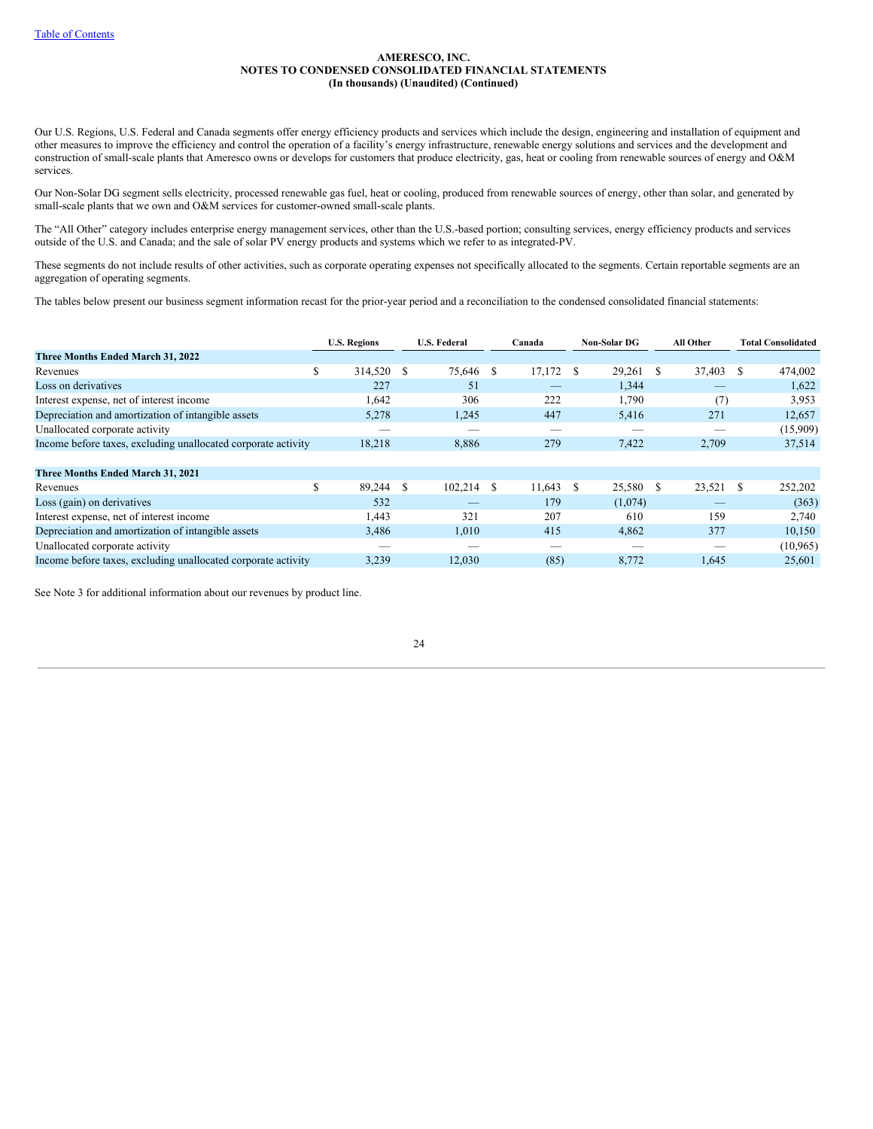Our U.S. Regions, U.S. Federal and Canada segments offer energy efficiency products and services which include the design, engineering and installation of equipment and other measures to improve the efficiency and control the operation of a facility's energy infrastructure, renewable energy solutions and services and the development and construction of small-scale plants that Ameresco owns or develops for customers that produce electricity, gas, heat or cooling from renewable sources of energy and O&M services.

Our Non-Solar DG segment sells electricity, processed renewable gas fuel, heat or cooling, produced from renewable sources of energy, other than solar, and generated by small-scale plants that we own and O&M services for customer-owned small-scale plants.

The "All Other" category includes enterprise energy management services, other than the U.S.-based portion; consulting services, energy efficiency products and services outside of the U.S. and Canada; and the sale of solar PV energy products and systems which we refer to as integrated-PV.

These segments do not include results of other activities, such as corporate operating expenses not specifically allocated to the segments. Certain reportable segments are an aggregation of operating segments.

The tables below present our business segment information recast for the prior-year period and a reconciliation to the condensed consolidated financial statements:

|                                                               | <b>U.S. Regions</b> |               | <b>U.S. Federal</b> | Canada      |    | <b>Non-Solar DG</b> |    | All Other |          | <b>Total Consolidated</b> |
|---------------------------------------------------------------|---------------------|---------------|---------------------|-------------|----|---------------------|----|-----------|----------|---------------------------|
| Three Months Ended March 31, 2022                             |                     |               |                     |             |    |                     |    |           |          |                           |
| Revenues                                                      | S<br>314,520        | <sup>\$</sup> | 75,646 \$           | $17,172$ \$ |    | 29,261              | -S | 37,403    | <b>S</b> | 474,002                   |
| Loss on derivatives                                           | 227                 |               | 51                  | _           |    | 1,344               |    | _         |          | 1,622                     |
| Interest expense, net of interest income                      | 1,642               |               | 306                 | 222         |    | 1,790               |    | (7)       |          | 3,953                     |
| Depreciation and amortization of intangible assets            | 5,278               |               | 1,245               | 447         |    | 5,416               |    | 271       |          | 12,657                    |
| Unallocated corporate activity                                |                     |               |                     | __          |    |                     |    | _         |          | (15,909)                  |
| Income before taxes, excluding unallocated corporate activity | 18,218              |               | 8,886               | 279         |    | 7,422               |    | 2,709     |          | 37,514                    |
|                                                               |                     |               |                     |             |    |                     |    |           |          |                           |
| Three Months Ended March 31, 2021                             |                     |               |                     |             |    |                     |    |           |          |                           |
| Revenues                                                      | S<br>89,244         | S             | $102,214$ \$        | 11.643      | -S | 25,580              | -S | 23,521    | S        | 252,202                   |
| Loss (gain) on derivatives                                    | 532                 |               |                     | 179         |    | (1,074)             |    |           |          | (363)                     |
| Interest expense, net of interest income                      | 1,443               |               | 321                 | 207         |    | 610                 |    | 159       |          | 2,740                     |
| Depreciation and amortization of intangible assets            | 3,486               |               | 1,010               | 415         |    | 4,862               |    | 377       |          | 10,150                    |
| Unallocated corporate activity                                | --                  |               |                     |             |    |                     |    |           |          | (10, 965)                 |
| Income before taxes, excluding unallocated corporate activity | 3,239               |               | 12,030              | (85)        |    | 8,772               |    | 1,645     |          | 25,601                    |

See Note 3 for additional information about our revenues by product line.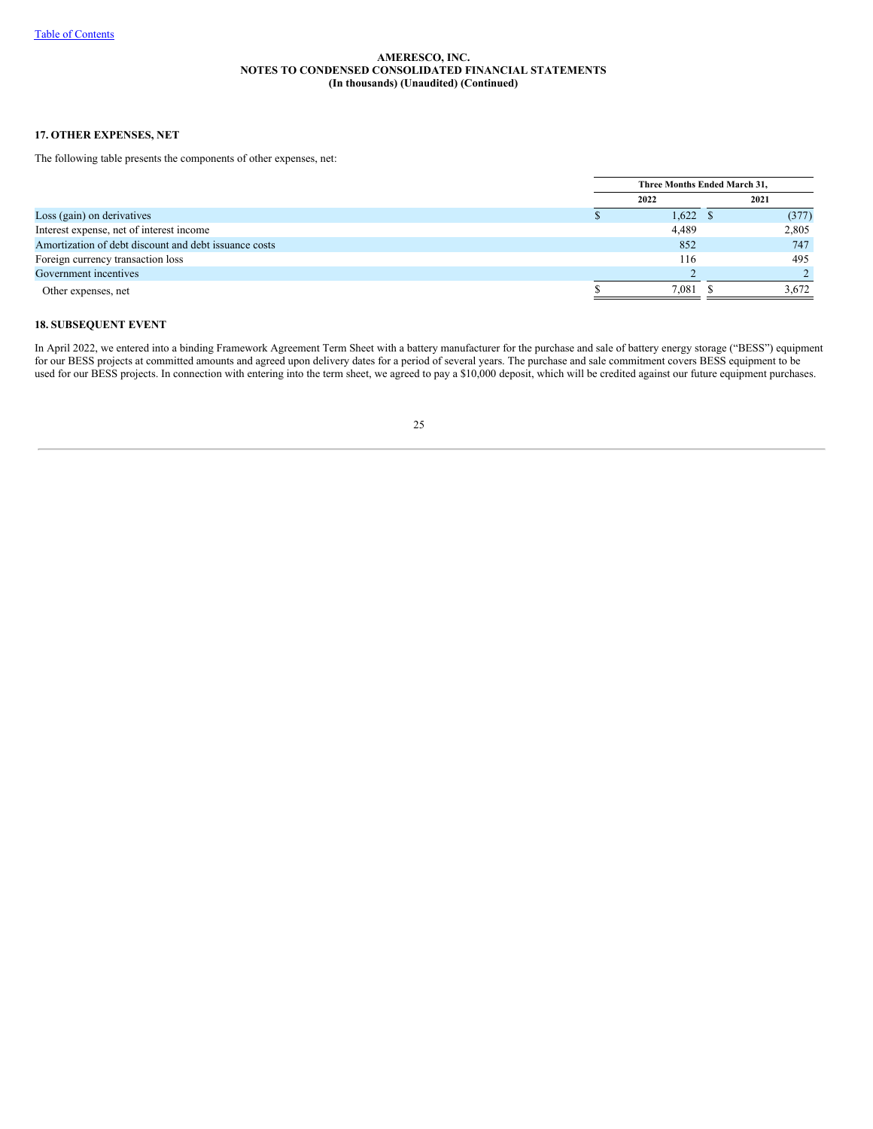## **17. OTHER EXPENSES, NET**

The following table presents the components of other expenses, net:

|                                                       | Three Months Ended March 31, |            |  |       |  |
|-------------------------------------------------------|------------------------------|------------|--|-------|--|
|                                                       | 2022                         |            |  | 2021  |  |
| Loss (gain) on derivatives                            |                              | $1,622$ \$ |  | (377) |  |
| Interest expense, net of interest income              |                              | 4,489      |  | 2,805 |  |
| Amortization of debt discount and debt issuance costs |                              | 852        |  | 747   |  |
| Foreign currency transaction loss                     |                              | 116        |  | 495   |  |
| Government incentives                                 |                              |            |  |       |  |
| Other expenses, net                                   |                              | 7.081      |  | 3.672 |  |

## **18. SUBSEQUENT EVENT**

In April 2022, we entered into a binding Framework Agreement Term Sheet with a battery manufacturer for the purchase and sale of battery energy storage ("BESS") equipment for our BESS projects at committed amounts and agreed upon delivery dates for a period of several years. The purchase and sale commitment covers BESS equipment to be used for our BESS projects. In connection with entering into the term sheet, we agreed to pay a \$10,000 deposit, which will be credited against our future equipment purchases.

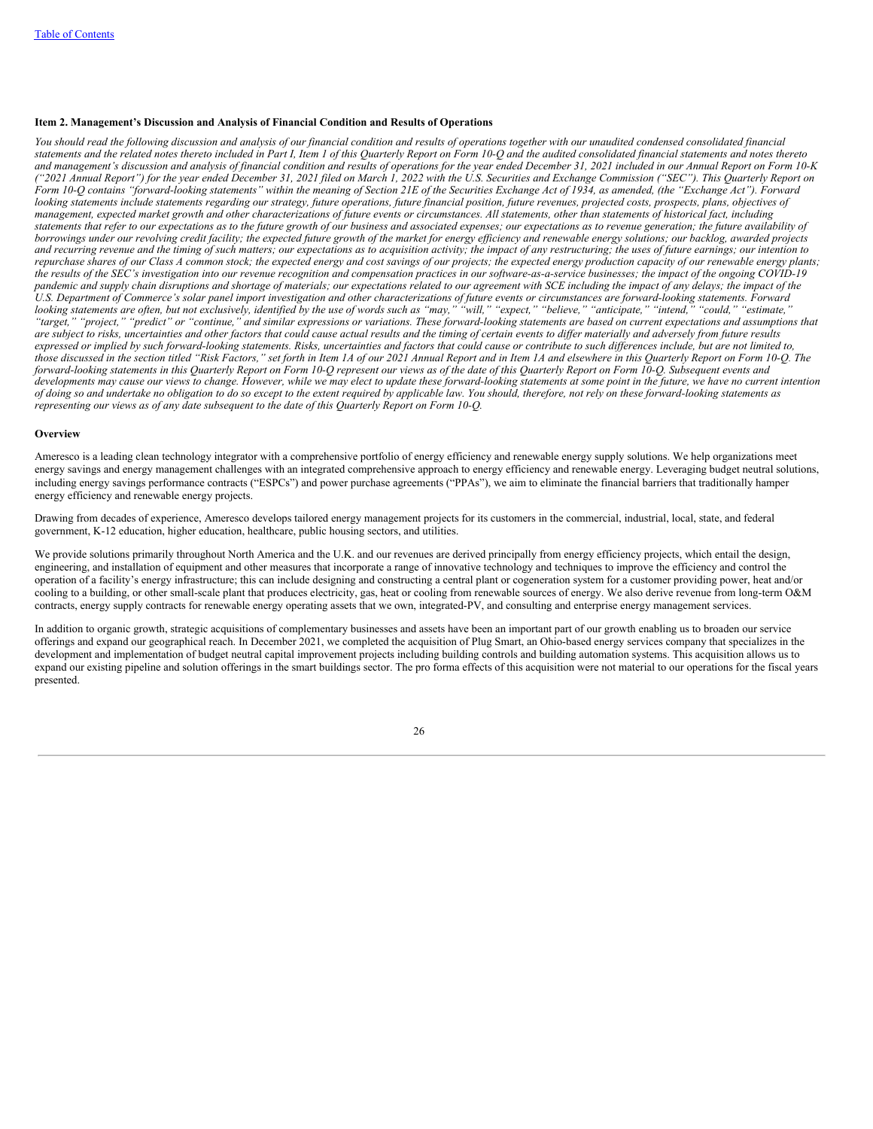#### <span id="page-27-0"></span>**Item 2. Management's Discussion and Analysis of Financial Condition and Results of Operations**

You should read the following discussion and analysis of our financial condition and results of operations together with our unaudited condensed consolidated financial statements and the related notes thereto included in Part I, Item 1 of this Quarterly Report on Form 10-Q and the audited consolidated financial statements and notes thereto and management's discussion and analysis of financial condition and results of operations for the year ended December 31, 2021 included in our Annual Report on Form 10-K ("2021 Annual Report") for the year ended December 31, 2021 filed on March 1, 2022 with the U.S. Securities and Exchange Commission ("SEC"). This Ouarterly Report on Form 10-Q contains "forward-looking statements" within the meaning of Section 21E of the Securities Exchange Act of 1934, as amended, (the "Exchange Act"). Forward looking statements include statements regarding our strategy, future operations, future financial position, future revenues, projected costs, prospects, plans, objectives of management, expected market growth and other characterizations of future events or circumstances. All statements, other than statements of historical fact, including statements that refer to our expectations as to the future growth of our business and associated expenses; our expectations as to revenue generation; the future availability of borrowings under our revolving credit facility; the expected future growth of the market for energy efficiency and renewable energy solutions; our backlog, awarded projects and recurring revenue and the timing of such matters; our expectations as to acquisition activity; the impact of any restructuring; the uses of future earnings; our intention to repurchase shares of our Class A common stock; the expected energy and cost savings of our projects; the expected energy production capacity of our renewable energy plants; the results of the SEC's investigation into our revenue recognition and compensation practices in our software-as-a-service businesses; the impact of the ongoing COVID-19 pandemic and supply chain disruptions and shortage of materials; our expectations related to our agreement with SCE including the impact of any delays; the impact of the U.S. Department of Commerce's solar panel import investigation and other characterizations of future events or circumstances are forward-looking statements. Forward looking statements are often, but not exclusively, identified by the use of words such as "may," "will," "expect," "believe," "anticipate," "intend," "could," "estimate," "target," "project," "predict" or "continue," and similar expressions or variations. These forward-looking statements are based on current expectations and assumptions that are subject to risks, uncertainties and other factors that could cause actual results and the timing of certain events to differ materially and adversely from future results expressed or implied by such forward-looking statements. Risks, uncertainties and factors that could cause or contribute to such differences include, but are not limited to, those discussed in the section titled "Risk Factors," set forth in Item 1A of our 2021 Annual Report and in Item 1A and elsewhere in this Quarterly Report on Form 10-Q. The forward-looking statements in this Quarterly Report on Form 10-Q represent our views as of the date of this Quarterly Report on Form 10-Q. Subsequent events and developments may cause our views to change. However, while we may elect to update these forward-looking statements at some point in the future, we have no current intention of doing so and undertake no obligation to do so except to the extent required by applicable law. You should, therefore, not rely on these forward-looking statements as representing our views as of any date subsequent to the date of this Quarterly Report on Form 10-Q.

#### **Overview**

Ameresco is a leading clean technology integrator with a comprehensive portfolio of energy efficiency and renewable energy supply solutions. We help organizations meet energy savings and energy management challenges with an integrated comprehensive approach to energy efficiency and renewable energy. Leveraging budget neutral solutions, including energy savings performance contracts ("ESPCs") and power purchase agreements ("PPAs"), we aim to eliminate the financial barriers that traditionally hamper energy efficiency and renewable energy projects.

Drawing from decades of experience, Ameresco develops tailored energy management projects for its customers in the commercial, industrial, local, state, and federal government, K-12 education, higher education, healthcare, public housing sectors, and utilities.

We provide solutions primarily throughout North America and the U.K. and our revenues are derived principally from energy efficiency projects, which entail the design, engineering, and installation of equipment and other measures that incorporate a range of innovative technology and techniques to improve the efficiency and control the operation of a facility's energy infrastructure; this can include designing and constructing a central plant or cogeneration system for a customer providing power, heat and/or cooling to a building, or other small-scale plant that produces electricity, gas, heat or cooling from renewable sources of energy. We also derive revenue from long-term O&M contracts, energy supply contracts for renewable energy operating assets that we own, integrated-PV, and consulting and enterprise energy management services.

In addition to organic growth, strategic acquisitions of complementary businesses and assets have been an important part of our growth enabling us to broaden our service offerings and expand our geographical reach. In December 2021, we completed the acquisition of Plug Smart, an Ohio-based energy services company that specializes in the development and implementation of budget neutral capital improvement projects including building controls and building automation systems. This acquisition allows us to expand our existing pipeline and solution offerings in the smart buildings sector. The pro forma effects of this acquisition were not material to our operations for the fiscal years presented.

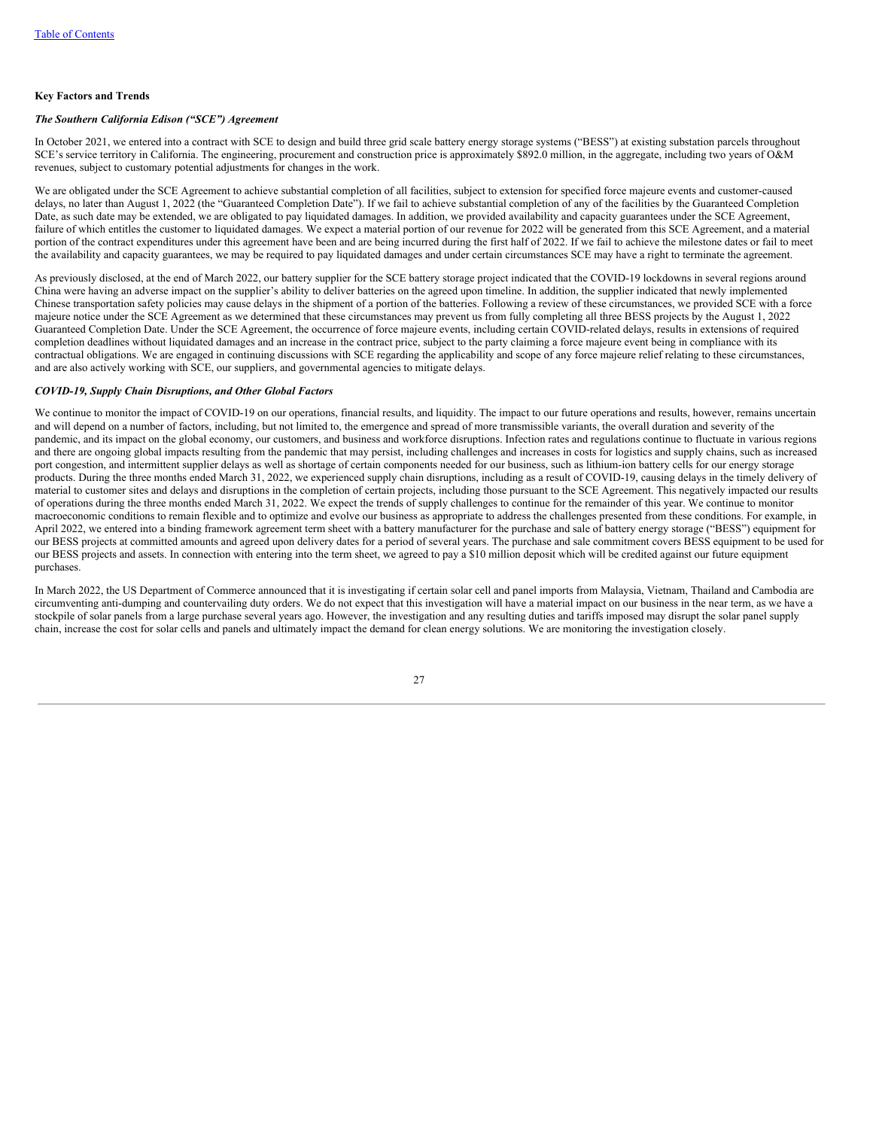#### **Key Factors and Trends**

#### *The Southern California Edison ("SCE") Agreement*

In October 2021, we entered into a contract with SCE to design and build three grid scale battery energy storage systems ("BESS") at existing substation parcels throughout SCE's service territory in California. The engineering, procurement and construction price is approximately \$892.0 million, in the aggregate, including two years of O&M revenues, subject to customary potential adjustments for changes in the work.

We are obligated under the SCE Agreement to achieve substantial completion of all facilities, subject to extension for specified force majeure events and customer-caused delays, no later than August 1, 2022 (the "Guaranteed Completion Date"). If we fail to achieve substantial completion of any of the facilities by the Guaranteed Completion Date, as such date may be extended, we are obligated to pay liquidated damages. In addition, we provided availability and capacity guarantees under the SCE Agreement, failure of which entitles the customer to liquidated damages. We expect a material portion of our revenue for 2022 will be generated from this SCE Agreement, and a material portion of the contract expenditures under this agreement have been and are being incurred during the first half of 2022. If we fail to achieve the milestone dates or fail to meet the availability and capacity guarantees, we may be required to pay liquidated damages and under certain circumstances SCE may have a right to terminate the agreement.

As previously disclosed, at the end of March 2022, our battery supplier for the SCE battery storage project indicated that the COVID-19 lockdowns in several regions around China were having an adverse impact on the supplier's ability to deliver batteries on the agreed upon timeline. In addition, the supplier indicated that newly implemented Chinese transportation safety policies may cause delays in the shipment of a portion of the batteries. Following a review of these circumstances, we provided SCE with a force majeure notice under the SCE Agreement as we determined that these circumstances may prevent us from fully completing all three BESS projects by the August 1, 2022 Guaranteed Completion Date. Under the SCE Agreement, the occurrence of force majeure events, including certain COVID-related delays, results in extensions of required completion deadlines without liquidated damages and an increase in the contract price, subject to the party claiming a force majeure event being in compliance with its contractual obligations. We are engaged in continuing discussions with SCE regarding the applicability and scope of any force majeure relief relating to these circumstances, and are also actively working with SCE, our suppliers, and governmental agencies to mitigate delays.

### *COVID-19, Supply Chain Disruptions, and Other Global Factors*

We continue to monitor the impact of COVID-19 on our operations, financial results, and liquidity. The impact to our future operations and results, however, remains uncertain and will depend on a number of factors, including, but not limited to, the emergence and spread of more transmissible variants, the overall duration and severity of the pandemic, and its impact on the global economy, our customers, and business and workforce disruptions. Infection rates and regulations continue to fluctuate in various regions and there are ongoing global impacts resulting from the pandemic that may persist, including challenges and increases in costs for logistics and supply chains, such as increased port congestion, and intermittent supplier delays as well as shortage of certain components needed for our business, such as lithium-ion battery cells for our energy storage products. During the three months ended March 31, 2022, we experienced supply chain disruptions, including as a result of COVID-19, causing delays in the timely delivery of material to customer sites and delays and disruptions in the completion of certain projects, including those pursuant to the SCE Agreement. This negatively impacted our results of operations during the three months ended March 31, 2022. We expect the trends of supply challenges to continue for the remainder of this year. We continue to monitor macroeconomic conditions to remain flexible and to optimize and evolve our business as appropriate to address the challenges presented from these conditions. For example, in April 2022, we entered into a binding framework agreement term sheet with a battery manufacturer for the purchase and sale of battery energy storage ("BESS") equipment for our BESS projects at committed amounts and agreed upon delivery dates for a period of several years. The purchase and sale commitment covers BESS equipment to be used for our BESS projects and assets. In connection with entering into the term sheet, we agreed to pay a \$10 million deposit which will be credited against our future equipment purchases.

In March 2022, the US Department of Commerce announced that it is investigating if certain solar cell and panel imports from Malaysia, Vietnam, Thailand and Cambodia are circumventing anti-dumping and countervailing duty orders. We do not expect that this investigation will have a material impact on our business in the near term, as we have a stockpile of solar panels from a large purchase several years ago. However, the investigation and any resulting duties and tariffs imposed may disrupt the solar panel supply chain, increase the cost for solar cells and panels and ultimately impact the demand for clean energy solutions. We are monitoring the investigation closely.

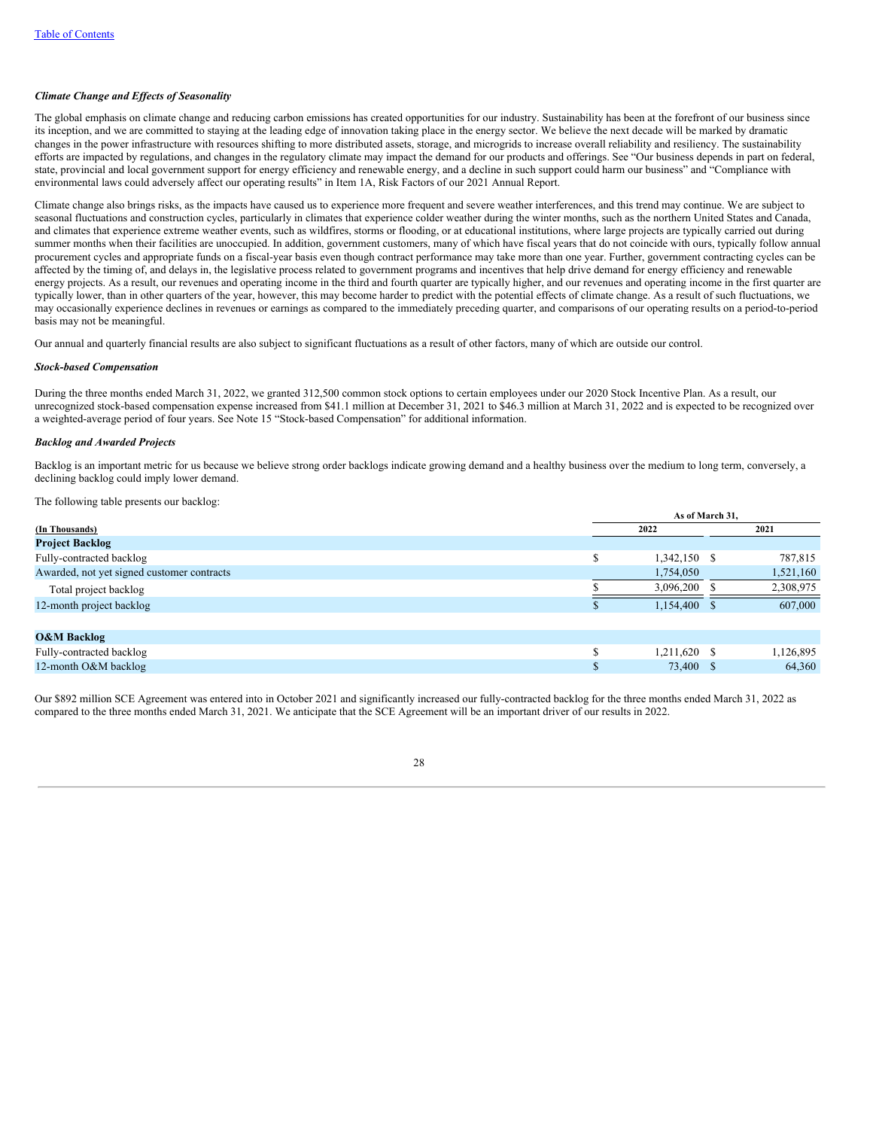### *Climate Change and Ef ects of Seasonality*

The global emphasis on climate change and reducing carbon emissions has created opportunities for our industry. Sustainability has been at the forefront of our business since its inception, and we are committed to staying at the leading edge of innovation taking place in the energy sector. We believe the next decade will be marked by dramatic changes in the power infrastructure with resources shifting to more distributed assets, storage, and microgrids to increase overall reliability and resiliency. The sustainability efforts are impacted by regulations, and changes in the regulatory climate may impact the demand for our products and offerings. See "Our business depends in part on federal, state, provincial and local government support for energy efficiency and renewable energy, and a decline in such support could harm our business" and "Compliance with environmental laws could adversely affect our operating results" in Item 1A, Risk Factors of our 2021 Annual Report.

Climate change also brings risks, as the impacts have caused us to experience more frequent and severe weather interferences, and this trend may continue. We are subject to seasonal fluctuations and construction cycles, particularly in climates that experience colder weather during the winter months, such as the northern United States and Canada, and climates that experience extreme weather events, such as wildfires, storms or flooding, or at educational institutions, where large projects are typically carried out during summer months when their facilities are unoccupied. In addition, government customers, many of which have fiscal years that do not coincide with ours, typically follow annual procurement cycles and appropriate funds on a fiscal-year basis even though contract performance may take more than one year. Further, government contracting cycles can be affected by the timing of, and delays in, the legislative process related to government programs and incentives that help drive demand for energy efficiency and renewable energy projects. As a result, our revenues and operating income in the third and fourth quarter are typically higher, and our revenues and operating income in the first quarter are typically lower, than in other quarters of the year, however, this may become harder to predict with the potential effects of climate change. As a result of such fluctuations, we may occasionally experience declines in revenues or earnings as compared to the immediately preceding quarter, and comparisons of our operating results on a period-to-period basis may not be meaningful.

Our annual and quarterly financial results are also subject to significant fluctuations as a result of other factors, many of which are outside our control.

#### *Stock-based Compensation*

During the three months ended March 31, 2022, we granted 312,500 common stock options to certain employees under our 2020 Stock Incentive Plan. As a result, our unrecognized stock-based compensation expense increased from \$41.1 million at December 31, 2021 to \$46.3 million at March 31, 2022 and is expected to be recognized over a weighted-average period of four years. See Note 15 "Stock-based Compensation" for additional information.

#### *Backlog and Awarded Projects*

Backlog is an important metric for us because we believe strong order backlogs indicate growing demand and a healthy business over the medium to long term, conversely, a declining backlog could imply lower demand.

The following table presents our backlog:

|                                            | As of March 31,    |           |
|--------------------------------------------|--------------------|-----------|
| (In Thousands)                             | 2022               | 2021      |
| <b>Project Backlog</b>                     |                    |           |
| Fully-contracted backlog                   | \$<br>1,342,150 \$ | 787,815   |
| Awarded, not yet signed customer contracts | 1,754,050          | 1,521,160 |
| Total project backlog                      | 3,096,200          | 2,308,975 |
| 12-month project backlog                   | 1,154,400 \$       | 607,000   |
|                                            |                    |           |
| <b>O&amp;M</b> Backlog                     |                    |           |
| Fully-contracted backlog                   | 1,211,620 \$       | 1,126,895 |
| 12-month O&M backlog                       | 73,400 \$          | 64,360    |

Our \$892 million SCE Agreement was entered into in October 2021 and significantly increased our fully-contracted backlog for the three months ended March 31, 2022 as compared to the three months ended March 31, 2021. We anticipate that the SCE Agreement will be an important driver of our results in 2022.

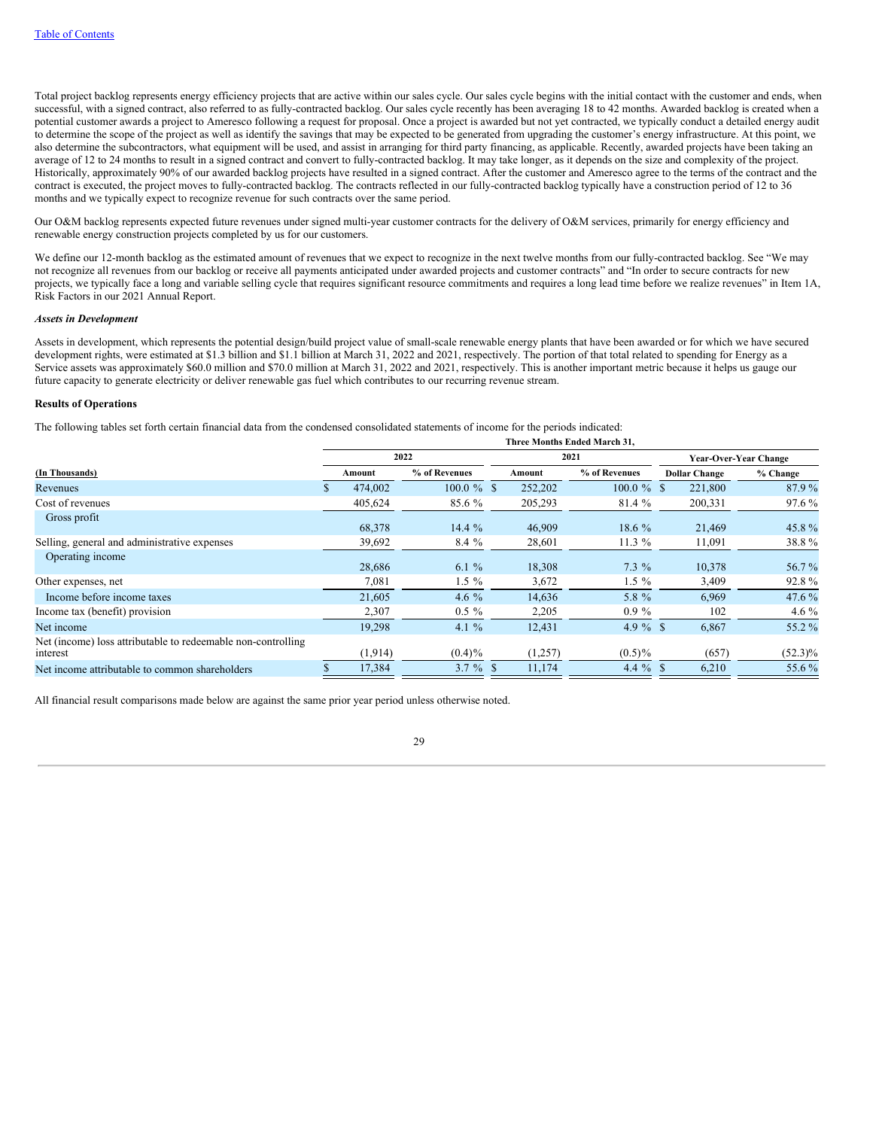Total project backlog represents energy efficiency projects that are active within our sales cycle. Our sales cycle begins with the initial contact with the customer and ends, when successful, with a signed contract, also referred to as fully-contracted backlog. Our sales cycle recently has been averaging 18 to 42 months. Awarded backlog is created when a potential customer awards a project to Ameresco following a request for proposal. Once a project is awarded but not yet contracted, we typically conduct a detailed energy audit to determine the scope of the project as well as identify the savings that may be expected to be generated from upgrading the customer's energy infrastructure. At this point, we also determine the subcontractors, what equipment will be used, and assist in arranging for third party financing, as applicable. Recently, awarded projects have been taking an average of 12 to 24 months to result in a signed contract and convert to fully-contracted backlog. It may take longer, as it depends on the size and complexity of the project. Historically, approximately 90% of our awarded backlog projects have resulted in a signed contract. After the customer and Ameresco agree to the terms of the contract and the contract is executed, the project moves to fully-contracted backlog. The contracts reflected in our fully-contracted backlog typically have a construction period of 12 to 36 months and we typically expect to recognize revenue for such contracts over the same period.

Our O&M backlog represents expected future revenues under signed multi-year customer contracts for the delivery of O&M services, primarily for energy efficiency and renewable energy construction projects completed by us for our customers.

We define our 12-month backlog as the estimated amount of revenues that we expect to recognize in the next twelve months from our fully-contracted backlog. See "We may not recognize all revenues from our backlog or receive all payments anticipated under awarded projects and customer contracts" and "In order to secure contracts for new projects, we typically face a long and variable selling cycle that requires significant resource commitments and requires a long lead time before we realize revenues" in Item 1A, Risk Factors in our 2021 Annual Report.

## *Assets in Development*

Assets in development, which represents the potential design/build project value of small-scale renewable energy plants that have been awarded or for which we have secured development rights, were estimated at \$1.3 billion and \$1.1 billion at March 31, 2022 and 2021, respectively. The portion of that total related to spending for Energy as a Service assets was approximately \$60.0 million and \$70.0 million at March 31, 2022 and 2021, respectively. This is another important metric because it helps us gauge our future capacity to generate electricity or deliver renewable gas fuel which contributes to our recurring revenue stream.

## **Results of Operations**

The following tables set forth certain financial data from the condensed consolidated statements of income for the periods indicated: **Three Months Ended March 31,**

|                                                                          | тигее монив внаса магси эт. |         |               |  |         |               |  |                      |                       |
|--------------------------------------------------------------------------|-----------------------------|---------|---------------|--|---------|---------------|--|----------------------|-----------------------|
|                                                                          |                             |         | 2022          |  |         | 2021          |  |                      | Year-Over-Year Change |
| (In Thousands)                                                           |                             | Amount  | % of Revenues |  | Amount  | % of Revenues |  | <b>Dollar Change</b> | % Change              |
| Revenues                                                                 |                             | 474,002 | $100.0 \%$ \$ |  | 252,202 | $100.0 \%$ \$ |  | 221,800              | 87.9%                 |
| Cost of revenues                                                         |                             | 405,624 | 85.6 %        |  | 205,293 | 81.4 %        |  | 200,331              | 97.6 %                |
| Gross profit                                                             |                             | 68,378  | 14.4 $%$      |  | 46,909  | 18.6 %        |  | 21,469               | 45.8%                 |
| Selling, general and administrative expenses                             |                             | 39,692  | $8.4\%$       |  | 28,601  | $11.3\%$      |  | 11,091               | 38.8%                 |
| Operating income                                                         |                             | 28,686  | 6.1 $%$       |  | 18,308  | $7.3\%$       |  | 10,378               | 56.7%                 |
| Other expenses, net                                                      |                             | 7,081   | $1.5\%$       |  | 3,672   | $1.5\%$       |  | 3,409                | 92.8%                 |
| Income before income taxes                                               |                             | 21,605  | 4.6 $%$       |  | 14,636  | 5.8 %         |  | 6.969                | 47.6 $%$              |
| Income tax (benefit) provision                                           |                             | 2,307   | $0.5 \%$      |  | 2,205   | $0.9 \%$      |  | 102                  | 4.6 $%$               |
| Net income                                                               |                             | 19,298  | 4.1 $%$       |  | 12,431  | 4.9 $%$ \$    |  | 6,867                | 55.2 %                |
| Net (income) loss attributable to redeemable non-controlling<br>interest |                             | (1,914) | $(0.4)\%$     |  | (1,257) | $(0.5)\%$     |  | (657)                | $(52.3)\%$            |
| Net income attributable to common shareholders                           |                             | 17,384  | $3.7 \%$ \$   |  | 11,174  | 4.4 $%$ \$    |  | 6,210                | 55.6 %                |
|                                                                          |                             |         |               |  |         |               |  |                      |                       |

All financial result comparisons made below are against the same prior year period unless otherwise noted.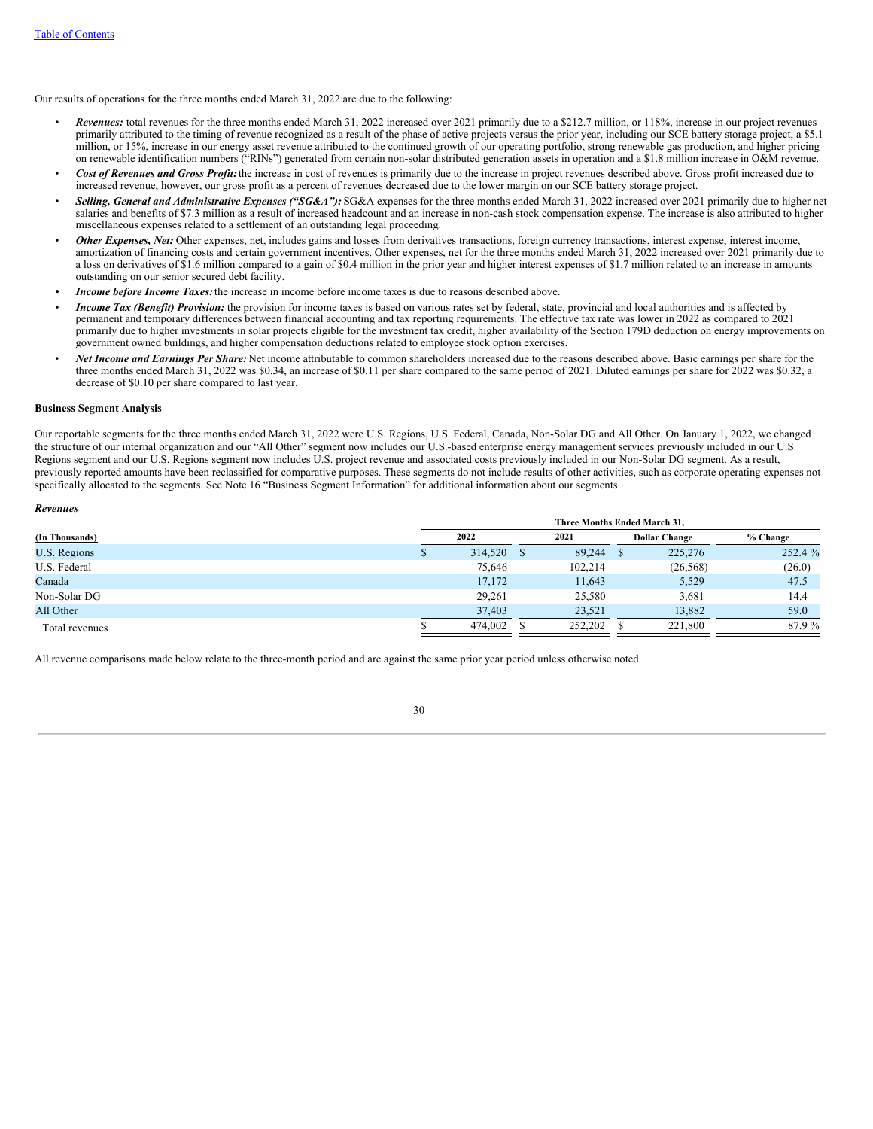Our results of operations for the three months ended March 31, 2022 are due to the following:

- *Revenues:* total revenues for the three months ended March 31, 2022 increased over 2021 primarily due to a \$212.7 million, or 118%, increase in our project revenues primarily attributed to the timing of revenue recognized as a result of the phase of active projects versus the prior year, including our SCE battery storage project, a \$5.1 million, or 15%, increase in our energy asset revenue attributed to the continued growth of our operating portfolio, strong renewable gas production, and higher pricing on renewable identification numbers ("RINs") generated from certain non-solar distributed generation assets in operation and a \$1.8 million increase in O&M revenue.
- *Cost of Revenues and Gross Profit:*the increase in cost of revenues is primarily due to the increase in project revenues described above. Gross profit increased due to increased revenue, however, our gross profit as a percent of revenues decreased due to the lower margin on our SCE battery storage project.
- *Selling, General and Administrative Expenses ("SG&A"):* SG&A expenses for the three months ended March 31, 2022 increased over 2021 primarily due to higher net salaries and benefits of \$7.3 million as a result of increased headcount and an increase in non-cash stock compensation expense. The increase is also attributed to higher miscellaneous expenses related to a settlement of an outstanding legal proceeding.
- *Other Expenses, Net:* Other expenses, net, includes gains and losses from derivatives transactions, foreign currency transactions, interest expense, interest income, amortization of financing costs and certain government incentives. Other expenses, net for the three months ended March 31, 2022 increased over 2021 primarily due to a loss on derivatives of \$1.6 million compared to a gain of \$0.4 million in the prior year and higher interest expenses of \$1.7 million related to an increase in amounts outstanding on our senior secured debt facility.
- *• Income before Income Taxes:*the increase in income before income taxes is due to reasons described above.
- *Income Tax (Benefit) Provision:* the provision for income taxes is based on various rates set by federal, state, provincial and local authorities and is affected by permanent and temporary differences between financial accounting and tax reporting requirements. The effective tax rate was lower in 2022 as compared to 2021 primarily due to higher investments in solar projects eligible for the investment tax credit, higher availability of the Section 179D deduction on energy improvements on government owned buildings, and higher compensation deductions related to employee stock option exercises.
- *Net Income and Earnings Per Share:* Net income attributable to common shareholders increased due to the reasons described above. Basic earnings per share for the three months ended March 31, 2022 was \$0.34, an increase of \$0.11 per share compared to the same period of 2021. Diluted earnings per share for 2022 was \$0.32, a decrease of \$0.10 per share compared to last year.

#### **Business Segment Analysis**

Our reportable segments for the three months ended March 31, 2022 were U.S. Regions, U.S. Federal, Canada, Non-Solar DG and All Other. On January 1, 2022, we changed the structure of our internal organization and our "All Other" segment now includes our U.S.-based enterprise energy management services previously included in our U.S Regions segment and our U.S. Regions segment now includes U.S. project revenue and associated costs previously included in our Non-Solar DG segment. As a result, previously reported amounts have been reclassified for comparative purposes. These segments do not include results of other activities, such as corporate operating expenses not specifically allocated to the segments. See Note 16 "Business Segment Information" for additional information about our segments.

#### *Revenues*

|                | Three Months Ended March 31. |         |      |         |              |                      |          |  |  |
|----------------|------------------------------|---------|------|---------|--------------|----------------------|----------|--|--|
| (In Thousands) |                              | 2022    | 2021 |         |              | <b>Dollar Change</b> | % Change |  |  |
| U.S. Regions   |                              | 314,520 |      | 89,244  | <sup>2</sup> | 225,276              | 252.4 %  |  |  |
| U.S. Federal   |                              | 75.646  |      | 102.214 |              | (26, 568)            | (26.0)   |  |  |
| Canada         |                              | 17,172  |      | 11,643  |              | 5,529                | 47.5     |  |  |
| Non-Solar DG   |                              | 29,261  |      | 25,580  |              | 3,681                | 14.4     |  |  |
| All Other      |                              | 37.403  |      | 23.521  |              | 13.882               | 59.0     |  |  |
| Total revenues |                              | 474,002 |      | 252,202 |              | 221,800              | 87.9%    |  |  |

All revenue comparisons made below relate to the three-month period and are against the same prior year period unless otherwise noted.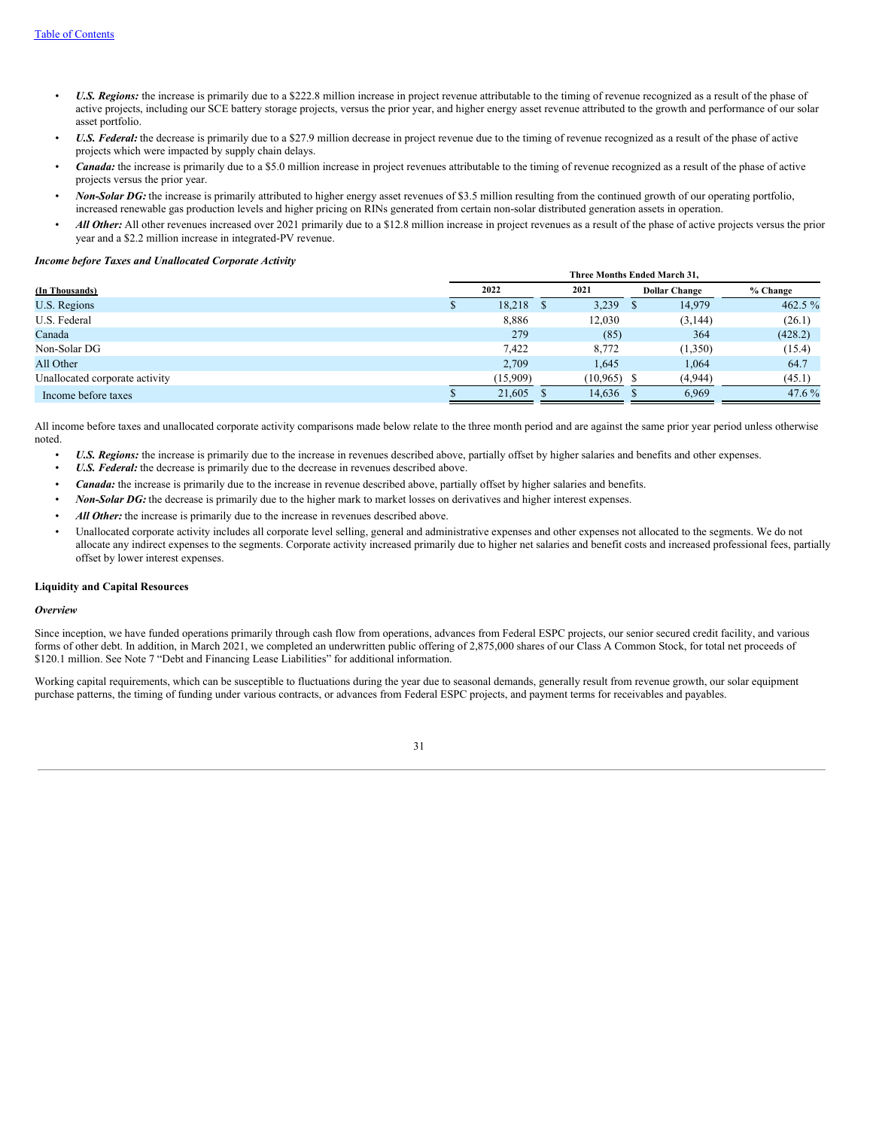- U.S. Regions: the increase is primarily due to a \$222.8 million increase in project revenue attributable to the timing of revenue recognized as a result of the phase of active projects, including our SCE battery storage projects, versus the prior year, and higher energy asset revenue attributed to the growth and performance of our solar asset portfolio.
- *U.S. Federal:* the decrease is primarily due to a \$27.9 million decrease in project revenue due to the timing of revenue recognized as a result of the phase of active projects which were impacted by supply chain delays.
- *Canada:* the increase is primarily due to a \$5.0 million increase in project revenues attributable to the timing of revenue recognized as a result of the phase of active projects versus the prior year.
- *Non-Solar DG:* the increase is primarily attributed to higher energy asset revenues of \$3.5 million resulting from the continued growth of our operating portfolio, increased renewable gas production levels and higher pricing on RINs generated from certain non-solar distributed generation assets in operation.
- *All Other:* All other revenues increased over 2021 primarily due to a \$12.8 million increase in project revenues as a result of the phase of active projects versus the prior year and a \$2.2 million increase in integrated-PV revenue.

#### *Income before Taxes and Unallocated Corporate Activity*

| $\cdot$<br>$\sim$              |                              |          |   |               |     |                      |            |  |  |  |
|--------------------------------|------------------------------|----------|---|---------------|-----|----------------------|------------|--|--|--|
|                                | Three Months Ended March 31. |          |   |               |     |                      |            |  |  |  |
| (In Thousands)                 |                              | 2022     |   | 2021          |     | <b>Dollar Change</b> | $%$ Change |  |  |  |
| U.S. Regions                   |                              | 18,218   | ъ | 3,239         | - 5 | 14,979               | 462.5 $%$  |  |  |  |
| U.S. Federal                   |                              | 8,886    |   | 12,030        |     | (3,144)              | (26.1)     |  |  |  |
| Canada                         |                              | 279      |   | (85)          |     | 364                  | (428.2)    |  |  |  |
| Non-Solar DG                   |                              | 7,422    |   | 8,772         |     | (1,350)              | (15.4)     |  |  |  |
| All Other                      |                              | 2,709    |   | 1.645         |     | 1,064                | 64.7       |  |  |  |
| Unallocated corporate activity |                              | (15,909) |   | $(10.965)$ \$ |     | (4,944)              | (45.1)     |  |  |  |
| Income before taxes            |                              | 21,605   |   | 14,636 \$     |     | 6,969                | 47.6 %     |  |  |  |

All income before taxes and unallocated corporate activity comparisons made below relate to the three month period and are against the same prior year period unless otherwise noted.

- *U.S. Regions:* the increase is primarily due to the increase in revenues described above, partially offset by higher salaries and benefits and other expenses.
- *U.S. Federal:* the decrease is primarily due to the decrease in revenues described above.
- *Canada:* the increase is primarily due to the increase in revenue described above, partially offset by higher salaries and benefits.
- *Non-Solar DG:* the decrease is primarily due to the higher mark to market losses on derivatives and higher interest expenses.
- All Other: the increase is primarily due to the increase in revenues described above.
- Unallocated corporate activity includes all corporate level selling, general and administrative expenses and other expenses not allocated to the segments. We do not allocate any indirect expenses to the segments. Corporate activity increased primarily due to higher net salaries and benefit costs and increased professional fees, partially offset by lower interest expenses.

#### **Liquidity and Capital Resources**

#### *Overview*

Since inception, we have funded operations primarily through cash flow from operations, advances from Federal ESPC projects, our senior secured credit facility, and various forms of other debt. In addition, in March 2021, we completed an underwritten public offering of 2,875,000 shares of our Class A Common Stock, for total net proceeds of \$120.1 million. See Note 7 "Debt and Financing Lease Liabilities" for additional information.

Working capital requirements, which can be susceptible to fluctuations during the year due to seasonal demands, generally result from revenue growth, our solar equipment purchase patterns, the timing of funding under various contracts, or advances from Federal ESPC projects, and payment terms for receivables and payables.

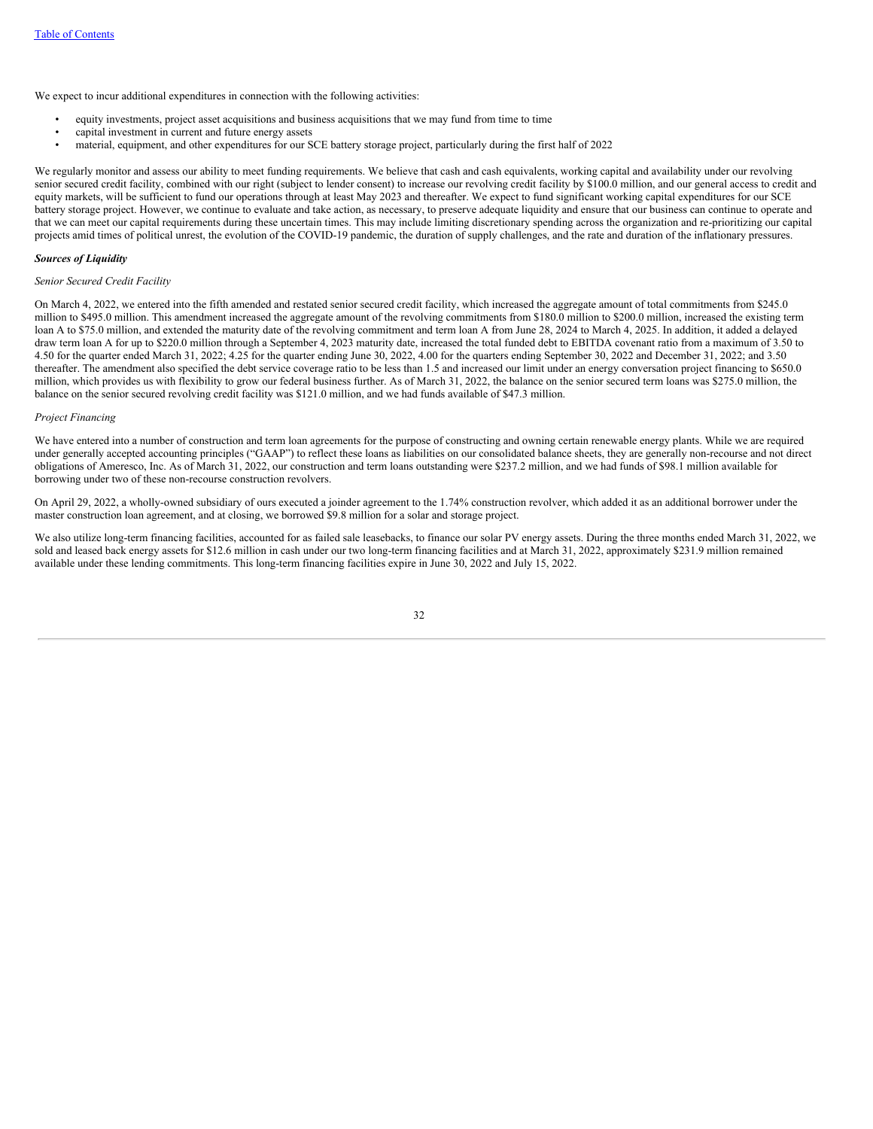We expect to incur additional expenditures in connection with the following activities:

- equity investments, project asset acquisitions and business acquisitions that we may fund from time to time
- capital investment in current and future energy assets
- material, equipment, and other expenditures for our SCE battery storage project, particularly during the first half of 2022

We regularly monitor and assess our ability to meet funding requirements. We believe that cash and cash equivalents, working capital and availability under our revolving senior secured credit facility, combined with our right (subject to lender consent) to increase our revolving credit facility by \$100.0 million, and our general access to credit and equity markets, will be sufficient to fund our operations through at least May 2023 and thereafter. We expect to fund significant working capital expenditures for our SCE battery storage project. However, we continue to evaluate and take action, as necessary, to preserve adequate liquidity and ensure that our business can continue to operate and that we can meet our capital requirements during these uncertain times. This may include limiting discretionary spending across the organization and re-prioritizing our capital projects amid times of political unrest, the evolution of the COVID-19 pandemic, the duration of supply challenges, and the rate and duration of the inflationary pressures.

#### *Sources of Liquidity*

#### *Senior Secured Credit Facility*

On March 4, 2022, we entered into the fifth amended and restated senior secured credit facility, which increased the aggregate amount of total commitments from \$245.0 million to \$495.0 million. This amendment increased the aggregate amount of the revolving commitments from \$180.0 million to \$200.0 million, increased the existing term loan A to \$75.0 million, and extended the maturity date of the revolving commitment and term loan A from June 28, 2024 to March 4, 2025. In addition, it added a delayed draw term loan A for up to \$220.0 million through a September 4, 2023 maturity date, increased the total funded debt to EBITDA covenant ratio from a maximum of 3.50 to 4.50 for the quarter ended March 31, 2022; 4.25 for the quarter ending June 30, 2022, 4.00 for the quarters ending September 30, 2022 and December 31, 2022; and 3.50 thereafter. The amendment also specified the debt service coverage ratio to be less than 1.5 and increased our limit under an energy conversation project financing to \$650.0 million, which provides us with flexibility to grow our federal business further. As of March 31, 2022, the balance on the senior secured term loans was \$275.0 million, the balance on the senior secured revolving credit facility was \$121.0 million, and we had funds available of \$47.3 million.

#### *Project Financing*

We have entered into a number of construction and term loan agreements for the purpose of constructing and owning certain renewable energy plants. While we are required under generally accepted accounting principles ("GAAP") to reflect these loans as liabilities on our consolidated balance sheets, they are generally non-recourse and not direct obligations of Ameresco, Inc. As of March 31, 2022, our construction and term loans outstanding were \$237.2 million, and we had funds of \$98.1 million available for borrowing under two of these non-recourse construction revolvers.

On April 29, 2022, a wholly-owned subsidiary of ours executed a joinder agreement to the 1.74% construction revolver, which added it as an additional borrower under the master construction loan agreement, and at closing, we borrowed \$9.8 million for a solar and storage project.

We also utilize long-term financing facilities, accounted for as failed sale leasebacks, to finance our solar PV energy assets. During the three months ended March 31, 2022, we sold and leased back energy assets for \$12.6 million in cash under our two long-term financing facilities and at March 31, 2022, approximately \$231.9 million remained available under these lending commitments. This long-term financing facilities expire in June 30, 2022 and July 15, 2022.

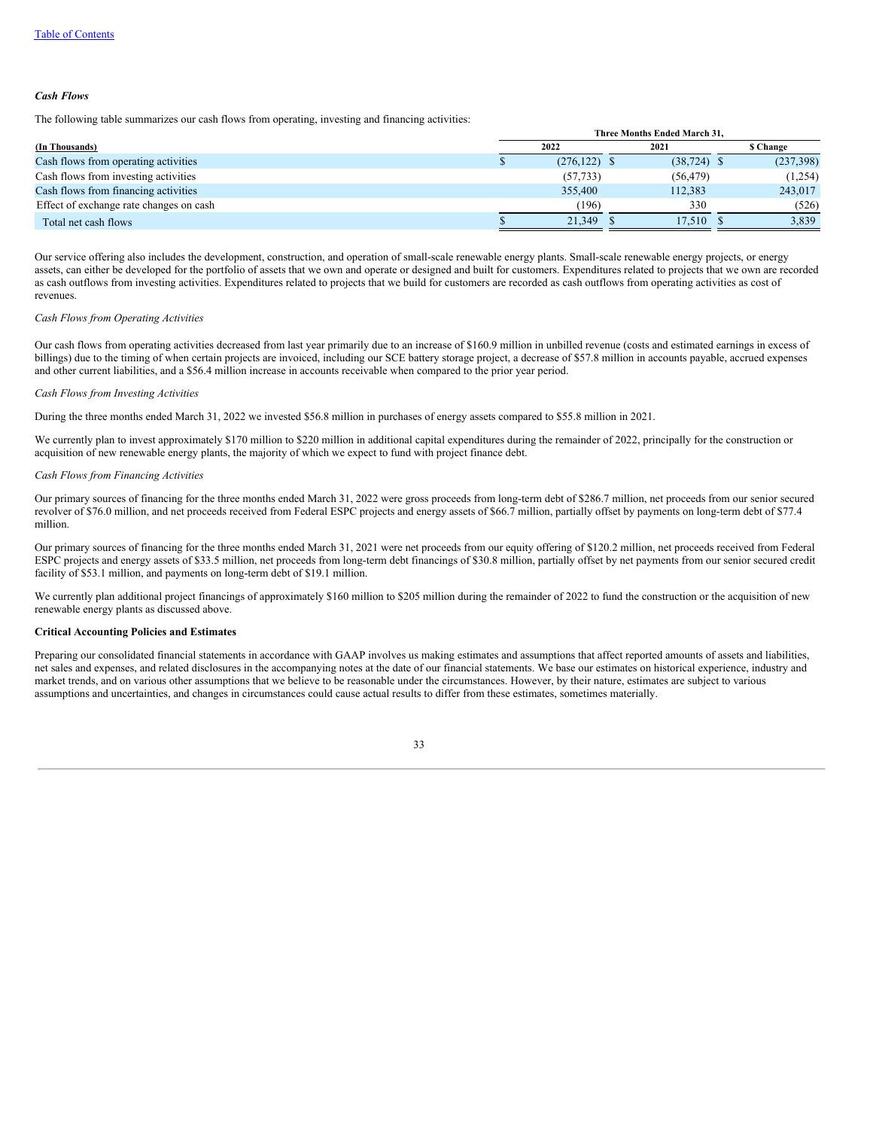### *Cash Flows*

The following table summarizes our cash flows from operating, investing and financing activities:

|                                         |    | Three Months Ended March 31. |  |                |  |                 |  |  |  |
|-----------------------------------------|----|------------------------------|--|----------------|--|-----------------|--|--|--|
| (In Thousands)                          |    | 2022                         |  | 2021           |  | <b>S</b> Change |  |  |  |
| Cash flows from operating activities    | ۰υ | $(276, 122)$ \$              |  | $(38, 724)$ \$ |  | (237,398)       |  |  |  |
| Cash flows from investing activities    |    | (57, 733)                    |  | (56, 479)      |  | (1,254)         |  |  |  |
| Cash flows from financing activities    |    | 355,400                      |  | 112,383        |  | 243,017         |  |  |  |
| Effect of exchange rate changes on cash |    | (196)                        |  | 330            |  | (526)           |  |  |  |
| Total net cash flows                    |    | 21.349                       |  | 17.510         |  | 3,839           |  |  |  |

Our service offering also includes the development, construction, and operation of small-scale renewable energy plants. Small-scale renewable energy projects, or energy assets, can either be developed for the portfolio of assets that we own and operate or designed and built for customers. Expenditures related to projects that we own are recorded as cash outflows from investing activities. Expenditures related to projects that we build for customers are recorded as cash outflows from operating activities as cost of revenues.

#### *Cash Flows from Operating Activities*

Our cash flows from operating activities decreased from last year primarily due to an increase of \$160.9 million in unbilled revenue (costs and estimated earnings in excess of billings) due to the timing of when certain projects are invoiced, including our SCE battery storage project, a decrease of \$57.8 million in accounts payable, accrued expenses and other current liabilities, and a \$56.4 million increase in accounts receivable when compared to the prior year period.

#### *Cash Flows from Investing Activities*

During the three months ended March 31, 2022 we invested \$56.8 million in purchases of energy assets compared to \$55.8 million in 2021.

We currently plan to invest approximately \$170 million to \$220 million in additional capital expenditures during the remainder of 2022, principally for the construction or acquisition of new renewable energy plants, the majority of which we expect to fund with project finance debt.

#### *Cash Flows from Financing Activities*

Our primary sources of financing for the three months ended March 31, 2022 were gross proceeds from long-term debt of \$286.7 million, net proceeds from our senior secured revolver of \$76.0 million, and net proceeds received from Federal ESPC projects and energy assets of \$66.7 million, partially offset by payments on long-term debt of \$77.4 million.

Our primary sources of financing for the three months ended March 31, 2021 were net proceeds from our equity offering of \$120.2 million, net proceeds received from Federal ESPC projects and energy assets of \$33.5 million, net proceeds from long-term debt financings of \$30.8 million, partially offset by net payments from our senior secured credit facility of \$53.1 million, and payments on long-term debt of \$19.1 million.

We currently plan additional project financings of approximately \$160 million to \$205 million during the remainder of 2022 to fund the construction or the acquisition of new renewable energy plants as discussed above.

## **Critical Accounting Policies and Estimates**

Preparing our consolidated financial statements in accordance with GAAP involves us making estimates and assumptions that affect reported amounts of assets and liabilities, net sales and expenses, and related disclosures in the accompanying notes at the date of our financial statements. We base our estimates on historical experience, industry and market trends, and on various other assumptions that we believe to be reasonable under the circumstances. However, by their nature, estimates are subject to various assumptions and uncertainties, and changes in circumstances could cause actual results to differ from these estimates, sometimes materially.

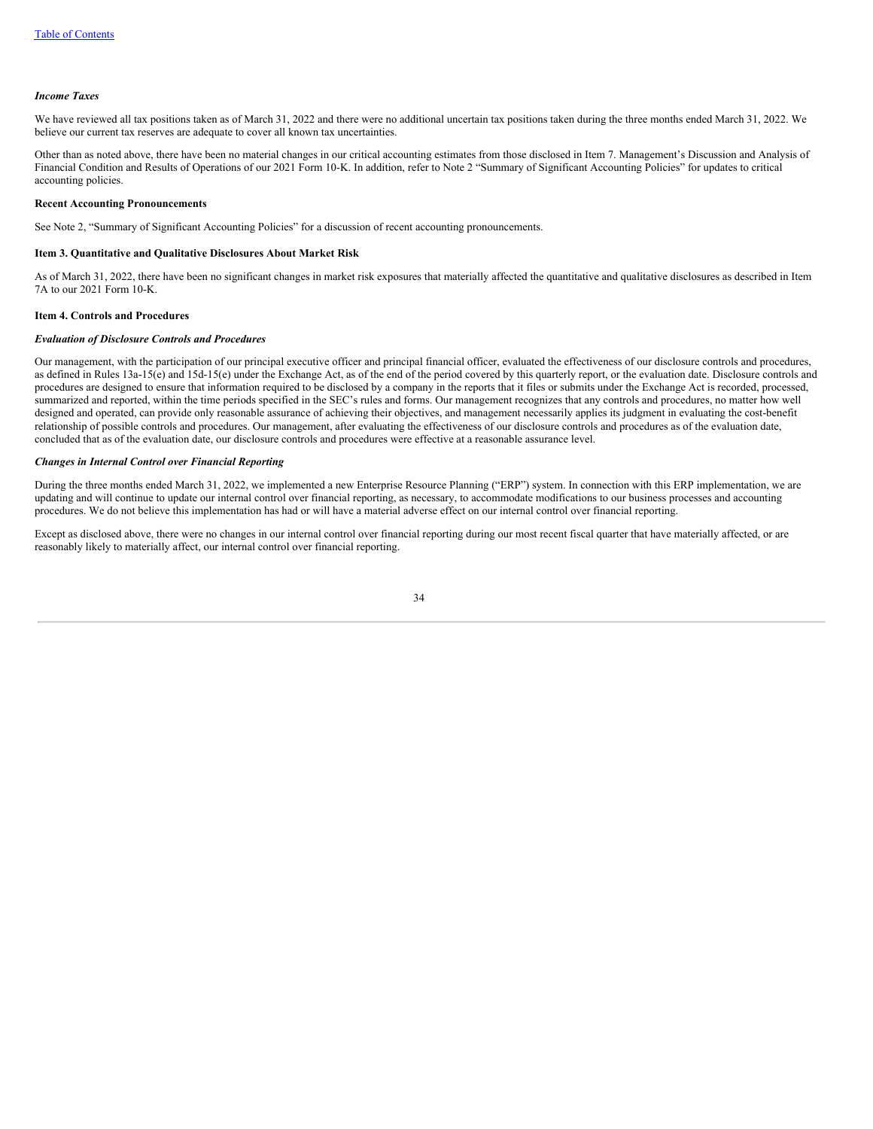#### *Income Taxes*

We have reviewed all tax positions taken as of March 31, 2022 and there were no additional uncertain tax positions taken during the three months ended March 31, 2022. We believe our current tax reserves are adequate to cover all known tax uncertainties.

Other than as noted above, there have been no material changes in our critical accounting estimates from those disclosed in Item 7. Management's Discussion and Analysis of Financial Condition and Results of Operations of our 2021 Form 10-K. In addition, refer to Note 2 "Summary of Significant Accounting Policies" for updates to critical accounting policies.

### **Recent Accounting Pronouncements**

See Note 2, "Summary of Significant Accounting Policies" for a discussion of recent accounting pronouncements.

### <span id="page-35-0"></span>**Item 3. Quantitative and Qualitative Disclosures About Market Risk**

As of March 31, 2022, there have been no significant changes in market risk exposures that materially affected the quantitative and qualitative disclosures as described in Item 7A to our 2021 Form 10-K.

#### <span id="page-35-1"></span>**Item 4. Controls and Procedures**

### *Evaluation of Disclosure Controls and Procedures*

Our management, with the participation of our principal executive officer and principal financial officer, evaluated the effectiveness of our disclosure controls and procedures, as defined in Rules 13a-15(e) and 15d-15(e) under the Exchange Act, as of the end of the period covered by this quarterly report, or the evaluation date. Disclosure controls and procedures are designed to ensure that information required to be disclosed by a company in the reports that it files or submits under the Exchange Act is recorded, processed, summarized and reported, within the time periods specified in the SEC's rules and forms. Our management recognizes that any controls and procedures, no matter how well designed and operated, can provide only reasonable assurance of achieving their objectives, and management necessarily applies its judgment in evaluating the cost-benefit relationship of possible controls and procedures. Our management, after evaluating the effectiveness of our disclosure controls and procedures as of the evaluation date, concluded that as of the evaluation date, our disclosure controls and procedures were effective at a reasonable assurance level.

### *Changes in Internal Control over Financial Reporting*

During the three months ended March 31, 2022, we implemented a new Enterprise Resource Planning ("ERP") system. In connection with this ERP implementation, we are updating and will continue to update our internal control over financial reporting, as necessary, to accommodate modifications to our business processes and accounting procedures. We do not believe this implementation has had or will have a material adverse effect on our internal control over financial reporting.

<span id="page-35-2"></span>Except as disclosed above, there were no changes in our internal control over financial reporting during our most recent fiscal quarter that have materially affected, or are reasonably likely to materially affect, our internal control over financial reporting.

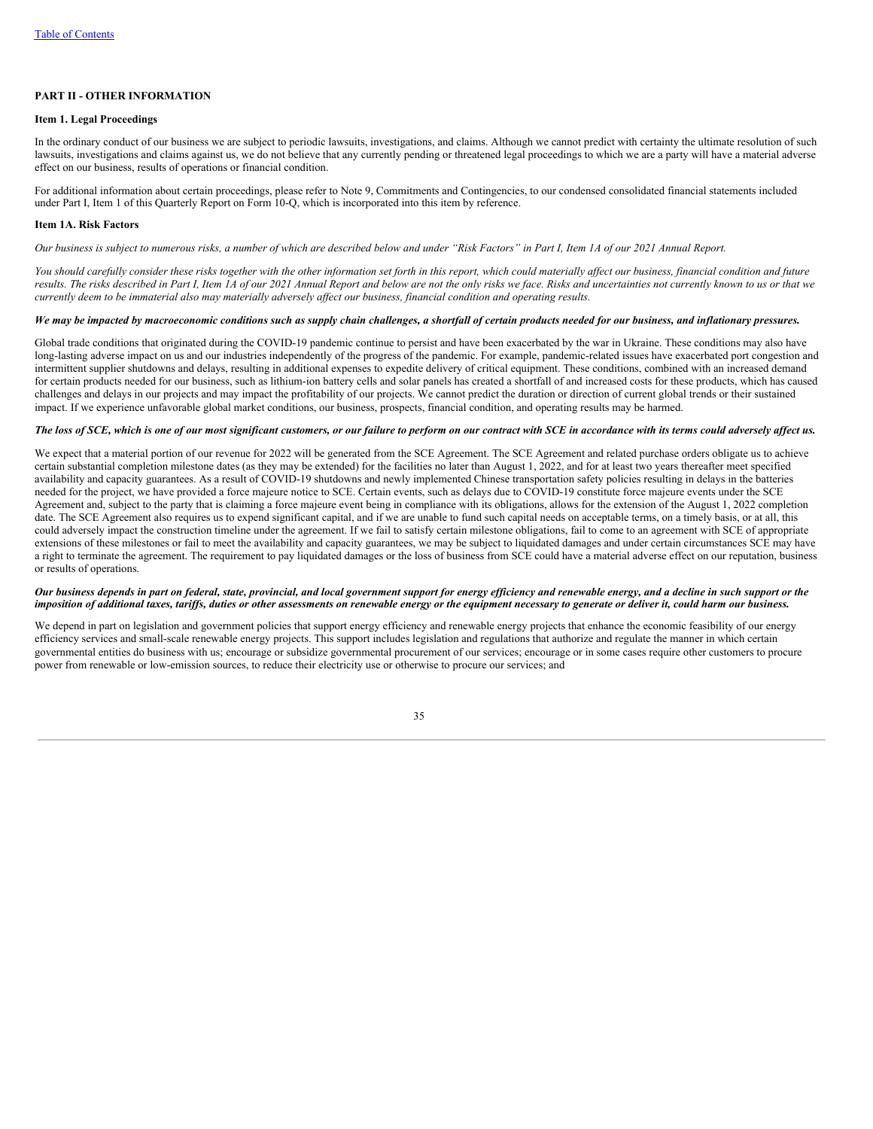## <span id="page-36-0"></span>**PART II - OTHER INFORMATION**

#### **Item 1. Legal Proceedings**

In the ordinary conduct of our business we are subject to periodic lawsuits, investigations, and claims. Although we cannot predict with certainty the ultimate resolution of such lawsuits, investigations and claims against us, we do not believe that any currently pending or threatened legal proceedings to which we are a party will have a material adverse effect on our business, results of operations or financial condition.

For additional information about certain proceedings, please refer to Note 9, Commitments and Contingencies, to our condensed consolidated financial statements included under Part I, Item 1 of this Quarterly Report on Form 10-Q, which is incorporated into this item by reference.

#### <span id="page-36-1"></span>**Item 1A. Risk Factors**

Our business is subject to numerous risks, a number of which are described below and under "Risk Factors" in Part I, Item 1A of our 2021 Annual Report.

You should carefully consider these risks together with the other information set forth in this report, which could materially affect our business, financial condition and future results. The risks described in Part I, Item 1A of our 2021 Annual Report and below are not the only risks we face. Risks and uncertainties not currently known to us or that we currently deem to be immaterial also may materially adversely affect our business, financial condition and operating results.

### We may be impacted by macroeconomic conditions such as supply chain challenges, a shortfall of certain products needed for our business, and inflationary pressures.

Global trade conditions that originated during the COVID-19 pandemic continue to persist and have been exacerbated by the war in Ukraine. These conditions may also have long-lasting adverse impact on us and our industries independently of the progress of the pandemic. For example, pandemic-related issues have exacerbated port congestion and intermittent supplier shutdowns and delays, resulting in additional expenses to expedite delivery of critical equipment. These conditions, combined with an increased demand for certain products needed for our business, such as lithium-ion battery cells and solar panels has created a shortfall of and increased costs for these products, which has caused challenges and delays in our projects and may impact the profitability of our projects. We cannot predict the duration or direction of current global trends or their sustained impact. If we experience unfavorable global market conditions, our business, prospects, financial condition, and operating results may be harmed.

### The loss of SCE, which is one of our most significant customers, or our failure to perform on our contract with SCE in accordance with its terms could adversely affect us.

We expect that a material portion of our revenue for 2022 will be generated from the SCE Agreement. The SCE Agreement and related purchase orders obligate us to achieve certain substantial completion milestone dates (as they may be extended) for the facilities no later than August 1, 2022, and for at least two years thereafter meet specified availability and capacity guarantees. As a result of COVID-19 shutdowns and newly implemented Chinese transportation safety policies resulting in delays in the batteries needed for the project, we have provided a force majeure notice to SCE. Certain events, such as delays due to COVID-19 constitute force majeure events under the SCE Agreement and, subject to the party that is claiming a force majeure event being in compliance with its obligations, allows for the extension of the August 1, 2022 completion date. The SCE Agreement also requires us to expend significant capital, and if we are unable to fund such capital needs on acceptable terms, on a timely basis, or at all, this could adversely impact the construction timeline under the agreement. If we fail to satisfy certain milestone obligations, fail to come to an agreement with SCE of appropriate extensions of these milestones or fail to meet the availability and capacity guarantees, we may be subject to liquidated damages and under certain circumstances SCE may have a right to terminate the agreement. The requirement to pay liquidated damages or the loss of business from SCE could have a material adverse effect on our reputation, business or results of operations.

#### Our business depends in part on federal, state, provincial, and local government support for energy efficiency and renewable energy, and a decline in such support or the imposition of additional taxes, tariffs, duties or other assessments on renewable energy or the equipment necessary to generate or deliver it, could harm our business.

We depend in part on legislation and government policies that support energy efficiency and renewable energy projects that enhance the economic feasibility of our energy efficiency services and small-scale renewable energy projects. This support includes legislation and regulations that authorize and regulate the manner in which certain governmental entities do business with us; encourage or subsidize governmental procurement of our services; encourage or in some cases require other customers to procure power from renewable or low-emission sources, to reduce their electricity use or otherwise to procure our services; and

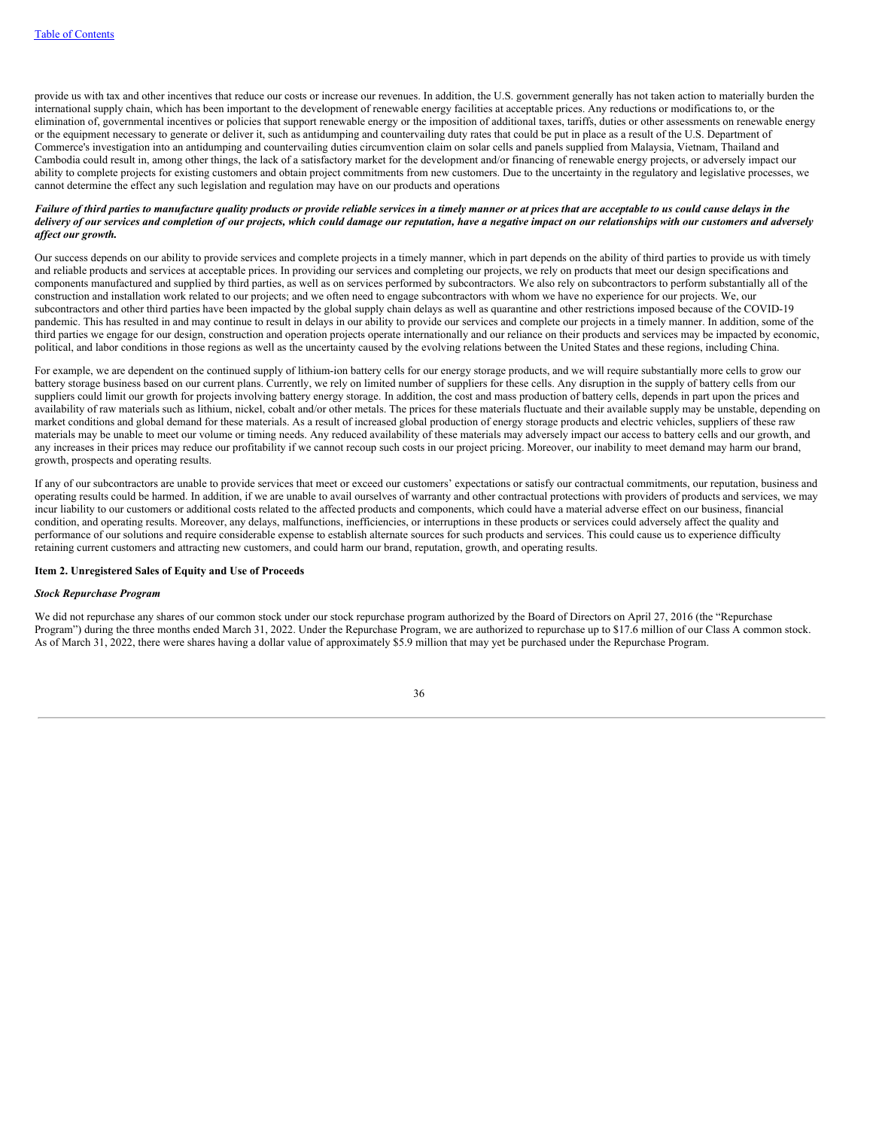provide us with tax and other incentives that reduce our costs or increase our revenues. In addition, the U.S. government generally has not taken action to materially burden the international supply chain, which has been important to the development of renewable energy facilities at acceptable prices. Any reductions or modifications to, or the elimination of, governmental incentives or policies that support renewable energy or the imposition of additional taxes, tariffs, duties or other assessments on renewable energy or the equipment necessary to generate or deliver it, such as antidumping and countervailing duty rates that could be put in place as a result of the U.S. Department of Commerce's investigation into an antidumping and countervailing duties circumvention claim on solar cells and panels supplied from Malaysia, Vietnam, Thailand and Cambodia could result in, among other things, the lack of a satisfactory market for the development and/or financing of renewable energy projects, or adversely impact our ability to complete projects for existing customers and obtain project commitments from new customers. Due to the uncertainty in the regulatory and legislative processes, we cannot determine the effect any such legislation and regulation may have on our products and operations

### Failure of third parties to manufacture quality products or provide reliable services in a timely manner or at prices that are acceptable to us could cause delays in the delivery of our services and completion of our projects, which could damage our reputation, have a negative impact on our relationships with our customers and adversely *af ect our growth.*

Our success depends on our ability to provide services and complete projects in a timely manner, which in part depends on the ability of third parties to provide us with timely and reliable products and services at acceptable prices. In providing our services and completing our projects, we rely on products that meet our design specifications and components manufactured and supplied by third parties, as well as on services performed by subcontractors. We also rely on subcontractors to perform substantially all of the construction and installation work related to our projects; and we often need to engage subcontractors with whom we have no experience for our projects. We, our subcontractors and other third parties have been impacted by the global supply chain delays as well as quarantine and other restrictions imposed because of the COVID-19 pandemic. This has resulted in and may continue to result in delays in our ability to provide our services and complete our projects in a timely manner. In addition, some of the third parties we engage for our design, construction and operation projects operate internationally and our reliance on their products and services may be impacted by economic, political, and labor conditions in those regions as well as the uncertainty caused by the evolving relations between the United States and these regions, including China.

For example, we are dependent on the continued supply of lithium-ion battery cells for our energy storage products, and we will require substantially more cells to grow our battery storage business based on our current plans. Currently, we rely on limited number of suppliers for these cells. Any disruption in the supply of battery cells from our suppliers could limit our growth for projects involving battery energy storage. In addition, the cost and mass production of battery cells, depends in part upon the prices and availability of raw materials such as lithium, nickel, cobalt and/or other metals. The prices for these materials fluctuate and their available supply may be unstable, depending on market conditions and global demand for these materials. As a result of increased global production of energy storage products and electric vehicles, suppliers of these raw materials may be unable to meet our volume or timing needs. Any reduced availability of these materials may adversely impact our access to battery cells and our growth, and any increases in their prices may reduce our profitability if we cannot recoup such costs in our project pricing. Moreover, our inability to meet demand may harm our brand, growth, prospects and operating results.

If any of our subcontractors are unable to provide services that meet or exceed our customers' expectations or satisfy our contractual commitments, our reputation, business and operating results could be harmed. In addition, if we are unable to avail ourselves of warranty and other contractual protections with providers of products and services, we may incur liability to our customers or additional costs related to the affected products and components, which could have a material adverse effect on our business, financial condition, and operating results. Moreover, any delays, malfunctions, inefficiencies, or interruptions in these products or services could adversely affect the quality and performance of our solutions and require considerable expense to establish alternate sources for such products and services. This could cause us to experience difficulty retaining current customers and attracting new customers, and could harm our brand, reputation, growth, and operating results.

### <span id="page-37-0"></span>**Item 2. Unregistered Sales of Equity and Use of Proceeds**

#### *Stock Repurchase Program*

<span id="page-37-1"></span>We did not repurchase any shares of our common stock under our stock repurchase program authorized by the Board of Directors on April 27, 2016 (the "Repurchase Program") during the three months ended March 31, 2022. Under the Repurchase Program, we are authorized to repurchase up to \$17.6 million of our Class A common stock. As of March 31, 2022, there were shares having a dollar value of approximately \$5.9 million that may yet be purchased under the Repurchase Program.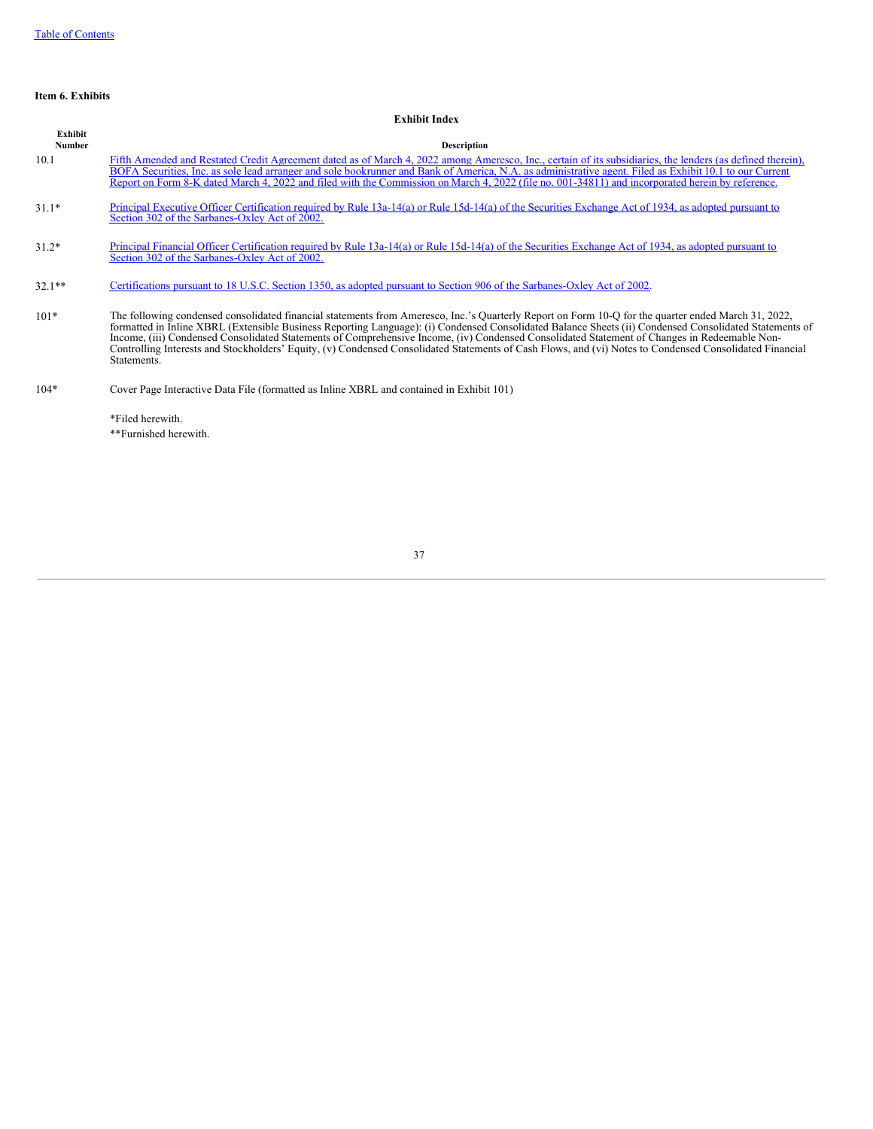## **Item 6. Exhibits**

## **Exhibit Index**

| <b>Exhibit</b> |                                                                                                                                                                                                                                                                                                                                                                                                                                                                                                                                                                                                                                         |
|----------------|-----------------------------------------------------------------------------------------------------------------------------------------------------------------------------------------------------------------------------------------------------------------------------------------------------------------------------------------------------------------------------------------------------------------------------------------------------------------------------------------------------------------------------------------------------------------------------------------------------------------------------------------|
| <b>Number</b>  | <b>Description</b>                                                                                                                                                                                                                                                                                                                                                                                                                                                                                                                                                                                                                      |
| 10.1           | Fifth Amended and Restated Credit Agreement dated as of March 4, 2022 among Ameresco, Inc., certain of its subsidiaries, the lenders (as defined therein),<br>BOFA Securities, Inc. as sole lead arranger and sole bookrunner and Bank of America, N.A. as administrative agent. Filed as Exhibit 10.1 to our Current<br>Report on Form 8-K dated March 4, 2022 and filed with the Commission on March 4, 2022 (file no. 001-34811) and incorporated herein by reference.                                                                                                                                                               |
| $31.1*$        | Principal Executive Officer Certification required by Rule 13a-14(a) or Rule 15d-14(a) of the Securities Exchange Act of 1934, as adopted pursuant to<br>Section 302 of the Sarbanes-Oxley Act of 2002.                                                                                                                                                                                                                                                                                                                                                                                                                                 |
| $31.2*$        | Principal Financial Officer Certification required by Rule 13a-14(a) or Rule 15d-14(a) of the Securities Exchange Act of 1934, as adopted pursuant to<br>Section 302 of the Sarbanes-Oxley Act of 2002.                                                                                                                                                                                                                                                                                                                                                                                                                                 |
| $32.1**$       | Certifications pursuant to 18 U.S.C. Section 1350, as adopted pursuant to Section 906 of the Sarbanes-Oxley Act of 2002.                                                                                                                                                                                                                                                                                                                                                                                                                                                                                                                |
| $101*$         | The following condensed consolidated financial statements from Ameresco, Inc.'s Quarterly Report on Form 10-Q for the quarter ended March 31, 2022,<br>formatted in Inline XBRL (Extensible Business Reporting Language): (i) Condensed Consolidated Balance Sheets (ii) Condensed Consolidated Statements of<br>Income, (iii) Condensed Consolidated Statements of Comprehensive Income, (iv) Condensed Consolidated Statement of Changes in Redeemable Non-<br>Controlling Interests and Stockholders' Equity, (v) Condensed Consolidated Statements of Cash Flows, and (vi) Notes to Condensed Consolidated Financial<br>Statements. |

104\* Cover Page Interactive Data File (formatted as Inline XBRL and contained in Exhibit 101)

<span id="page-38-0"></span><sup>\*</sup>Filed herewith. \*\*Furnished herewith.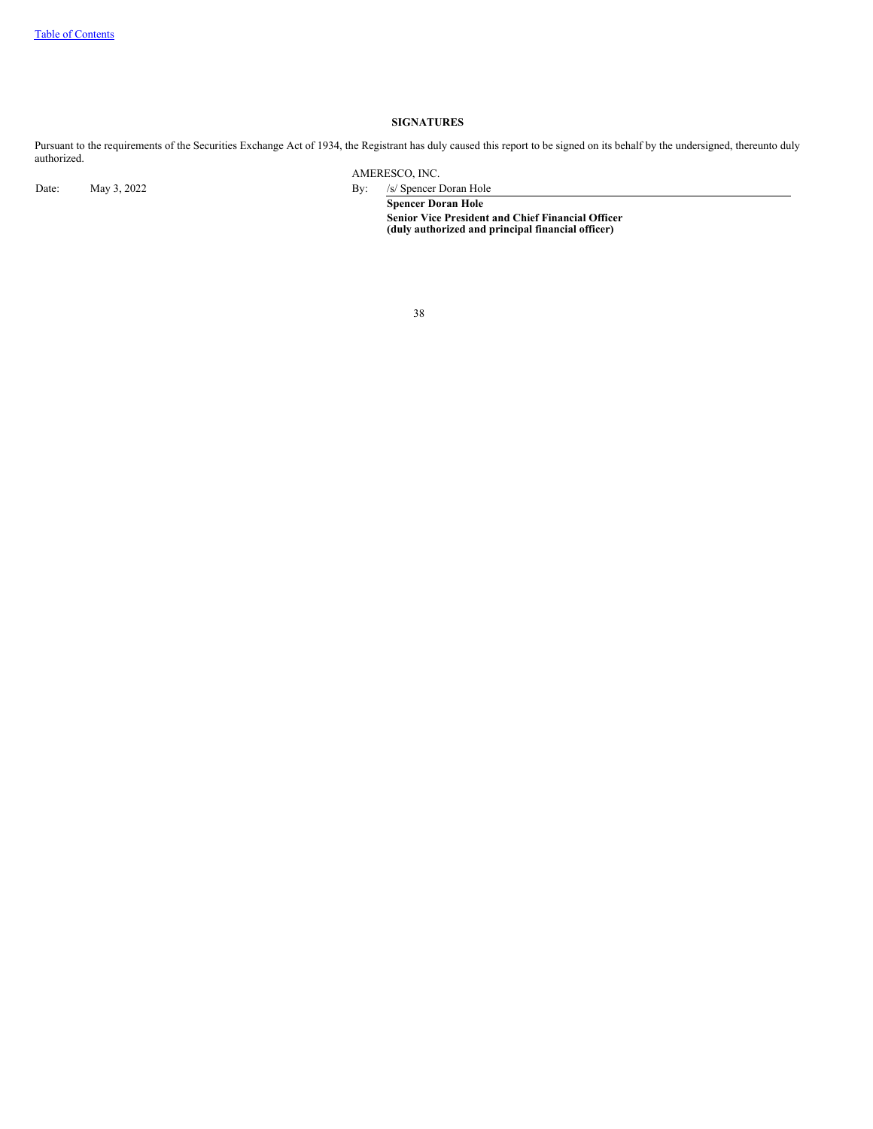## **SIGNATURES**

Pursuant to the requirements of the Securities Exchange Act of 1934, the Registrant has duly caused this report to be signed on its behalf by the undersigned, thereunto duly authorized.

Date: May 3, 2022 By: /s/ Spencer Doran Hole

AMERESCO, INC.

**Spencer Doran Hole**

**Senior Vice President and Chief Financial Officer (duly authorized and principal financial officer)**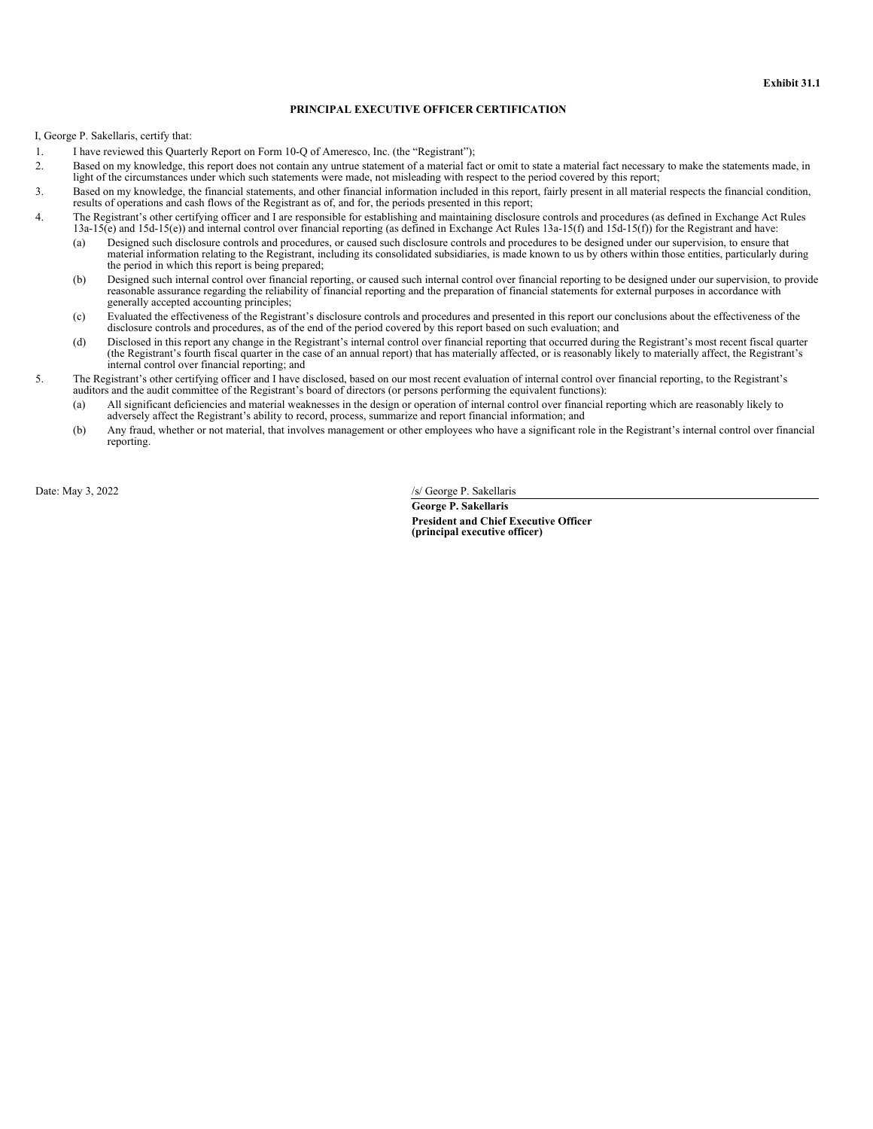## **PRINCIPAL EXECUTIVE OFFICER CERTIFICATION**

<span id="page-40-0"></span>I, George P. Sakellaris, certify that:

- 1. I have reviewed this Quarterly Report on Form 10-Q of Ameresco, Inc. (the "Registrant");
- 2. Based on my knowledge, this report does not contain any untrue statement of a material fact or omit to state a material fact necessary to make the statements made, in light of the circumstances under which such statements were made, not misleading with respect to the period covered by this report;
- 3. Based on my knowledge, the financial statements, and other financial information included in this report, fairly present in all material respects the financial condition, results of operations and cash flows of the Registrant as of, and for, the periods presented in this report;
- 4. The Registrant's other certifying officer and I are responsible for establishing and maintaining disclosure controls and procedures (as defined in Exchange Act Rules 13a-15(e) and 15d-15(e)) and internal control over financial reporting (as defined in Exchange Act Rules 13a-15(f) and 15d-15(f)) for the Registrant and have:
	- (a) Designed such disclosure controls and procedures, or caused such disclosure controls and procedures to be designed under our supervision, to ensure that material information relating to the Registrant, including its consolidated subsidiaries, is made known to us by others within those entities, particularly during the period in which this report is being prepared;
	- (b) Designed such internal control over financial reporting, or caused such internal control over financial reporting to be designed under our supervision, to provide reasonable assurance regarding the reliability of financial reporting and the preparation of financial statements for external purposes in accordance with generally accepted accounting principles;
	- (c) Evaluated the effectiveness of the Registrant's disclosure controls and procedures and presented in this report our conclusions about the effectiveness of the disclosure controls and procedures, as of the end of the period covered by this report based on such evaluation; and
	- (d) Disclosed in this report any change in the Registrant's internal control over financial reporting that occurred during the Registrant's most recent fiscal quarter (the Registrant's fourth fiscal quarter in the case of internal control over financial reporting; and
- 5. The Registrant's other certifying officer and I have disclosed, based on our most recent evaluation of internal control over financial reporting, to the Registrant's auditors and the audit committee of the Registrant's board of directors (or persons performing the equivalent functions):
	- (a) All significant deficiencies and material weaknesses in the design or operation of internal control over financial reporting which are reasonably likely to adversely affect the Registrant's ability to record, process, summarize and report financial information; and
	- (b) Any fraud, whether or not material, that involves management or other employees who have a significant role in the Registrant's internal control over financial reporting.

Date: May 3, 2022 /s/ George P. Sakellaris

**George P. Sakellaris President and Chief Executive Officer (principal executive officer)**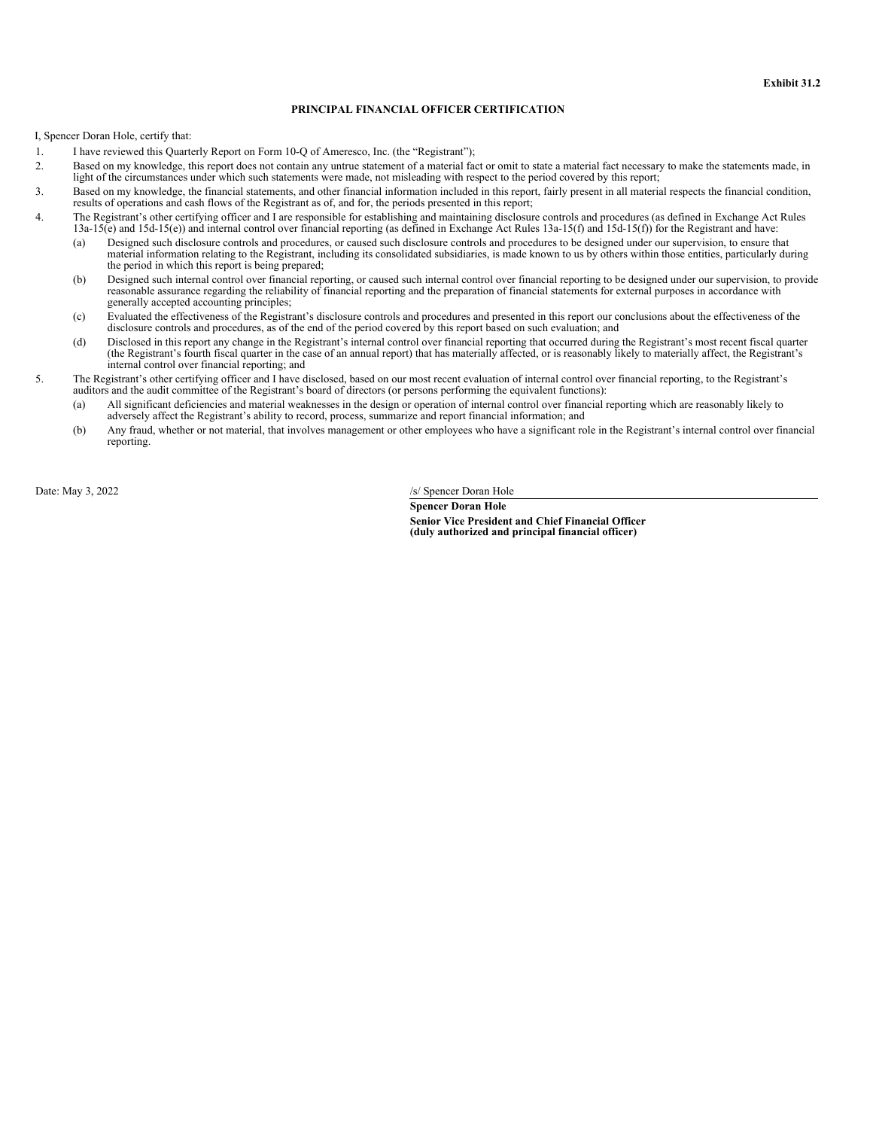## **PRINCIPAL FINANCIAL OFFICER CERTIFICATION**

<span id="page-41-0"></span>I, Spencer Doran Hole, certify that:

- 1. I have reviewed this Quarterly Report on Form 10-Q of Ameresco, Inc. (the "Registrant");
- 2. Based on my knowledge, this report does not contain any untrue statement of a material fact or omit to state a material fact necessary to make the statements made, in light of the circumstances under which such statements were made, not misleading with respect to the period covered by this report;
- 3. Based on my knowledge, the financial statements, and other financial information included in this report, fairly present in all material respects the financial condition, results of operations and cash flows of the Registrant as of, and for, the periods presented in this report;
- 4. The Registrant's other certifying officer and I are responsible for establishing and maintaining disclosure controls and procedures (as defined in Exchange Act Rules 13a-15(e) and 15d-15(e)) and internal control over financial reporting (as defined in Exchange Act Rules 13a-15(f) and 15d-15(f)) for the Registrant and have:
	- (a) Designed such disclosure controls and procedures, or caused such disclosure controls and procedures to be designed under our supervision, to ensure that material information relating to the Registrant, including its consolidated subsidiaries, is made known to us by others within those entities, particularly during the period in which this report is being prepared;
	- (b) Designed such internal control over financial reporting, or caused such internal control over financial reporting to be designed under our supervision, to provide reasonable assurance regarding the reliability of financial reporting and the preparation of financial statements for external purposes in accordance with generally accepted accounting principles;
	- (c) Evaluated the effectiveness of the Registrant's disclosure controls and procedures and presented in this report our conclusions about the effectiveness of the disclosure controls and procedures, as of the end of the period covered by this report based on such evaluation; and
	- (d) Disclosed in this report any change in the Registrant's internal control over financial reporting that occurred during the Registrant's most recent fiscal quarter (the Registrant's fourth fiscal quarter in the case of internal control over financial reporting; and
- 5. The Registrant's other certifying officer and I have disclosed, based on our most recent evaluation of internal control over financial reporting, to the Registrant's auditors and the audit committee of the Registrant's board of directors (or persons performing the equivalent functions):
	- (a) All significant deficiencies and material weaknesses in the design or operation of internal control over financial reporting which are reasonably likely to adversely affect the Registrant's ability to record, process, summarize and report financial information; and
	- (b) Any fraud, whether or not material, that involves management or other employees who have a significant role in the Registrant's internal control over financial reporting.

Date: May 3, 2022 /s/ Spencer Doran Hole

**Spencer Doran Hole Senior Vice President and Chief Financial Officer (duly authorized and principal financial officer)**